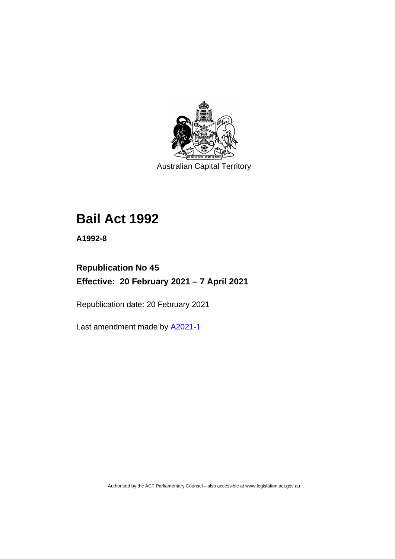

Australian Capital Territory

# **Bail Act 1992**

**A1992-8**

# **Republication No 45 Effective: 20 February 2021 – 7 April 2021**

Republication date: 20 February 2021

Last amendment made by [A2021-1](http://www.legislation.act.gov.au/a/2021-1/)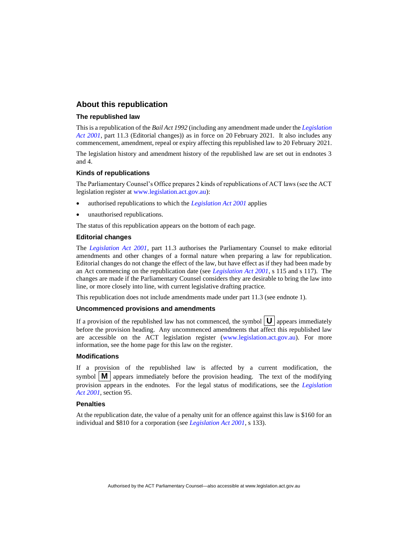#### **About this republication**

#### **The republished law**

This is a republication of the *Bail Act 1992* (including any amendment made under the *[Legislation](http://www.legislation.act.gov.au/a/2001-14)  [Act 2001](http://www.legislation.act.gov.au/a/2001-14)*, part 11.3 (Editorial changes)) as in force on 20 February 2021*.* It also includes any commencement, amendment, repeal or expiry affecting this republished law to 20 February 2021.

The legislation history and amendment history of the republished law are set out in endnotes 3 and 4.

#### **Kinds of republications**

The Parliamentary Counsel's Office prepares 2 kinds of republications of ACT laws (see the ACT legislation register at [www.legislation.act.gov.au\)](http://www.legislation.act.gov.au/):

- authorised republications to which the *[Legislation Act 2001](http://www.legislation.act.gov.au/a/2001-14)* applies
- unauthorised republications.

The status of this republication appears on the bottom of each page.

#### **Editorial changes**

The *[Legislation Act 2001](http://www.legislation.act.gov.au/a/2001-14)*, part 11.3 authorises the Parliamentary Counsel to make editorial amendments and other changes of a formal nature when preparing a law for republication. Editorial changes do not change the effect of the law, but have effect as if they had been made by an Act commencing on the republication date (see *[Legislation Act 2001](http://www.legislation.act.gov.au/a/2001-14)*, s 115 and s 117). The changes are made if the Parliamentary Counsel considers they are desirable to bring the law into line, or more closely into line, with current legislative drafting practice.

This republication does not include amendments made under part 11.3 (see endnote 1).

#### **Uncommenced provisions and amendments**

If a provision of the republished law has not commenced, the symbol  $\mathbf{U}$  appears immediately before the provision heading. Any uncommenced amendments that affect this republished law are accessible on the ACT legislation register [\(www.legislation.act.gov.au\)](http://www.legislation.act.gov.au/). For more information, see the home page for this law on the register.

#### **Modifications**

If a provision of the republished law is affected by a current modification, the symbol  $\mathbf{M}$  appears immediately before the provision heading. The text of the modifying provision appears in the endnotes. For the legal status of modifications, see the *[Legislation](http://www.legislation.act.gov.au/a/2001-14)  Act [2001](http://www.legislation.act.gov.au/a/2001-14)*, section 95.

#### **Penalties**

At the republication date, the value of a penalty unit for an offence against this law is \$160 for an individual and \$810 for a corporation (see *[Legislation Act 2001](http://www.legislation.act.gov.au/a/2001-14)*, s 133).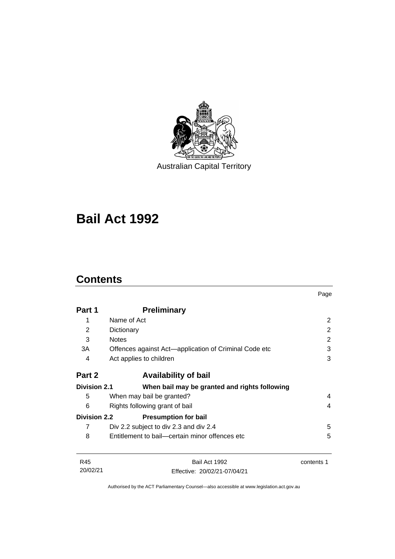

Australian Capital Territory

# **Bail Act 1992**

# **Contents**

|                                     |                                                       | Page       |
|-------------------------------------|-------------------------------------------------------|------------|
| Part 1                              | <b>Preliminary</b>                                    |            |
| 1                                   | Name of Act                                           | 2          |
| 2                                   | Dictionary                                            | 2          |
| 3                                   | <b>Notes</b>                                          | 2          |
| 3A                                  | Offences against Act—application of Criminal Code etc | 3          |
| 4                                   | Act applies to children                               | 3          |
| Part 2                              | <b>Availability of bail</b>                           |            |
| <b>Division 2.1</b>                 | When bail may be granted and rights following         |            |
| 5                                   | When may bail be granted?                             | 4          |
| 6<br>Rights following grant of bail |                                                       | 4          |
| <b>Division 2.2</b>                 | <b>Presumption for bail</b>                           |            |
| 7                                   | Div 2.2 subject to div 2.3 and div 2.4                | 5          |
| 8                                   | Entitlement to bail—certain minor offences etc        | 5          |
| R45                                 | Bail Act 1992                                         | contents 1 |
| 20/02/21                            | Effective: 20/02/21-07/04/21                          |            |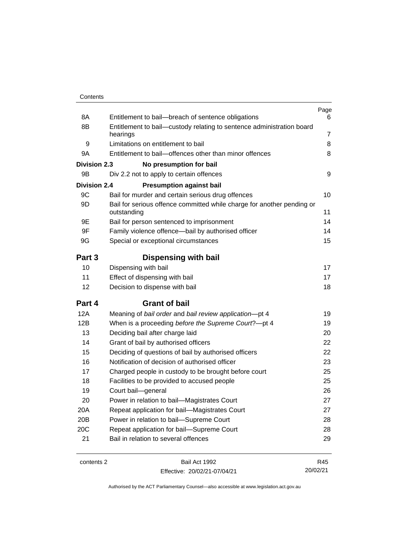| Contents |
|----------|
|----------|

| 8A                  | Entitlement to bail-breach of sentence obligations                                    | Page<br>6      |
|---------------------|---------------------------------------------------------------------------------------|----------------|
| 8B                  | Entitlement to bail-custody relating to sentence administration board                 |                |
|                     | hearings                                                                              | $\overline{7}$ |
| 9                   | Limitations on entitlement to bail                                                    | 8              |
| 9A                  | Entitlement to bail-offences other than minor offences                                | 8              |
| <b>Division 2.3</b> | No presumption for bail                                                               |                |
| 9Β                  | Div 2.2 not to apply to certain offences                                              | 9              |
| <b>Division 2.4</b> | <b>Presumption against bail</b>                                                       |                |
| 9C                  | Bail for murder and certain serious drug offences                                     | 10             |
| 9D                  | Bail for serious offence committed while charge for another pending or<br>outstanding | 11             |
| 9E                  | Bail for person sentenced to imprisonment                                             | 14             |
| 9F                  | Family violence offence-bail by authorised officer                                    | 14             |
| 9G                  | Special or exceptional circumstances                                                  | 15             |
| Part 3              | Dispensing with bail                                                                  |                |
| 10                  | Dispensing with bail                                                                  | 17             |
| 11                  | Effect of dispensing with bail                                                        | 17             |
| 12                  | Decision to dispense with bail                                                        | 18             |
| Part 4              | <b>Grant of bail</b>                                                                  |                |
| <b>12A</b>          | Meaning of bail order and bail review application-pt 4                                | 19             |
| 12B                 | When is a proceeding before the Supreme Court?-pt 4                                   | 19             |
| 13                  | Deciding bail after charge laid                                                       | 20             |
| 14                  | Grant of bail by authorised officers                                                  | 22             |
| 15                  | Deciding of questions of bail by authorised officers                                  | 22             |
| 16                  | Notification of decision of authorised officer                                        | 23             |
| 17                  | Charged people in custody to be brought before court                                  | 25             |
| 18                  | Facilities to be provided to accused people                                           | 25             |
| 19                  | Court bail-general                                                                    | 26             |
| 20                  | Power in relation to bail—Magistrates Court                                           | 27             |
| 20A                 | Repeat application for bail-Magistrates Court                                         | 27             |
| 20B                 | Power in relation to bail-Supreme Court                                               | 28             |
| 20C                 | Repeat application for bail-Supreme Court                                             | 28             |
| 21                  | Bail in relation to several offences                                                  | 29             |
|                     |                                                                                       |                |

contents 2 Bail Act 1992 Effective: 20/02/21-07/04/21

R45 20/02/21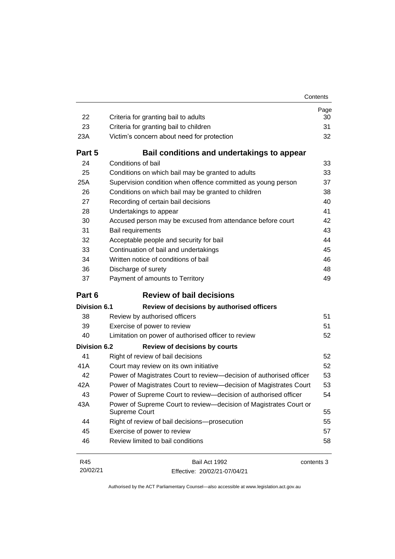| Contents |
|----------|
|----------|

| 22                  | Criteria for granting bail to adults                                               | Page<br>30 |
|---------------------|------------------------------------------------------------------------------------|------------|
| 23                  | Criteria for granting bail to children                                             | 31         |
| 23A                 | Victim's concern about need for protection                                         | 32         |
| Part 5              | Bail conditions and undertakings to appear                                         |            |
| 24                  | Conditions of bail                                                                 | 33         |
| 25                  | Conditions on which bail may be granted to adults                                  | 33         |
| 25A                 | Supervision condition when offence committed as young person                       | 37         |
| 26                  | Conditions on which bail may be granted to children                                | 38         |
| 27                  | Recording of certain bail decisions                                                | 40         |
| 28                  | Undertakings to appear                                                             | 41         |
| 30                  | Accused person may be excused from attendance before court                         | 42         |
| 31                  | Bail requirements                                                                  | 43         |
| 32                  | Acceptable people and security for bail                                            | 44         |
| 33                  | Continuation of bail and undertakings                                              | 45         |
| 34                  | Written notice of conditions of bail                                               | 46         |
| 36                  | Discharge of surety                                                                | 48         |
| 37                  | Payment of amounts to Territory                                                    | 49         |
|                     |                                                                                    |            |
| Part 6              | <b>Review of bail decisions</b>                                                    |            |
| <b>Division 6.1</b> | Review of decisions by authorised officers                                         |            |
| 38                  | Review by authorised officers                                                      | 51         |
| 39                  | Exercise of power to review                                                        | 51         |
| 40                  | Limitation on power of authorised officer to review                                | 52         |
| <b>Division 6.2</b> | <b>Review of decisions by courts</b>                                               |            |
| 41                  | Right of review of bail decisions                                                  | 52         |
| 41A                 | Court may review on its own initiative                                             | 52         |
| 42                  | Power of Magistrates Court to review-decision of authorised officer                | 53         |
| 42A                 | Power of Magistrates Court to review-decision of Magistrates Court                 | 53         |
| 43                  | Power of Supreme Court to review-decision of authorised officer                    | 54         |
| 43A                 | Power of Supreme Court to review—decision of Magistrates Court or<br>Supreme Court | 55         |
| 44                  | Right of review of bail decisions-prosecution                                      | 55         |
| 45                  | Exercise of power to review                                                        | 57         |
| 46                  | Review limited to bail conditions                                                  | 58         |

R45 20/02/21 Bail Act 1992 Effective: 20/02/21-07/04/21 contents 3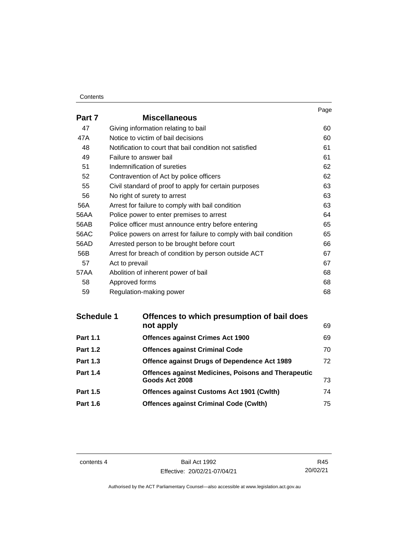#### **Contents**

|        |                                                                   | Page |
|--------|-------------------------------------------------------------------|------|
| Part 7 | <b>Miscellaneous</b>                                              |      |
| 47     | Giving information relating to bail                               | 60   |
| 47A    | Notice to victim of bail decisions                                | 60   |
| 48     | Notification to court that bail condition not satisfied           | 61   |
| 49     | Failure to answer bail                                            | 61   |
| 51     | Indemnification of sureties                                       | 62   |
| 52     | Contravention of Act by police officers                           | 62   |
| 55     | Civil standard of proof to apply for certain purposes             | 63   |
| 56     | No right of surety to arrest                                      | 63   |
| 56A    | Arrest for failure to comply with bail condition                  | 63   |
| 56AA   | Police power to enter premises to arrest                          | 64   |
| 56AB   | Police officer must announce entry before entering                | 65   |
| 56AC   | Police powers on arrest for failure to comply with bail condition | 65   |
| 56AD   | Arrested person to be brought before court                        | 66   |
| 56B    | Arrest for breach of condition by person outside ACT              | 67   |
| 57     | Act to prevail                                                    | 67   |
| 57AA   | Abolition of inherent power of bail                               | 68   |
| 58     | Approved forms                                                    | 68   |
| 59     | Regulation-making power                                           | 68   |

| <b>Schedule 1</b> | Offences to which presumption of bail does                 |    |
|-------------------|------------------------------------------------------------|----|
|                   | not apply                                                  | 69 |
| <b>Part 1.1</b>   | <b>Offences against Crimes Act 1900</b>                    | 69 |
| <b>Part 1.2</b>   | <b>Offences against Criminal Code</b>                      | 70 |
| <b>Part 1.3</b>   | Offence against Drugs of Dependence Act 1989               | 72 |
| <b>Part 1.4</b>   | <b>Offences against Medicines, Poisons and Therapeutic</b> |    |
|                   | Goods Act 2008                                             | 73 |
| <b>Part 1.5</b>   | <b>Offences against Customs Act 1901 (Cwlth)</b>           | 74 |
| <b>Part 1.6</b>   | <b>Offences against Criminal Code (Cwlth)</b>              | 75 |

contents 4 Bail Act 1992 Effective: 20/02/21-07/04/21

R45 20/02/21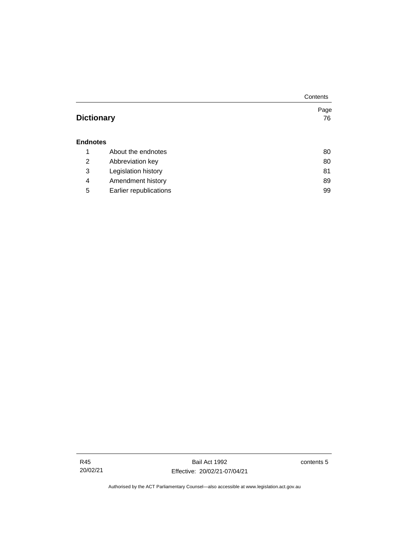|                   |                        | Contents |
|-------------------|------------------------|----------|
|                   |                        | Page     |
| <b>Dictionary</b> |                        | 76       |
|                   |                        |          |
| <b>Endnotes</b>   |                        |          |
| 1                 | About the endnotes     | 80       |
| 2                 | Abbreviation key       | 80       |
| 3                 | Legislation history    | 81       |
| 4                 | Amendment history      | 89       |
| 5                 | Earlier republications | 99       |

contents 5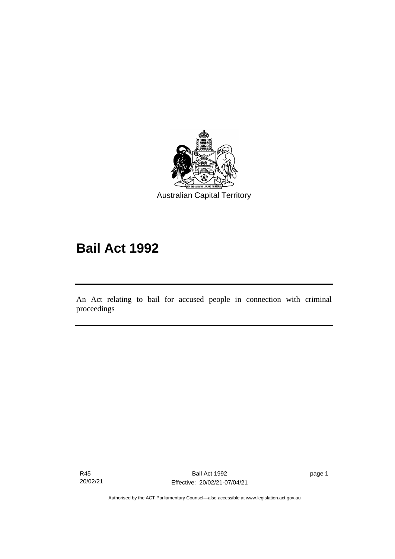

# **Bail Act 1992**

An Act relating to bail for accused people in connection with criminal proceedings

R45 20/02/21

ׅ֖֖֚֚֡֡֬֝֬

page 1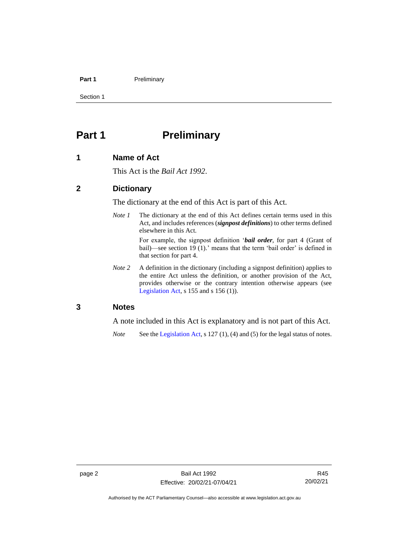#### **Part 1** Preliminary

Section 1

## <span id="page-9-0"></span>**Part 1 Preliminary**

#### <span id="page-9-1"></span>**1 Name of Act**

This Act is the *Bail Act 1992*.

#### <span id="page-9-2"></span>**2 Dictionary**

The dictionary at the end of this Act is part of this Act.

*Note 1* The dictionary at the end of this Act defines certain terms used in this Act, and includes references (*signpost definitions*) to other terms defined elsewhere in this Act.

> For example, the signpost definition '*bail order*, for part 4 (Grant of bail)—see section 19 (1).' means that the term 'bail order' is defined in that section for part 4.

*Note 2* A definition in the dictionary (including a signpost definition) applies to the entire Act unless the definition, or another provision of the Act, provides otherwise or the contrary intention otherwise appears (see [Legislation Act,](http://www.legislation.act.gov.au/a/2001-14) s  $155$  and s  $156$  (1)).

#### <span id="page-9-3"></span>**3 Notes**

A note included in this Act is explanatory and is not part of this Act.

*Note* See the [Legislation Act,](http://www.legislation.act.gov.au/a/2001-14) s 127 (1), (4) and (5) for the legal status of notes.

Authorised by the ACT Parliamentary Counsel—also accessible at www.legislation.act.gov.au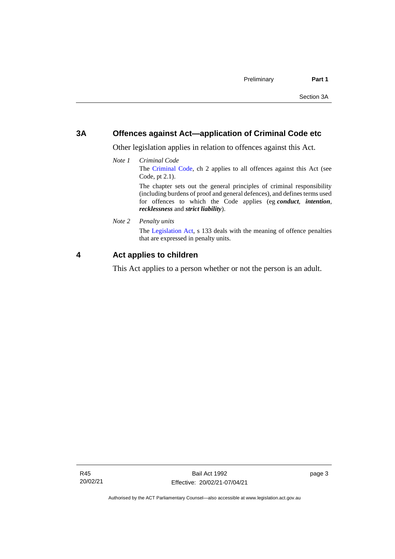#### <span id="page-10-0"></span>**3A Offences against Act—application of Criminal Code etc**

Other legislation applies in relation to offences against this Act.

*Note 1 Criminal Code* The [Criminal Code,](http://www.legislation.act.gov.au/a/2002-51) ch 2 applies to all offences against this Act (see Code, pt 2.1). The chapter sets out the general principles of criminal responsibility (including burdens of proof and general defences), and defines terms used

for offences to which the Code applies (eg *conduct*, *intention*, *recklessness* and *strict liability*).

*Note 2 Penalty units*

The [Legislation Act,](http://www.legislation.act.gov.au/a/2001-14) s 133 deals with the meaning of offence penalties that are expressed in penalty units.

### <span id="page-10-1"></span>**4 Act applies to children**

This Act applies to a person whether or not the person is an adult.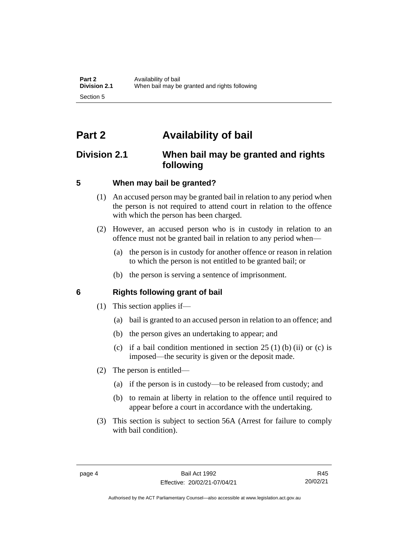# <span id="page-11-0"></span>**Part 2 Availability of bail**

## <span id="page-11-1"></span>**Division 2.1 When bail may be granted and rights following**

## <span id="page-11-2"></span>**5 When may bail be granted?**

- (1) An accused person may be granted bail in relation to any period when the person is not required to attend court in relation to the offence with which the person has been charged.
- (2) However, an accused person who is in custody in relation to an offence must not be granted bail in relation to any period when—
	- (a) the person is in custody for another offence or reason in relation to which the person is not entitled to be granted bail; or
	- (b) the person is serving a sentence of imprisonment.

## <span id="page-11-3"></span>**6 Rights following grant of bail**

- (1) This section applies if—
	- (a) bail is granted to an accused person in relation to an offence; and
	- (b) the person gives an undertaking to appear; and
	- (c) if a bail condition mentioned in section  $25(1)$  (b) (ii) or (c) is imposed—the security is given or the deposit made.
- (2) The person is entitled—
	- (a) if the person is in custody—to be released from custody; and
	- (b) to remain at liberty in relation to the offence until required to appear before a court in accordance with the undertaking.
- (3) This section is subject to section 56A (Arrest for failure to comply with bail condition).

R45 20/02/21

Authorised by the ACT Parliamentary Counsel—also accessible at www.legislation.act.gov.au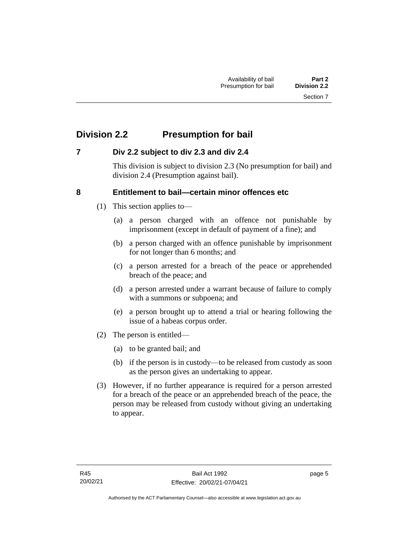## <span id="page-12-0"></span>**Division 2.2 Presumption for bail**

## <span id="page-12-1"></span>**7 Div 2.2 subject to div 2.3 and div 2.4**

This division is subject to division 2.3 (No presumption for bail) and division 2.4 (Presumption against bail).

## <span id="page-12-2"></span>**8 Entitlement to bail—certain minor offences etc**

- (1) This section applies to—
	- (a) a person charged with an offence not punishable by imprisonment (except in default of payment of a fine); and
	- (b) a person charged with an offence punishable by imprisonment for not longer than 6 months; and
	- (c) a person arrested for a breach of the peace or apprehended breach of the peace; and
	- (d) a person arrested under a warrant because of failure to comply with a summons or subpoena; and
	- (e) a person brought up to attend a trial or hearing following the issue of a habeas corpus order.
- (2) The person is entitled—
	- (a) to be granted bail; and
	- (b) if the person is in custody—to be released from custody as soon as the person gives an undertaking to appear.
- (3) However, if no further appearance is required for a person arrested for a breach of the peace or an apprehended breach of the peace, the person may be released from custody without giving an undertaking to appear.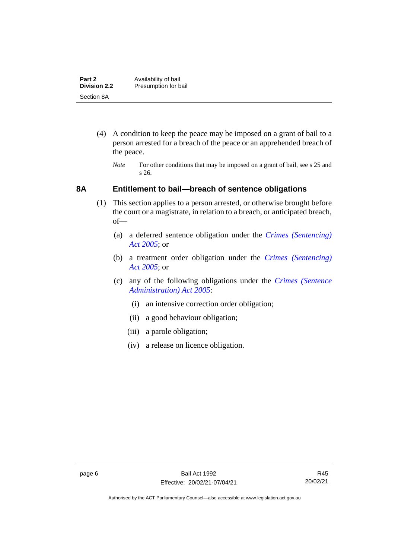| Part 2              | Availability of bail |
|---------------------|----------------------|
| <b>Division 2.2</b> | Presumption for bail |
| Section 8A          |                      |

- (4) A condition to keep the peace may be imposed on a grant of bail to a person arrested for a breach of the peace or an apprehended breach of the peace.
	- *Note* For other conditions that may be imposed on a grant of bail, see s 25 and s 26.

#### <span id="page-13-0"></span>**8A Entitlement to bail—breach of sentence obligations**

- (1) This section applies to a person arrested, or otherwise brought before the court or a magistrate, in relation to a breach, or anticipated breach, of—
	- (a) a deferred sentence obligation under the *[Crimes \(Sentencing\)](http://www.legislation.act.gov.au/a/2005-58)  [Act 2005](http://www.legislation.act.gov.au/a/2005-58)*; or
	- (b) a treatment order obligation under the *[Crimes \(Sentencing\)](http://www.legislation.act.gov.au/a/2005-58)  Act [2005](http://www.legislation.act.gov.au/a/2005-58)*; or
	- (c) any of the following obligations under the *[Crimes \(Sentence](http://www.legislation.act.gov.au/a/2005-59)  [Administration\) Act 2005](http://www.legislation.act.gov.au/a/2005-59)*:
		- (i) an intensive correction order obligation;
		- (ii) a good behaviour obligation;
		- (iii) a parole obligation;
		- (iv) a release on licence obligation.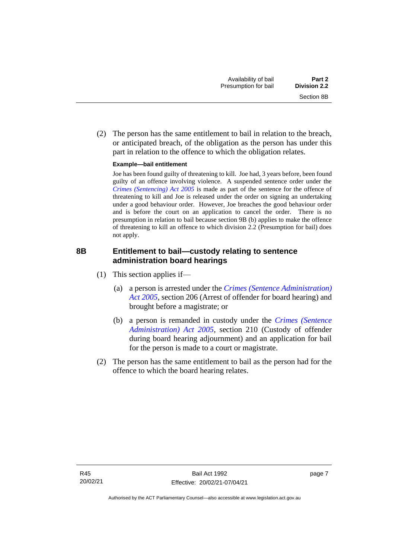(2) The person has the same entitlement to bail in relation to the breach, or anticipated breach, of the obligation as the person has under this part in relation to the offence to which the obligation relates.

#### **Example—bail entitlement**

Joe has been found guilty of threatening to kill. Joe had, 3 years before, been found guilty of an offence involving violence. A suspended sentence order under the *[Crimes \(Sentencing\) Act 2005](http://www.legislation.act.gov.au/a/2005-58)* is made as part of the sentence for the offence of threatening to kill and Joe is released under the order on signing an undertaking under a good behaviour order. However, Joe breaches the good behaviour order and is before the court on an application to cancel the order. There is no presumption in relation to bail because section 9B (b) applies to make the offence of threatening to kill an offence to which division 2.2 (Presumption for bail) does not apply.

## <span id="page-14-0"></span>**8B Entitlement to bail—custody relating to sentence administration board hearings**

- (1) This section applies if—
	- (a) a person is arrested under the *[Crimes \(Sentence Administration\)](http://www.legislation.act.gov.au/a/2005-59)  [Act 2005](http://www.legislation.act.gov.au/a/2005-59)*, section 206 (Arrest of offender for board hearing) and brought before a magistrate; or
	- (b) a person is remanded in custody under the *[Crimes \(Sentence](http://www.legislation.act.gov.au/a/2005-59)  [Administration\) Act 2005](http://www.legislation.act.gov.au/a/2005-59)*, section 210 (Custody of offender during board hearing adjournment) and an application for bail for the person is made to a court or magistrate.
- (2) The person has the same entitlement to bail as the person had for the offence to which the board hearing relates.

page 7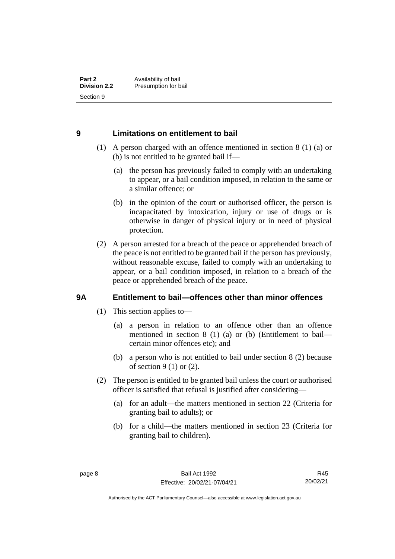### <span id="page-15-0"></span>**9 Limitations on entitlement to bail**

- (1) A person charged with an offence mentioned in section 8 (1) (a) or (b) is not entitled to be granted bail if—
	- (a) the person has previously failed to comply with an undertaking to appear, or a bail condition imposed, in relation to the same or a similar offence; or
	- (b) in the opinion of the court or authorised officer, the person is incapacitated by intoxication, injury or use of drugs or is otherwise in danger of physical injury or in need of physical protection.
- (2) A person arrested for a breach of the peace or apprehended breach of the peace is not entitled to be granted bail if the person has previously, without reasonable excuse, failed to comply with an undertaking to appear, or a bail condition imposed, in relation to a breach of the peace or apprehended breach of the peace.

## <span id="page-15-1"></span>**9A Entitlement to bail—offences other than minor offences**

- (1) This section applies to—
	- (a) a person in relation to an offence other than an offence mentioned in section 8 (1) (a) or (b) (Entitlement to bail certain minor offences etc); and
	- (b) a person who is not entitled to bail under section 8 (2) because of section 9 (1) or (2).
- (2) The person is entitled to be granted bail unless the court or authorised officer is satisfied that refusal is justified after considering—
	- (a) for an adult—the matters mentioned in section 22 (Criteria for granting bail to adults); or
	- (b) for a child—the matters mentioned in section 23 (Criteria for granting bail to children).

R45 20/02/21

Authorised by the ACT Parliamentary Counsel—also accessible at www.legislation.act.gov.au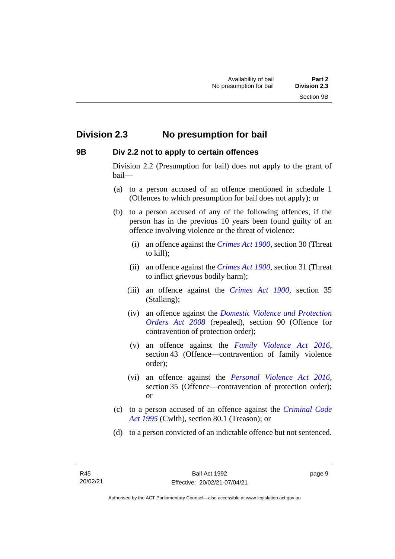## <span id="page-16-0"></span>**Division 2.3 No presumption for bail**

#### <span id="page-16-1"></span>**9B Div 2.2 not to apply to certain offences**

Division 2.2 (Presumption for bail) does not apply to the grant of bail—

- (a) to a person accused of an offence mentioned in schedule 1 (Offences to which presumption for bail does not apply); or
- (b) to a person accused of any of the following offences, if the person has in the previous 10 years been found guilty of an offence involving violence or the threat of violence:
	- (i) an offence against the *[Crimes Act 1900](http://www.legislation.act.gov.au/a/1900-40)*, section 30 (Threat to kill);
	- (ii) an offence against the *[Crimes Act 1900](http://www.legislation.act.gov.au/a/1900-40)*, section 31 (Threat to inflict grievous bodily harm);
	- (iii) an offence against the *[Crimes Act 1900](http://www.legislation.act.gov.au/a/1900-40)*, section 35 (Stalking);
	- (iv) an offence against the *[Domestic Violence and Protection](http://www.legislation.act.gov.au/a/2008-46)  [Orders Act 2008](http://www.legislation.act.gov.au/a/2008-46)* (repealed), section 90 (Offence for contravention of protection order);
	- (v) an offence against the *[Family Violence Act 2016](http://www.legislation.act.gov.au/a/2016-42)*, section 43 (Offence—contravention of family violence order);
	- (vi) an offence against the *[Personal Violence Act 2016](http://www.legislation.act.gov.au/a/2016-43)*, section 35 (Offence—contravention of protection order); or
- (c) to a person accused of an offence against the *[Criminal Code](http://www.comlaw.gov.au/Details/C2013C00138)  Act [1995](http://www.comlaw.gov.au/Details/C2013C00138)* (Cwlth), section 80.1 (Treason); or
- (d) to a person convicted of an indictable offence but not sentenced.

page 9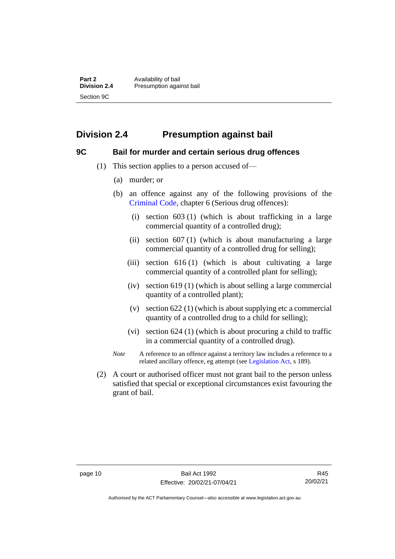**Part 2** Availability of bail<br> **Division 2.4** Presumption again **Division 2.4** Presumption against bail Section 9C

## <span id="page-17-0"></span>**Division 2.4 Presumption against bail**

## <span id="page-17-1"></span>**9C Bail for murder and certain serious drug offences**

- (1) This section applies to a person accused of—
	- (a) murder; or
	- (b) an offence against any of the following provisions of the [Criminal Code,](http://www.legislation.act.gov.au/a/2002-51) chapter 6 (Serious drug offences):
		- (i) section 603 (1) (which is about trafficking in a large commercial quantity of a controlled drug);
		- (ii) section 607 (1) (which is about manufacturing a large commercial quantity of a controlled drug for selling);
		- (iii) section 616 (1) (which is about cultivating a large commercial quantity of a controlled plant for selling);
		- (iv) section 619 (1) (which is about selling a large commercial quantity of a controlled plant);
		- (v) section 622 (1) (which is about supplying etc a commercial quantity of a controlled drug to a child for selling);
		- (vi) section 624 (1) (which is about procuring a child to traffic in a commercial quantity of a controlled drug).
	- *Note* A reference to an offence against a territory law includes a reference to a related ancillary offence, eg attempt (see [Legislation Act,](http://www.legislation.act.gov.au/a/2001-14) s 189).
- (2) A court or authorised officer must not grant bail to the person unless satisfied that special or exceptional circumstances exist favouring the grant of bail.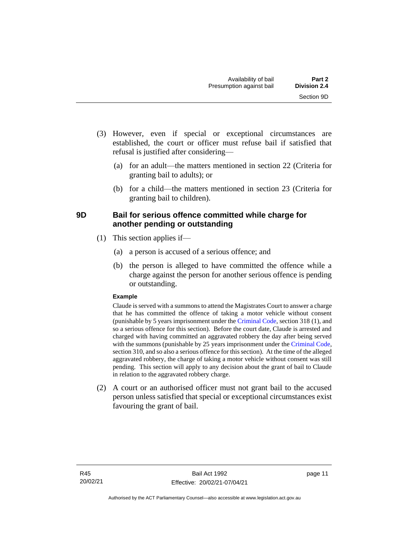- (3) However, even if special or exceptional circumstances are established, the court or officer must refuse bail if satisfied that refusal is justified after considering—
	- (a) for an adult—the matters mentioned in section 22 (Criteria for granting bail to adults); or
	- (b) for a child—the matters mentioned in section 23 (Criteria for granting bail to children).

## <span id="page-18-0"></span>**9D Bail for serious offence committed while charge for another pending or outstanding**

- (1) This section applies if—
	- (a) a person is accused of a serious offence; and
	- (b) the person is alleged to have committed the offence while a charge against the person for another serious offence is pending or outstanding.

#### **Example**

Claude is served with a summons to attend the Magistrates Court to answer a charge that he has committed the offence of taking a motor vehicle without consent (punishable by 5 years imprisonment under the [Criminal Code,](http://www.legislation.act.gov.au/a/2002-51) section 318 (1), and so a serious offence for this section). Before the court date, Claude is arrested and charged with having committed an aggravated robbery the day after being served with the summons (punishable by 25 years imprisonment under the [Criminal Code,](http://www.legislation.act.gov.au/a/2002-51) section 310, and so also a serious offence for this section). At the time of the alleged aggravated robbery, the charge of taking a motor vehicle without consent was still pending. This section will apply to any decision about the grant of bail to Claude in relation to the aggravated robbery charge.

(2) A court or an authorised officer must not grant bail to the accused person unless satisfied that special or exceptional circumstances exist favouring the grant of bail.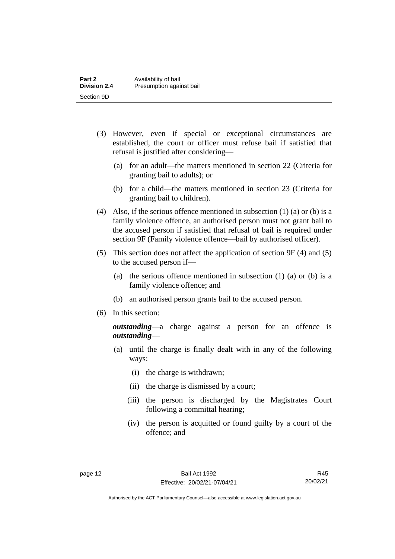| Part 2              | Availability of bail     |
|---------------------|--------------------------|
| <b>Division 2.4</b> | Presumption against bail |
| Section 9D          |                          |

- (3) However, even if special or exceptional circumstances are established, the court or officer must refuse bail if satisfied that refusal is justified after considering—
	- (a) for an adult—the matters mentioned in section 22 (Criteria for granting bail to adults); or
	- (b) for a child—the matters mentioned in section 23 (Criteria for granting bail to children).
- (4) Also, if the serious offence mentioned in subsection (1) (a) or (b) is a family violence offence, an authorised person must not grant bail to the accused person if satisfied that refusal of bail is required under section 9F (Family violence offence—bail by authorised officer).
- (5) This section does not affect the application of section 9F (4) and (5) to the accused person if—
	- (a) the serious offence mentioned in subsection (1) (a) or (b) is a family violence offence; and
	- (b) an authorised person grants bail to the accused person.
- (6) In this section:

*outstanding*—a charge against a person for an offence is *outstanding*—

- (a) until the charge is finally dealt with in any of the following ways:
	- (i) the charge is withdrawn;
	- (ii) the charge is dismissed by a court;
	- (iii) the person is discharged by the Magistrates Court following a committal hearing;
	- (iv) the person is acquitted or found guilty by a court of the offence; and

R45 20/02/21

Authorised by the ACT Parliamentary Counsel—also accessible at www.legislation.act.gov.au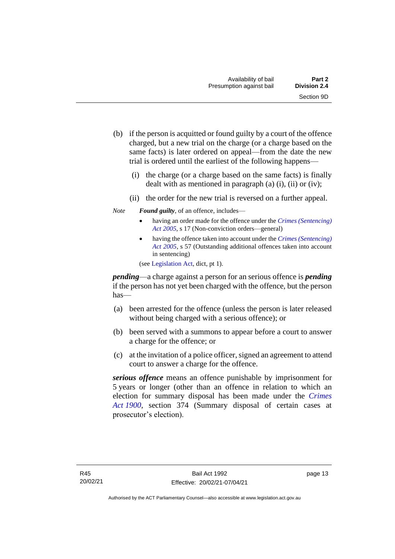- (b) if the person is acquitted or found guilty by a court of the offence charged, but a new trial on the charge (or a charge based on the same facts) is later ordered on appeal—from the date the new trial is ordered until the earliest of the following happens—
	- (i) the charge (or a charge based on the same facts) is finally dealt with as mentioned in paragraph  $(a)$   $(i)$ ,  $(ii)$  or  $(iv)$ ;
	- (ii) the order for the new trial is reversed on a further appeal.
- *Note Found guilty*, of an offence, includes—
	- having an order made for the offence under the *[Crimes \(Sentencing\)](http://www.legislation.act.gov.au/a/2005-58)  [Act 2005](http://www.legislation.act.gov.au/a/2005-58)*, s 17 (Non-conviction orders—general)
	- having the offence taken into account under the *[Crimes \(Sentencing\)](http://www.legislation.act.gov.au/a/2005-58)  [Act 2005](http://www.legislation.act.gov.au/a/2005-58)*, s 57 (Outstanding additional offences taken into account in sentencing)

(se[e Legislation Act,](http://www.legislation.act.gov.au/a/2001-14) dict, pt 1).

*pending*—a charge against a person for an serious offence is *pending*  if the person has not yet been charged with the offence, but the person has—

- (a) been arrested for the offence (unless the person is later released without being charged with a serious offence); or
- (b) been served with a summons to appear before a court to answer a charge for the offence; or
- (c) at the invitation of a police officer, signed an agreement to attend court to answer a charge for the offence.

*serious offence* means an offence punishable by imprisonment for 5 years or longer (other than an offence in relation to which an election for summary disposal has been made under the *[Crimes](http://www.legislation.act.gov.au/a/1900-40)  Act [1900](http://www.legislation.act.gov.au/a/1900-40)*, section 374 (Summary disposal of certain cases at prosecutor's election).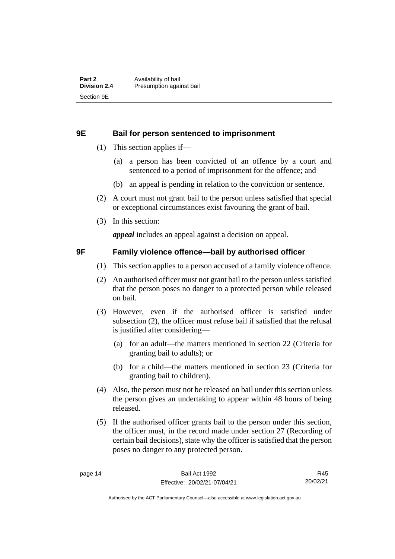#### <span id="page-21-0"></span>**9E Bail for person sentenced to imprisonment**

- (1) This section applies if—
	- (a) a person has been convicted of an offence by a court and sentenced to a period of imprisonment for the offence; and
	- (b) an appeal is pending in relation to the conviction or sentence.
- (2) A court must not grant bail to the person unless satisfied that special or exceptional circumstances exist favouring the grant of bail.
- (3) In this section:

*appeal* includes an appeal against a decision on appeal.

#### <span id="page-21-1"></span>**9F Family violence offence—bail by authorised officer**

- (1) This section applies to a person accused of a family violence offence.
- (2) An authorised officer must not grant bail to the person unless satisfied that the person poses no danger to a protected person while released on bail.
- (3) However, even if the authorised officer is satisfied under subsection (2), the officer must refuse bail if satisfied that the refusal is justified after considering—
	- (a) for an adult—the matters mentioned in section 22 (Criteria for granting bail to adults); or
	- (b) for a child—the matters mentioned in section 23 (Criteria for granting bail to children).
- (4) Also, the person must not be released on bail under this section unless the person gives an undertaking to appear within 48 hours of being released.
- (5) If the authorised officer grants bail to the person under this section, the officer must, in the record made under section 27 (Recording of certain bail decisions), state why the officer is satisfied that the person poses no danger to any protected person.

R45 20/02/21

Authorised by the ACT Parliamentary Counsel—also accessible at www.legislation.act.gov.au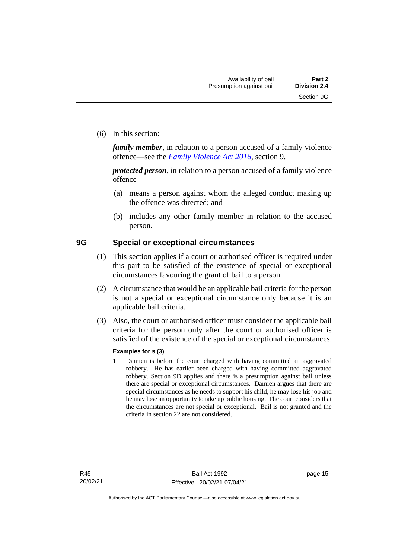(6) In this section:

*family member*, in relation to a person accused of a family violence offence—see the *[Family Violence Act 2016](http://www.legislation.act.gov.au/a/2016-42)*, section 9.

*protected person*, in relation to a person accused of a family violence offence—

- (a) means a person against whom the alleged conduct making up the offence was directed; and
- (b) includes any other family member in relation to the accused person.

#### <span id="page-22-0"></span>**9G Special or exceptional circumstances**

- (1) This section applies if a court or authorised officer is required under this part to be satisfied of the existence of special or exceptional circumstances favouring the grant of bail to a person.
- (2) A circumstance that would be an applicable bail criteria for the person is not a special or exceptional circumstance only because it is an applicable bail criteria.
- (3) Also, the court or authorised officer must consider the applicable bail criteria for the person only after the court or authorised officer is satisfied of the existence of the special or exceptional circumstances.

#### **Examples for s (3)**

1 Damien is before the court charged with having committed an aggravated robbery. He has earlier been charged with having committed aggravated robbery. Section 9D applies and there is a presumption against bail unless there are special or exceptional circumstances. Damien argues that there are special circumstances as he needs to support his child, he may lose his job and he may lose an opportunity to take up public housing. The court considers that the circumstances are not special or exceptional. Bail is not granted and the criteria in section 22 are not considered.

page 15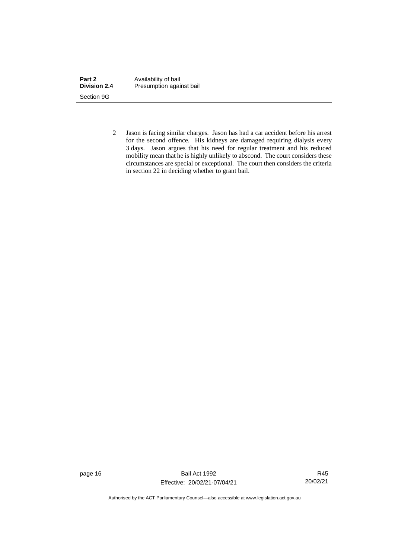| Part 2              | Availability of bail     |
|---------------------|--------------------------|
| <b>Division 2.4</b> | Presumption against bail |
| Section 9G          |                          |

2 Jason is facing similar charges. Jason has had a car accident before his arrest for the second offence. His kidneys are damaged requiring dialysis every 3 days. Jason argues that his need for regular treatment and his reduced mobility mean that he is highly unlikely to abscond. The court considers these circumstances are special or exceptional. The court then considers the criteria in section 22 in deciding whether to grant bail.

page 16 Bail Act 1992 Effective: 20/02/21-07/04/21

R45 20/02/21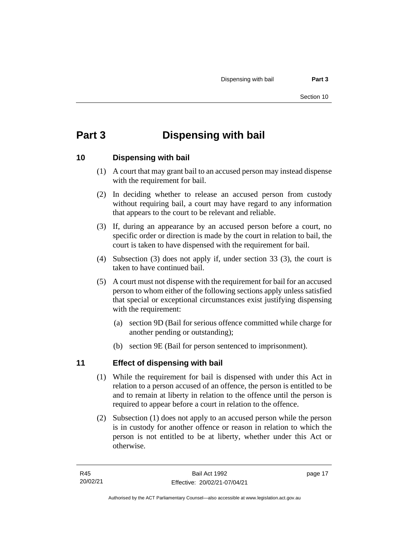# <span id="page-24-0"></span>**Part 3 Dispensing with bail**

## <span id="page-24-1"></span>**10 Dispensing with bail**

- (1) A court that may grant bail to an accused person may instead dispense with the requirement for bail.
- (2) In deciding whether to release an accused person from custody without requiring bail, a court may have regard to any information that appears to the court to be relevant and reliable.
- (3) If, during an appearance by an accused person before a court, no specific order or direction is made by the court in relation to bail, the court is taken to have dispensed with the requirement for bail.
- (4) Subsection (3) does not apply if, under section 33 (3), the court is taken to have continued bail.
- (5) A court must not dispense with the requirement for bail for an accused person to whom either of the following sections apply unless satisfied that special or exceptional circumstances exist justifying dispensing with the requirement:
	- (a) section 9D (Bail for serious offence committed while charge for another pending or outstanding);
	- (b) section 9E (Bail for person sentenced to imprisonment).

## <span id="page-24-2"></span>**11 Effect of dispensing with bail**

- (1) While the requirement for bail is dispensed with under this Act in relation to a person accused of an offence, the person is entitled to be and to remain at liberty in relation to the offence until the person is required to appear before a court in relation to the offence.
- (2) Subsection (1) does not apply to an accused person while the person is in custody for another offence or reason in relation to which the person is not entitled to be at liberty, whether under this Act or otherwise.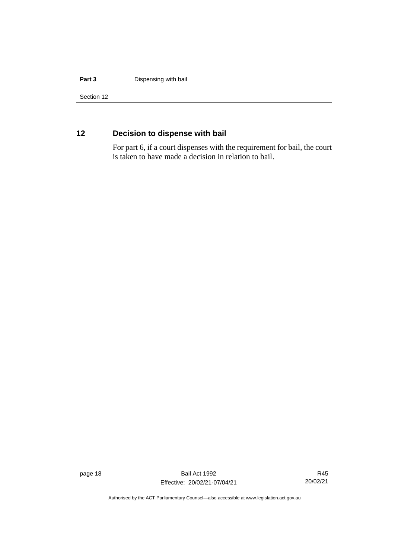#### **Part 3 Dispensing with bail**

Section 12

## <span id="page-25-0"></span>**12 Decision to dispense with bail**

For part 6, if a court dispenses with the requirement for bail, the court is taken to have made a decision in relation to bail.

page 18 Bail Act 1992 Effective: 20/02/21-07/04/21

R45 20/02/21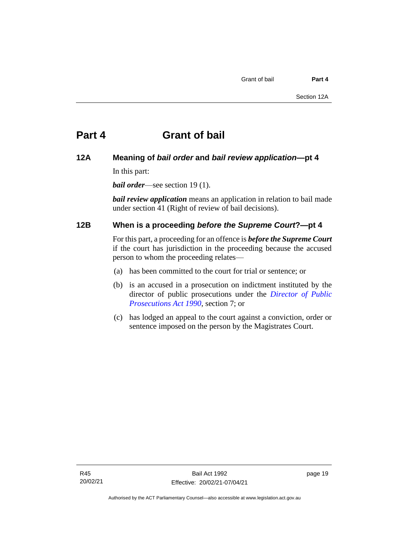### <span id="page-26-1"></span><span id="page-26-0"></span>**12A Meaning of** *bail order* **and** *bail review application***—pt 4**

In this part:

*bail order*—see section 19 (1).

*bail review application* means an application in relation to bail made under section 41 (Right of review of bail decisions).

### <span id="page-26-2"></span>**12B When is a proceeding** *before the Supreme Court***?—pt 4**

For this part, a proceeding for an offence is *before the Supreme Court* if the court has jurisdiction in the proceeding because the accused person to whom the proceeding relates—

- (a) has been committed to the court for trial or sentence; or
- (b) is an accused in a prosecution on indictment instituted by the director of public prosecutions under the *[Director of Public](http://www.legislation.act.gov.au/a/1990-22)  [Prosecutions Act 1990](http://www.legislation.act.gov.au/a/1990-22)*, section 7; or
- (c) has lodged an appeal to the court against a conviction, order or sentence imposed on the person by the Magistrates Court.

page 19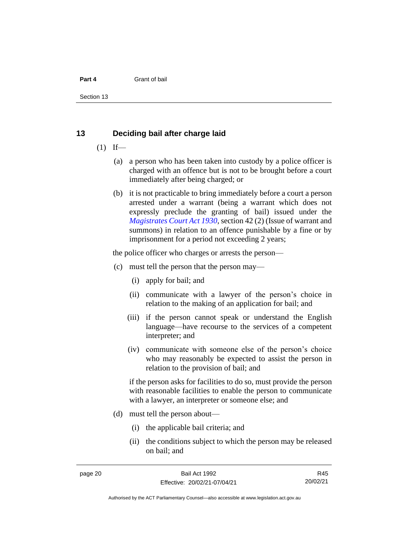Section 13

#### <span id="page-27-0"></span>**13 Deciding bail after charge laid**

- $(1)$  If—
	- (a) a person who has been taken into custody by a police officer is charged with an offence but is not to be brought before a court immediately after being charged; or
	- (b) it is not practicable to bring immediately before a court a person arrested under a warrant (being a warrant which does not expressly preclude the granting of bail) issued under the *[Magistrates Court Act 1930](http://www.legislation.act.gov.au/a/1930-21)*, section 42 (2) (Issue of warrant and summons) in relation to an offence punishable by a fine or by imprisonment for a period not exceeding 2 years;

the police officer who charges or arrests the person—

- (c) must tell the person that the person may—
	- (i) apply for bail; and
	- (ii) communicate with a lawyer of the person's choice in relation to the making of an application for bail; and
	- (iii) if the person cannot speak or understand the English language—have recourse to the services of a competent interpreter; and
	- (iv) communicate with someone else of the person's choice who may reasonably be expected to assist the person in relation to the provision of bail; and

if the person asks for facilities to do so, must provide the person with reasonable facilities to enable the person to communicate with a lawyer, an interpreter or someone else; and

- (d) must tell the person about—
	- (i) the applicable bail criteria; and
	- (ii) the conditions subject to which the person may be released on bail; and

R45 20/02/21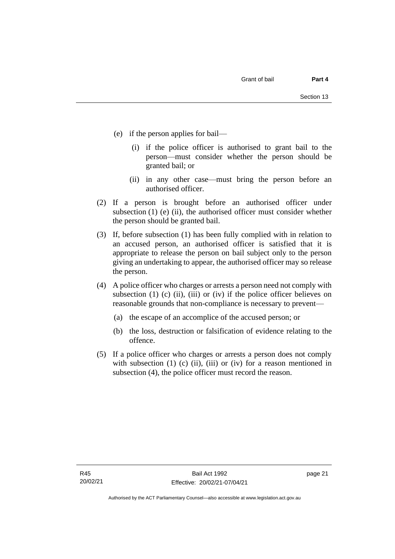- (e) if the person applies for bail—
	- (i) if the police officer is authorised to grant bail to the person—must consider whether the person should be granted bail; or
	- (ii) in any other case—must bring the person before an authorised officer.
- (2) If a person is brought before an authorised officer under subsection  $(1)$  (e)  $(ii)$ , the authorised officer must consider whether the person should be granted bail.
- (3) If, before subsection (1) has been fully complied with in relation to an accused person, an authorised officer is satisfied that it is appropriate to release the person on bail subject only to the person giving an undertaking to appear, the authorised officer may so release the person.
- (4) A police officer who charges or arrests a person need not comply with subsection (1) (c) (ii), (iii) or (iv) if the police officer believes on reasonable grounds that non-compliance is necessary to prevent—
	- (a) the escape of an accomplice of the accused person; or
	- (b) the loss, destruction or falsification of evidence relating to the offence.
- (5) If a police officer who charges or arrests a person does not comply with subsection  $(1)$   $(c)$   $(ii)$ ,  $(iii)$  or  $(iv)$  for a reason mentioned in subsection (4), the police officer must record the reason.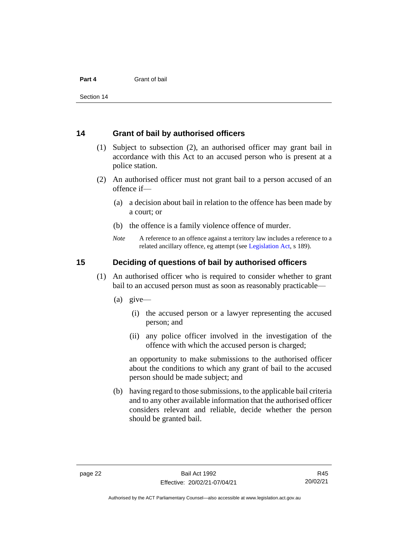Section 14

#### <span id="page-29-0"></span>**14 Grant of bail by authorised officers**

- (1) Subject to subsection (2), an authorised officer may grant bail in accordance with this Act to an accused person who is present at a police station.
- (2) An authorised officer must not grant bail to a person accused of an offence if—
	- (a) a decision about bail in relation to the offence has been made by a court; or
	- (b) the offence is a family violence offence of murder.
	- *Note* A reference to an offence against a territory law includes a reference to a related ancillary offence, eg attempt (see [Legislation Act,](http://www.legislation.act.gov.au/a/2001-14) s 189).

#### <span id="page-29-1"></span>**15 Deciding of questions of bail by authorised officers**

- (1) An authorised officer who is required to consider whether to grant bail to an accused person must as soon as reasonably practicable—
	- (a) give—
		- (i) the accused person or a lawyer representing the accused person; and
		- (ii) any police officer involved in the investigation of the offence with which the accused person is charged;

an opportunity to make submissions to the authorised officer about the conditions to which any grant of bail to the accused person should be made subject; and

(b) having regard to those submissions, to the applicable bail criteria and to any other available information that the authorised officer considers relevant and reliable, decide whether the person should be granted bail.

Authorised by the ACT Parliamentary Counsel—also accessible at www.legislation.act.gov.au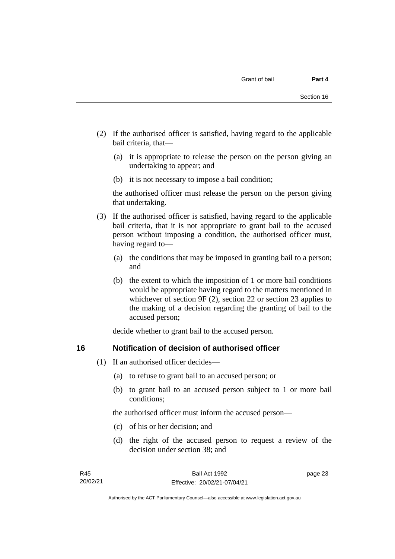- (2) If the authorised officer is satisfied, having regard to the applicable bail criteria, that—
	- (a) it is appropriate to release the person on the person giving an undertaking to appear; and
	- (b) it is not necessary to impose a bail condition;

the authorised officer must release the person on the person giving that undertaking.

- (3) If the authorised officer is satisfied, having regard to the applicable bail criteria, that it is not appropriate to grant bail to the accused person without imposing a condition, the authorised officer must, having regard to—
	- (a) the conditions that may be imposed in granting bail to a person; and
	- (b) the extent to which the imposition of 1 or more bail conditions would be appropriate having regard to the matters mentioned in whichever of section 9F (2), section 22 or section 23 applies to the making of a decision regarding the granting of bail to the accused person;

decide whether to grant bail to the accused person.

#### <span id="page-30-0"></span>**16 Notification of decision of authorised officer**

- (1) If an authorised officer decides—
	- (a) to refuse to grant bail to an accused person; or
	- (b) to grant bail to an accused person subject to 1 or more bail conditions;

the authorised officer must inform the accused person—

- (c) of his or her decision; and
- (d) the right of the accused person to request a review of the decision under section 38; and

page 23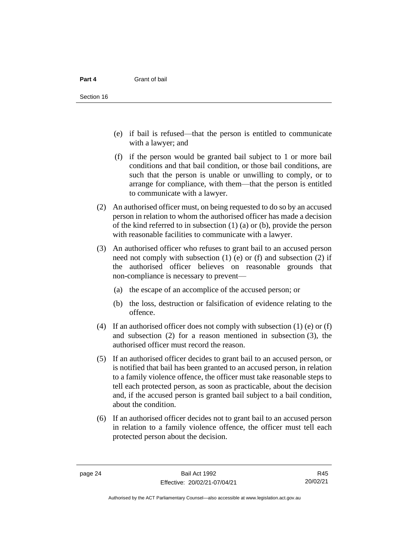- (e) if bail is refused—that the person is entitled to communicate with a lawyer; and
- (f) if the person would be granted bail subject to 1 or more bail conditions and that bail condition, or those bail conditions, are such that the person is unable or unwilling to comply, or to arrange for compliance, with them—that the person is entitled to communicate with a lawyer.
- (2) An authorised officer must, on being requested to do so by an accused person in relation to whom the authorised officer has made a decision of the kind referred to in subsection (1) (a) or (b), provide the person with reasonable facilities to communicate with a lawyer.
- (3) An authorised officer who refuses to grant bail to an accused person need not comply with subsection (1) (e) or (f) and subsection (2) if the authorised officer believes on reasonable grounds that non-compliance is necessary to prevent—
	- (a) the escape of an accomplice of the accused person; or
	- (b) the loss, destruction or falsification of evidence relating to the offence.
- (4) If an authorised officer does not comply with subsection (1) (e) or (f) and subsection (2) for a reason mentioned in subsection (3), the authorised officer must record the reason.
- (5) If an authorised officer decides to grant bail to an accused person, or is notified that bail has been granted to an accused person, in relation to a family violence offence, the officer must take reasonable steps to tell each protected person, as soon as practicable, about the decision and, if the accused person is granted bail subject to a bail condition, about the condition.
- (6) If an authorised officer decides not to grant bail to an accused person in relation to a family violence offence, the officer must tell each protected person about the decision.

R45 20/02/21

Authorised by the ACT Parliamentary Counsel—also accessible at www.legislation.act.gov.au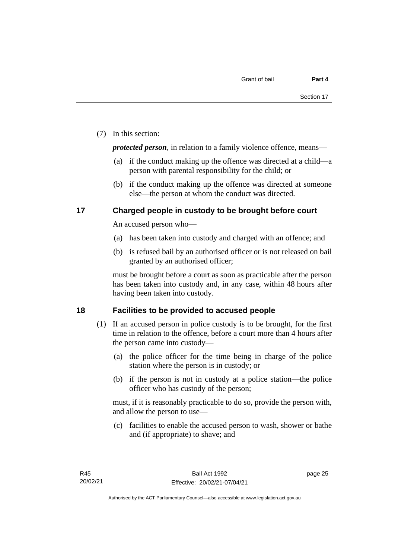(7) In this section:

*protected person*, in relation to a family violence offence, means—

- (a) if the conduct making up the offence was directed at a child—a person with parental responsibility for the child; or
- (b) if the conduct making up the offence was directed at someone else—the person at whom the conduct was directed.

### <span id="page-32-0"></span>**17 Charged people in custody to be brought before court**

An accused person who—

- (a) has been taken into custody and charged with an offence; and
- (b) is refused bail by an authorised officer or is not released on bail granted by an authorised officer;

must be brought before a court as soon as practicable after the person has been taken into custody and, in any case, within 48 hours after having been taken into custody.

## <span id="page-32-1"></span>**18 Facilities to be provided to accused people**

- (1) If an accused person in police custody is to be brought, for the first time in relation to the offence, before a court more than 4 hours after the person came into custody—
	- (a) the police officer for the time being in charge of the police station where the person is in custody; or
	- (b) if the person is not in custody at a police station—the police officer who has custody of the person;

must, if it is reasonably practicable to do so, provide the person with, and allow the person to use—

(c) facilities to enable the accused person to wash, shower or bathe and (if appropriate) to shave; and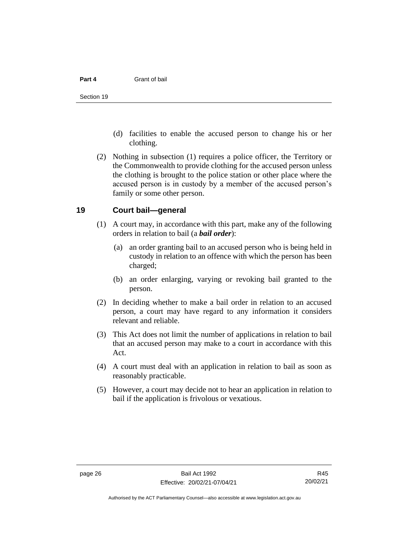- (d) facilities to enable the accused person to change his or her clothing.
- (2) Nothing in subsection (1) requires a police officer, the Territory or the Commonwealth to provide clothing for the accused person unless the clothing is brought to the police station or other place where the accused person is in custody by a member of the accused person's family or some other person.

#### <span id="page-33-0"></span>**19 Court bail—general**

- (1) A court may, in accordance with this part, make any of the following orders in relation to bail (a *bail order*):
	- (a) an order granting bail to an accused person who is being held in custody in relation to an offence with which the person has been charged;
	- (b) an order enlarging, varying or revoking bail granted to the person.
- (2) In deciding whether to make a bail order in relation to an accused person, a court may have regard to any information it considers relevant and reliable.
- (3) This Act does not limit the number of applications in relation to bail that an accused person may make to a court in accordance with this Act.
- (4) A court must deal with an application in relation to bail as soon as reasonably practicable.
- (5) However, a court may decide not to hear an application in relation to bail if the application is frivolous or vexatious.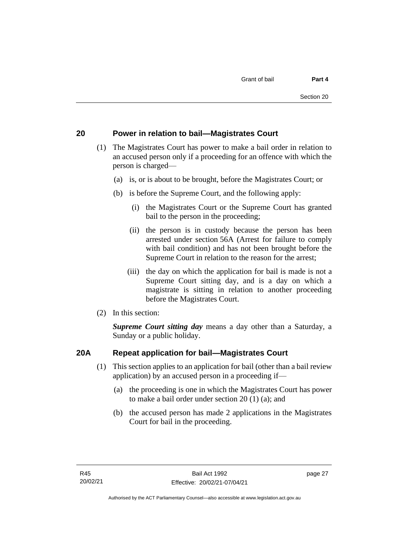### <span id="page-34-0"></span>**20 Power in relation to bail—Magistrates Court**

- (1) The Magistrates Court has power to make a bail order in relation to an accused person only if a proceeding for an offence with which the person is charged—
	- (a) is, or is about to be brought, before the Magistrates Court; or
	- (b) is before the Supreme Court, and the following apply:
		- (i) the Magistrates Court or the Supreme Court has granted bail to the person in the proceeding;
		- (ii) the person is in custody because the person has been arrested under section 56A (Arrest for failure to comply with bail condition) and has not been brought before the Supreme Court in relation to the reason for the arrest;
		- (iii) the day on which the application for bail is made is not a Supreme Court sitting day, and is a day on which a magistrate is sitting in relation to another proceeding before the Magistrates Court.
- (2) In this section:

*Supreme Court sitting day* means a day other than a Saturday, a Sunday or a public holiday.

## <span id="page-34-1"></span>**20A Repeat application for bail—Magistrates Court**

- (1) This section applies to an application for bail (other than a bail review application) by an accused person in a proceeding if—
	- (a) the proceeding is one in which the Magistrates Court has power to make a bail order under section 20 (1) (a); and
	- (b) the accused person has made 2 applications in the Magistrates Court for bail in the proceeding.

page 27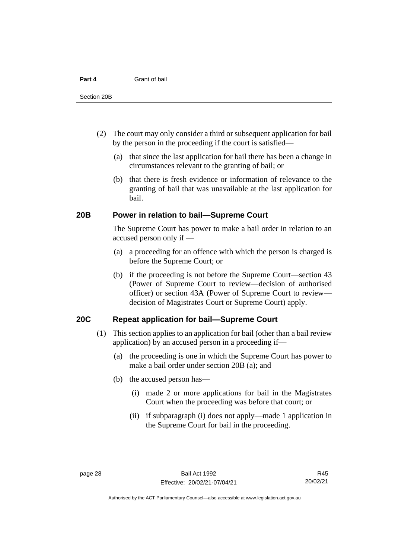- (2) The court may only consider a third or subsequent application for bail by the person in the proceeding if the court is satisfied—
	- (a) that since the last application for bail there has been a change in circumstances relevant to the granting of bail; or
	- (b) that there is fresh evidence or information of relevance to the granting of bail that was unavailable at the last application for bail.

#### <span id="page-35-0"></span>**20B Power in relation to bail—Supreme Court**

The Supreme Court has power to make a bail order in relation to an accused person only if —

- (a) a proceeding for an offence with which the person is charged is before the Supreme Court; or
- (b) if the proceeding is not before the Supreme Court—section 43 (Power of Supreme Court to review—decision of authorised officer) or section 43A (Power of Supreme Court to review decision of Magistrates Court or Supreme Court) apply.

#### <span id="page-35-1"></span>**20C Repeat application for bail—Supreme Court**

- (1) This section applies to an application for bail (other than a bail review application) by an accused person in a proceeding if—
	- (a) the proceeding is one in which the Supreme Court has power to make a bail order under section 20B (a); and
	- (b) the accused person has—
		- (i) made 2 or more applications for bail in the Magistrates Court when the proceeding was before that court; or
		- (ii) if subparagraph (i) does not apply—made 1 application in the Supreme Court for bail in the proceeding.

R45 20/02/21

Authorised by the ACT Parliamentary Counsel—also accessible at www.legislation.act.gov.au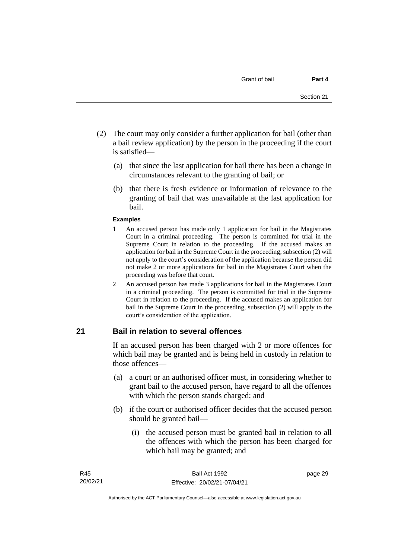- (2) The court may only consider a further application for bail (other than a bail review application) by the person in the proceeding if the court is satisfied—
	- (a) that since the last application for bail there has been a change in circumstances relevant to the granting of bail; or
	- (b) that there is fresh evidence or information of relevance to the granting of bail that was unavailable at the last application for bail.

#### **Examples**

- 1 An accused person has made only 1 application for bail in the Magistrates Court in a criminal proceeding. The person is committed for trial in the Supreme Court in relation to the proceeding. If the accused makes an application for bail in the Supreme Court in the proceeding, subsection (2) will not apply to the court's consideration of the application because the person did not make 2 or more applications for bail in the Magistrates Court when the proceeding was before that court.
- 2 An accused person has made 3 applications for bail in the Magistrates Court in a criminal proceeding. The person is committed for trial in the Supreme Court in relation to the proceeding. If the accused makes an application for bail in the Supreme Court in the proceeding, subsection (2) will apply to the court's consideration of the application.

### **21 Bail in relation to several offences**

If an accused person has been charged with 2 or more offences for which bail may be granted and is being held in custody in relation to those offences—

- (a) a court or an authorised officer must, in considering whether to grant bail to the accused person, have regard to all the offences with which the person stands charged; and
- (b) if the court or authorised officer decides that the accused person should be granted bail—
	- (i) the accused person must be granted bail in relation to all the offences with which the person has been charged for which bail may be granted; and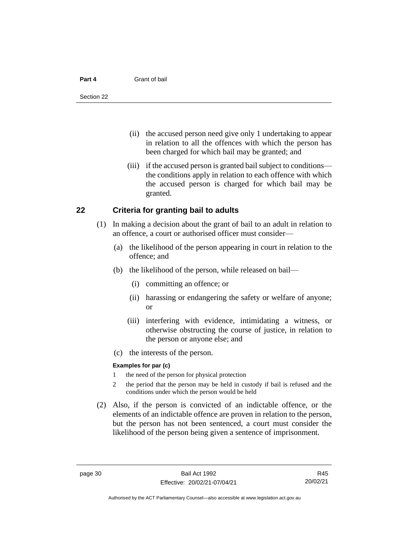#### **Part 4** Grant of bail

- (ii) the accused person need give only 1 undertaking to appear in relation to all the offences with which the person has been charged for which bail may be granted; and
- (iii) if the accused person is granted bail subject to conditions the conditions apply in relation to each offence with which the accused person is charged for which bail may be granted.

### **22 Criteria for granting bail to adults**

- (1) In making a decision about the grant of bail to an adult in relation to an offence, a court or authorised officer must consider—
	- (a) the likelihood of the person appearing in court in relation to the offence; and
	- (b) the likelihood of the person, while released on bail—
		- (i) committing an offence; or
		- (ii) harassing or endangering the safety or welfare of anyone; or
		- (iii) interfering with evidence, intimidating a witness, or otherwise obstructing the course of justice, in relation to the person or anyone else; and
	- (c) the interests of the person.

### **Examples for par (c)**

- 1 the need of the person for physical protection
- 2 the period that the person may be held in custody if bail is refused and the conditions under which the person would be held
- (2) Also, if the person is convicted of an indictable offence, or the elements of an indictable offence are proven in relation to the person, but the person has not been sentenced, a court must consider the likelihood of the person being given a sentence of imprisonment.

R45 20/02/21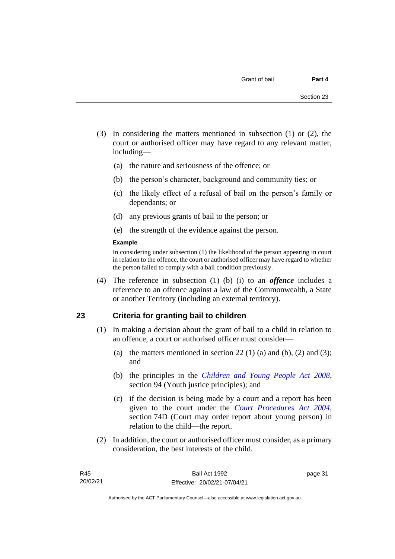- (3) In considering the matters mentioned in subsection (1) or (2), the court or authorised officer may have regard to any relevant matter, including—
	- (a) the nature and seriousness of the offence; or
	- (b) the person's character, background and community ties; or
	- (c) the likely effect of a refusal of bail on the person's family or dependants; or
	- (d) any previous grants of bail to the person; or
	- (e) the strength of the evidence against the person.

### **Example**

In considering under subsection (1) the likelihood of the person appearing in court in relation to the offence, the court or authorised officer may have regard to whether the person failed to comply with a bail condition previously.

(4) The reference in subsection (1) (b) (i) to an *offence* includes a reference to an offence against a law of the Commonwealth, a State or another Territory (including an external territory).

### **23 Criteria for granting bail to children**

- (1) In making a decision about the grant of bail to a child in relation to an offence, a court or authorised officer must consider—
	- (a) the matters mentioned in section 22 (1) (a) and (b), (2) and (3); and
	- (b) the principles in the *[Children and Young People Act 2008](http://www.legislation.act.gov.au/a/2008-19)*, section 94 (Youth justice principles); and
	- (c) if the decision is being made by a court and a report has been given to the court under the *[Court Procedures Act 2004](http://www.legislation.act.gov.au/a/2004-59)*, section 74D (Court may order report about young person) in relation to the child—the report.
- (2) In addition, the court or authorised officer must consider, as a primary consideration, the best interests of the child.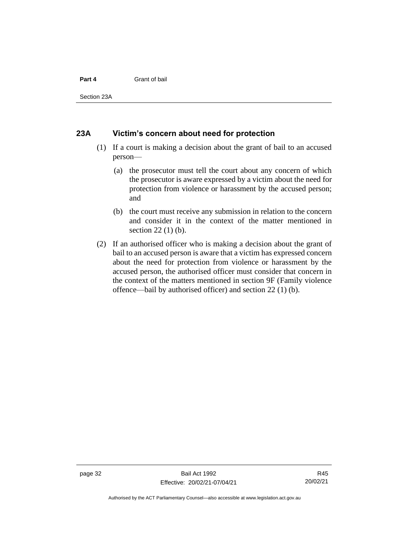### **Part 4** Grant of bail

Section 23A

### **23A Victim's concern about need for protection**

- (1) If a court is making a decision about the grant of bail to an accused person—
	- (a) the prosecutor must tell the court about any concern of which the prosecutor is aware expressed by a victim about the need for protection from violence or harassment by the accused person; and
	- (b) the court must receive any submission in relation to the concern and consider it in the context of the matter mentioned in section 22 (1) (b).
- (2) If an authorised officer who is making a decision about the grant of bail to an accused person is aware that a victim has expressed concern about the need for protection from violence or harassment by the accused person, the authorised officer must consider that concern in the context of the matters mentioned in section 9F (Family violence offence—bail by authorised officer) and section 22 (1) (b).

Authorised by the ACT Parliamentary Counsel—also accessible at www.legislation.act.gov.au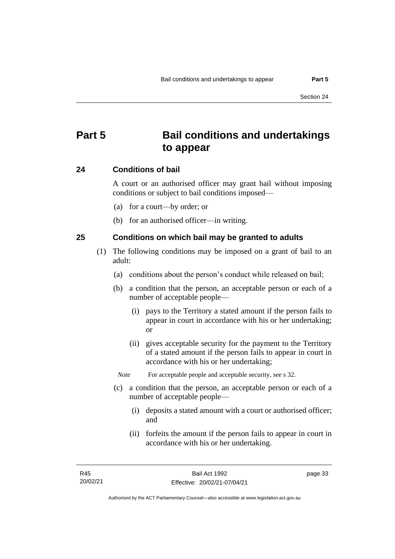# **Part 5 Bail conditions and undertakings to appear**

### **24 Conditions of bail**

A court or an authorised officer may grant bail without imposing conditions or subject to bail conditions imposed—

- (a) for a court—by order; or
- (b) for an authorised officer—in writing.

### **25 Conditions on which bail may be granted to adults**

- (1) The following conditions may be imposed on a grant of bail to an adult:
	- (a) conditions about the person's conduct while released on bail;
	- (b) a condition that the person, an acceptable person or each of a number of acceptable people—
		- (i) pays to the Territory a stated amount if the person fails to appear in court in accordance with his or her undertaking; or
		- (ii) gives acceptable security for the payment to the Territory of a stated amount if the person fails to appear in court in accordance with his or her undertaking;

*Note* For acceptable people and acceptable security, see s 32.

- (c) a condition that the person, an acceptable person or each of a number of acceptable people—
	- (i) deposits a stated amount with a court or authorised officer; and
	- (ii) forfeits the amount if the person fails to appear in court in accordance with his or her undertaking.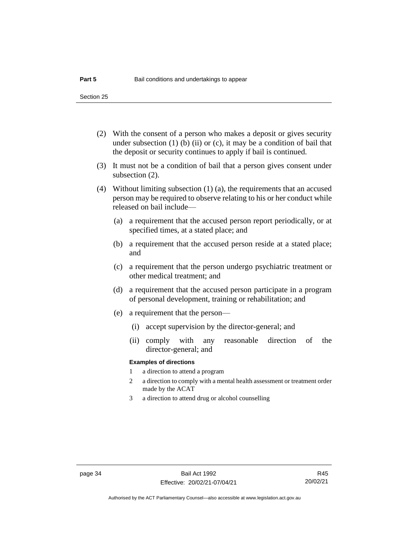- (2) With the consent of a person who makes a deposit or gives security under subsection  $(1)$  (b)  $(ii)$  or  $(c)$ , it may be a condition of bail that the deposit or security continues to apply if bail is continued.
- (3) It must not be a condition of bail that a person gives consent under subsection (2).
- (4) Without limiting subsection (1) (a), the requirements that an accused person may be required to observe relating to his or her conduct while released on bail include—
	- (a) a requirement that the accused person report periodically, or at specified times, at a stated place; and
	- (b) a requirement that the accused person reside at a stated place; and
	- (c) a requirement that the person undergo psychiatric treatment or other medical treatment; and
	- (d) a requirement that the accused person participate in a program of personal development, training or rehabilitation; and
	- (e) a requirement that the person—
		- (i) accept supervision by the director-general; and
		- (ii) comply with any reasonable direction of the director-general; and

### **Examples of directions**

- 1 a direction to attend a program
- 2 a direction to comply with a mental health assessment or treatment order made by the ACAT
- 3 a direction to attend drug or alcohol counselling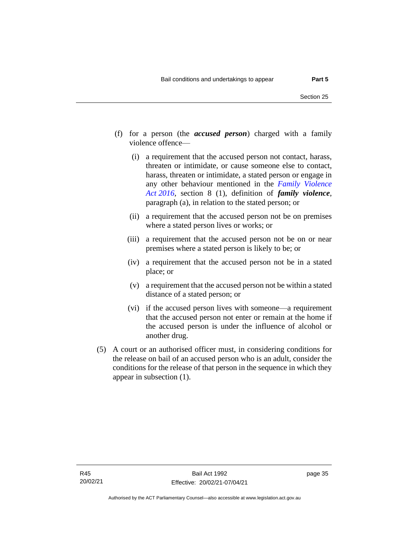- (f) for a person (the *accused person*) charged with a family violence offence—
	- (i) a requirement that the accused person not contact, harass, threaten or intimidate, or cause someone else to contact, harass, threaten or intimidate, a stated person or engage in any other behaviour mentioned in the *[Family Violence](http://www.legislation.act.gov.au/a/2016-42)  Act [2016](http://www.legislation.act.gov.au/a/2016-42)*, section 8 (1), definition of *family violence*, paragraph (a), in relation to the stated person; or
	- (ii) a requirement that the accused person not be on premises where a stated person lives or works; or
	- (iii) a requirement that the accused person not be on or near premises where a stated person is likely to be; or
	- (iv) a requirement that the accused person not be in a stated place; or
	- (v) a requirement that the accused person not be within a stated distance of a stated person; or
	- (vi) if the accused person lives with someone—a requirement that the accused person not enter or remain at the home if the accused person is under the influence of alcohol or another drug.
- (5) A court or an authorised officer must, in considering conditions for the release on bail of an accused person who is an adult, consider the conditions for the release of that person in the sequence in which they appear in subsection (1).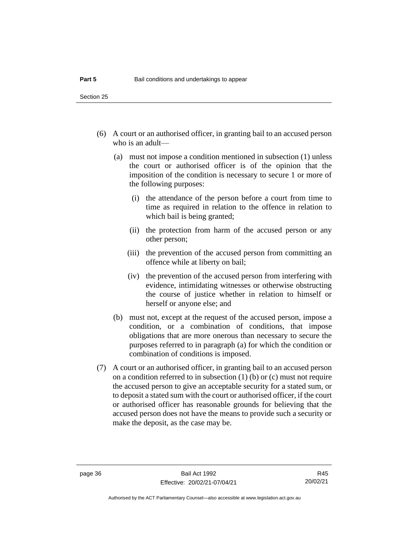- (6) A court or an authorised officer, in granting bail to an accused person who is an adult—
	- (a) must not impose a condition mentioned in subsection (1) unless the court or authorised officer is of the opinion that the imposition of the condition is necessary to secure 1 or more of the following purposes:
		- (i) the attendance of the person before a court from time to time as required in relation to the offence in relation to which bail is being granted;
		- (ii) the protection from harm of the accused person or any other person;
		- (iii) the prevention of the accused person from committing an offence while at liberty on bail;
		- (iv) the prevention of the accused person from interfering with evidence, intimidating witnesses or otherwise obstructing the course of justice whether in relation to himself or herself or anyone else; and
	- (b) must not, except at the request of the accused person, impose a condition, or a combination of conditions, that impose obligations that are more onerous than necessary to secure the purposes referred to in paragraph (a) for which the condition or combination of conditions is imposed.
- (7) A court or an authorised officer, in granting bail to an accused person on a condition referred to in subsection (1) (b) or (c) must not require the accused person to give an acceptable security for a stated sum, or to deposit a stated sum with the court or authorised officer, if the court or authorised officer has reasonable grounds for believing that the accused person does not have the means to provide such a security or make the deposit, as the case may be.

R45 20/02/21

Authorised by the ACT Parliamentary Counsel—also accessible at www.legislation.act.gov.au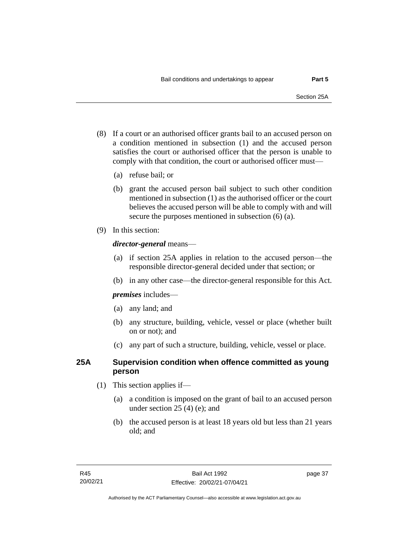- (8) If a court or an authorised officer grants bail to an accused person on a condition mentioned in subsection (1) and the accused person satisfies the court or authorised officer that the person is unable to comply with that condition, the court or authorised officer must—
	- (a) refuse bail; or
	- (b) grant the accused person bail subject to such other condition mentioned in subsection (1) as the authorised officer or the court believes the accused person will be able to comply with and will secure the purposes mentioned in subsection (6) (a).
- (9) In this section:

### *director-general* means—

- (a) if section 25A applies in relation to the accused person—the responsible director-general decided under that section; or
- (b) in any other case—the director-general responsible for this Act.

*premises* includes—

- (a) any land; and
- (b) any structure, building, vehicle, vessel or place (whether built on or not); and
- (c) any part of such a structure, building, vehicle, vessel or place.

### **25A Supervision condition when offence committed as young person**

- (1) This section applies if—
	- (a) a condition is imposed on the grant of bail to an accused person under section 25 (4) (e); and
	- (b) the accused person is at least 18 years old but less than 21 years old; and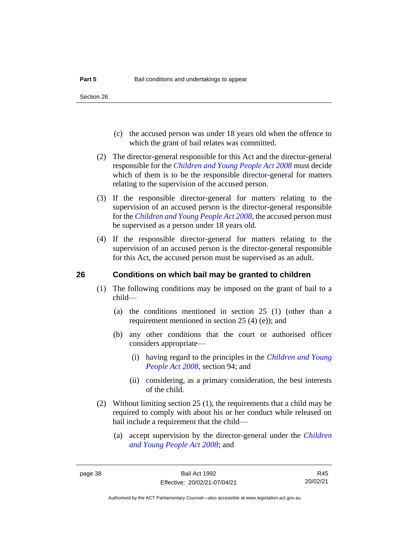- (c) the accused person was under 18 years old when the offence to which the grant of bail relates was committed.
- (2) The director-general responsible for this Act and the director-general responsible for the *[Children and Young People Act 2008](http://www.legislation.act.gov.au/a/2008-19)* must decide which of them is to be the responsible director-general for matters relating to the supervision of the accused person.
- (3) If the responsible director-general for matters relating to the supervision of an accused person is the director-general responsible for the *[Children and Young People Act 2008](http://www.legislation.act.gov.au/a/2008-19)*, the accused person must be supervised as a person under 18 years old.
- (4) If the responsible director-general for matters relating to the supervision of an accused person is the director-general responsible for this Act, the accused person must be supervised as an adult.

### **26 Conditions on which bail may be granted to children**

- (1) The following conditions may be imposed on the grant of bail to a child—
	- (a) the conditions mentioned in section 25 (1) (other than a requirement mentioned in section 25 (4) (e)); and
	- (b) any other conditions that the court or authorised officer considers appropriate—
		- (i) having regard to the principles in the *[Children and Young](http://www.legislation.act.gov.au/a/2008-19)  [People Act 2008](http://www.legislation.act.gov.au/a/2008-19)*, section 94; and
		- (ii) considering, as a primary consideration, the best interests of the child.
- (2) Without limiting section 25 (1), the requirements that a child may be required to comply with about his or her conduct while released on bail include a requirement that the child—
	- (a) accept supervision by the director-general under the *[Children](http://www.legislation.act.gov.au/a/2008-19)  [and Young People Act 2008](http://www.legislation.act.gov.au/a/2008-19)*; and

R45 20/02/21

Authorised by the ACT Parliamentary Counsel—also accessible at www.legislation.act.gov.au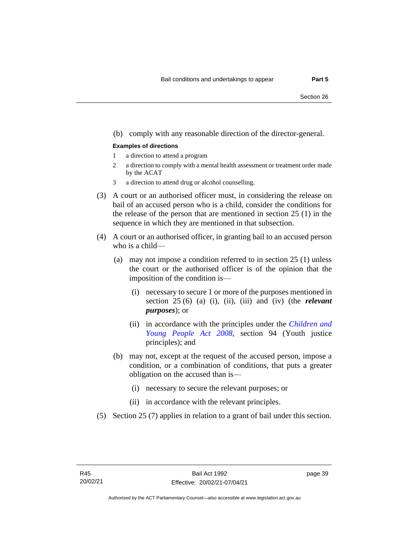### (b) comply with any reasonable direction of the director-general.

#### **Examples of directions**

- 1 a direction to attend a program
- 2 a direction to comply with a mental health assessment or treatment order made by the ACAT
- 3 a direction to attend drug or alcohol counselling.
- (3) A court or an authorised officer must, in considering the release on bail of an accused person who is a child, consider the conditions for the release of the person that are mentioned in section 25 (1) in the sequence in which they are mentioned in that subsection.
- (4) A court or an authorised officer, in granting bail to an accused person who is a child—
	- (a) may not impose a condition referred to in section 25 (1) unless the court or the authorised officer is of the opinion that the imposition of the condition is—
		- (i) necessary to secure 1 or more of the purposes mentioned in section 25 (6) (a) (i), (ii), (iii) and (iv) (the *relevant purposes*); or
		- (ii) in accordance with the principles under the *[Children and](http://www.legislation.act.gov.au/a/2008-19)  [Young People Act 2008](http://www.legislation.act.gov.au/a/2008-19)*, section 94 (Youth justice principles); and
	- (b) may not, except at the request of the accused person, impose a condition, or a combination of conditions, that puts a greater obligation on the accused than is—
		- (i) necessary to secure the relevant purposes; or
		- (ii) in accordance with the relevant principles.
- (5) Section 25 (7) applies in relation to a grant of bail under this section.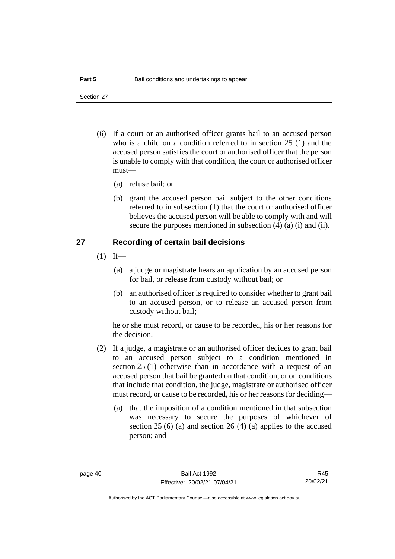Section 27

- (6) If a court or an authorised officer grants bail to an accused person who is a child on a condition referred to in section 25 (1) and the accused person satisfies the court or authorised officer that the person is unable to comply with that condition, the court or authorised officer must—
	- (a) refuse bail; or
	- (b) grant the accused person bail subject to the other conditions referred to in subsection (1) that the court or authorised officer believes the accused person will be able to comply with and will secure the purposes mentioned in subsection (4) (a) (i) and (ii).

### **27 Recording of certain bail decisions**

- $(1)$  If—
	- (a) a judge or magistrate hears an application by an accused person for bail, or release from custody without bail; or
	- (b) an authorised officer is required to consider whether to grant bail to an accused person, or to release an accused person from custody without bail;

he or she must record, or cause to be recorded, his or her reasons for the decision.

- (2) If a judge, a magistrate or an authorised officer decides to grant bail to an accused person subject to a condition mentioned in section 25 (1) otherwise than in accordance with a request of an accused person that bail be granted on that condition, or on conditions that include that condition, the judge, magistrate or authorised officer must record, or cause to be recorded, his or her reasons for deciding—
	- (a) that the imposition of a condition mentioned in that subsection was necessary to secure the purposes of whichever of section 25 (6) (a) and section 26 (4) (a) applies to the accused person; and

R45 20/02/21

Authorised by the ACT Parliamentary Counsel—also accessible at www.legislation.act.gov.au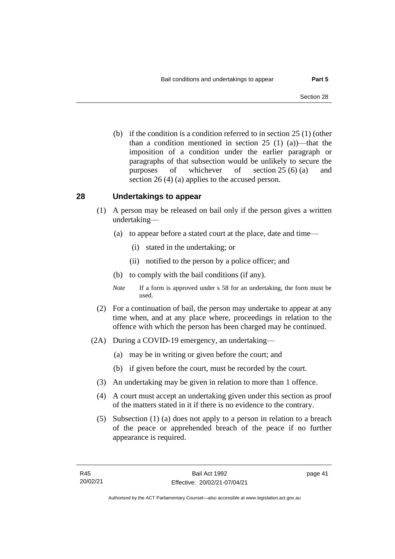(b) if the condition is a condition referred to in section 25 (1) (other than a condition mentioned in section 25 (1) (a))—that the imposition of a condition under the earlier paragraph or paragraphs of that subsection would be unlikely to secure the purposes of whichever of section 25 (6) (a) and section 26 (4) (a) applies to the accused person.

### **28 Undertakings to appear**

- (1) A person may be released on bail only if the person gives a written undertaking—
	- (a) to appear before a stated court at the place, date and time—
		- (i) stated in the undertaking; or
		- (ii) notified to the person by a police officer; and
	- (b) to comply with the bail conditions (if any).
	- *Note* If a form is approved under s 58 for an undertaking, the form must be used.
- (2) For a continuation of bail, the person may undertake to appear at any time when, and at any place where, proceedings in relation to the offence with which the person has been charged may be continued.
- (2A) During a COVID-19 emergency, an undertaking—
	- (a) may be in writing or given before the court; and
	- (b) if given before the court, must be recorded by the court.
	- (3) An undertaking may be given in relation to more than 1 offence.
	- (4) A court must accept an undertaking given under this section as proof of the matters stated in it if there is no evidence to the contrary.
	- (5) Subsection (1) (a) does not apply to a person in relation to a breach of the peace or apprehended breach of the peace if no further appearance is required.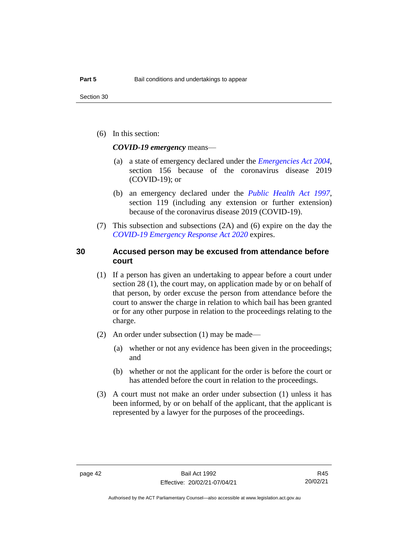(6) In this section:

*COVID-19 emergency* means—

- (a) a state of emergency declared under the *[Emergencies Act 2004](http://www.legislation.act.gov.au/a/2004-28)*, section 156 because of the coronavirus disease 2019 (COVID-19); or
- (b) an emergency declared under the *[Public Health Act 1997](http://www.legislation.act.gov.au/a/1997-69)*, section 119 (including any extension or further extension) because of the coronavirus disease 2019 (COVID-19).
- (7) This subsection and subsections (2A) and (6) expire on the day the *[COVID-19 Emergency Response Act 2020](http://www.legislation.act.gov.au/a/2020-11)* expires.

### **30 Accused person may be excused from attendance before court**

- (1) If a person has given an undertaking to appear before a court under section 28 (1), the court may, on application made by or on behalf of that person, by order excuse the person from attendance before the court to answer the charge in relation to which bail has been granted or for any other purpose in relation to the proceedings relating to the charge.
- (2) An order under subsection (1) may be made—
	- (a) whether or not any evidence has been given in the proceedings; and
	- (b) whether or not the applicant for the order is before the court or has attended before the court in relation to the proceedings.
- (3) A court must not make an order under subsection (1) unless it has been informed, by or on behalf of the applicant, that the applicant is represented by a lawyer for the purposes of the proceedings.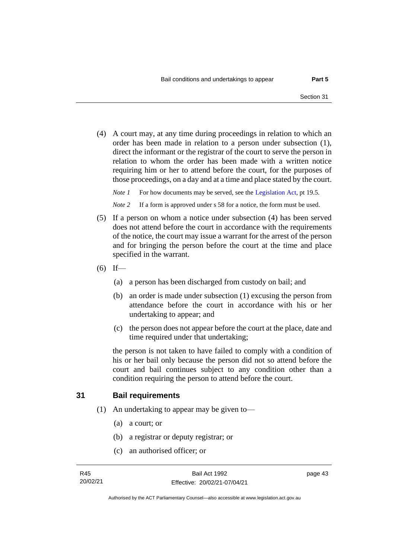(4) A court may, at any time during proceedings in relation to which an order has been made in relation to a person under subsection (1), direct the informant or the registrar of the court to serve the person in relation to whom the order has been made with a written notice requiring him or her to attend before the court, for the purposes of those proceedings, on a day and at a time and place stated by the court.

*Note 1* For how documents may be served, see th[e Legislation Act,](http://www.legislation.act.gov.au/a/2001-14) pt 19.5.

*Note* 2 If a form is approved under s 58 for a notice, the form must be used.

- (5) If a person on whom a notice under subsection (4) has been served does not attend before the court in accordance with the requirements of the notice, the court may issue a warrant for the arrest of the person and for bringing the person before the court at the time and place specified in the warrant.
- $(6)$  If—
	- (a) a person has been discharged from custody on bail; and
	- (b) an order is made under subsection (1) excusing the person from attendance before the court in accordance with his or her undertaking to appear; and
	- (c) the person does not appear before the court at the place, date and time required under that undertaking;

the person is not taken to have failed to comply with a condition of his or her bail only because the person did not so attend before the court and bail continues subject to any condition other than a condition requiring the person to attend before the court.

### **31 Bail requirements**

- (1) An undertaking to appear may be given to—
	- (a) a court; or
	- (b) a registrar or deputy registrar; or
	- (c) an authorised officer; or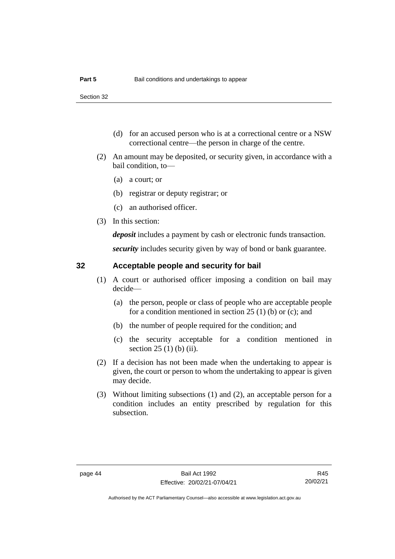- (d) for an accused person who is at a correctional centre or a NSW correctional centre—the person in charge of the centre.
- (2) An amount may be deposited, or security given, in accordance with a bail condition, to—
	- (a) a court; or
	- (b) registrar or deputy registrar; or
	- (c) an authorised officer.
- (3) In this section:

*deposit* includes a payment by cash or electronic funds transaction.

*security* includes security given by way of bond or bank guarantee.

### **32 Acceptable people and security for bail**

- (1) A court or authorised officer imposing a condition on bail may decide—
	- (a) the person, people or class of people who are acceptable people for a condition mentioned in section 25 (1) (b) or (c); and
	- (b) the number of people required for the condition; and
	- (c) the security acceptable for a condition mentioned in section 25 (1) (b) (ii).
- (2) If a decision has not been made when the undertaking to appear is given, the court or person to whom the undertaking to appear is given may decide.
- (3) Without limiting subsections (1) and (2), an acceptable person for a condition includes an entity prescribed by regulation for this subsection.

R45 20/02/21

Authorised by the ACT Parliamentary Counsel—also accessible at www.legislation.act.gov.au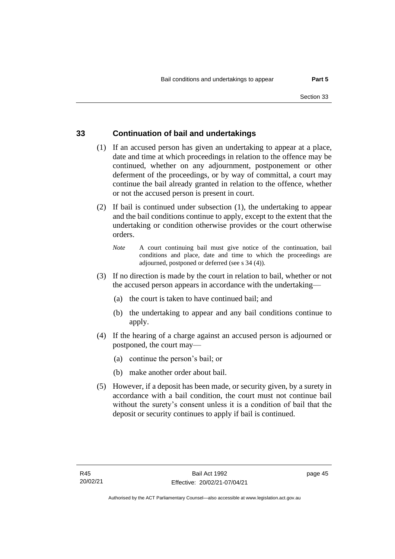### **33 Continuation of bail and undertakings**

- (1) If an accused person has given an undertaking to appear at a place, date and time at which proceedings in relation to the offence may be continued, whether on any adjournment, postponement or other deferment of the proceedings, or by way of committal, a court may continue the bail already granted in relation to the offence, whether or not the accused person is present in court.
- (2) If bail is continued under subsection (1), the undertaking to appear and the bail conditions continue to apply, except to the extent that the undertaking or condition otherwise provides or the court otherwise orders.
	- *Note* A court continuing bail must give notice of the continuation, bail conditions and place, date and time to which the proceedings are adjourned, postponed or deferred (see s 34 (4)).
- (3) If no direction is made by the court in relation to bail, whether or not the accused person appears in accordance with the undertaking—
	- (a) the court is taken to have continued bail; and
	- (b) the undertaking to appear and any bail conditions continue to apply.
- (4) If the hearing of a charge against an accused person is adjourned or postponed, the court may—
	- (a) continue the person's bail; or
	- (b) make another order about bail.
- (5) However, if a deposit has been made, or security given, by a surety in accordance with a bail condition, the court must not continue bail without the surety's consent unless it is a condition of bail that the deposit or security continues to apply if bail is continued.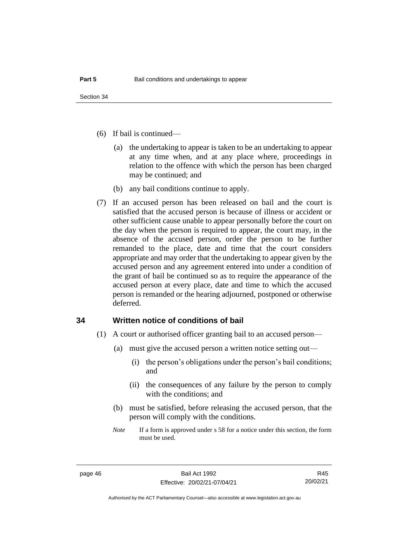- (6) If bail is continued—
	- (a) the undertaking to appear is taken to be an undertaking to appear at any time when, and at any place where, proceedings in relation to the offence with which the person has been charged may be continued; and
	- (b) any bail conditions continue to apply.
- (7) If an accused person has been released on bail and the court is satisfied that the accused person is because of illness or accident or other sufficient cause unable to appear personally before the court on the day when the person is required to appear, the court may, in the absence of the accused person, order the person to be further remanded to the place, date and time that the court considers appropriate and may order that the undertaking to appear given by the accused person and any agreement entered into under a condition of the grant of bail be continued so as to require the appearance of the accused person at every place, date and time to which the accused person is remanded or the hearing adjourned, postponed or otherwise deferred.

### **34 Written notice of conditions of bail**

- (1) A court or authorised officer granting bail to an accused person—
	- (a) must give the accused person a written notice setting out—
		- (i) the person's obligations under the person's bail conditions; and
		- (ii) the consequences of any failure by the person to comply with the conditions; and
	- (b) must be satisfied, before releasing the accused person, that the person will comply with the conditions.
	- *Note* If a form is approved under s 58 for a notice under this section, the form must be used.

R45 20/02/21

Authorised by the ACT Parliamentary Counsel—also accessible at www.legislation.act.gov.au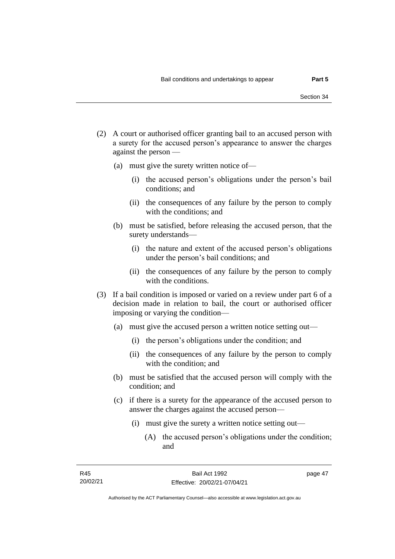- (2) A court or authorised officer granting bail to an accused person with a surety for the accused person's appearance to answer the charges against the person —
	- (a) must give the surety written notice of—
		- (i) the accused person's obligations under the person's bail conditions; and
		- (ii) the consequences of any failure by the person to comply with the conditions; and
	- (b) must be satisfied, before releasing the accused person, that the surety understands—
		- (i) the nature and extent of the accused person's obligations under the person's bail conditions; and
		- (ii) the consequences of any failure by the person to comply with the conditions.
- (3) If a bail condition is imposed or varied on a review under part 6 of a decision made in relation to bail, the court or authorised officer imposing or varying the condition—
	- (a) must give the accused person a written notice setting out—
		- (i) the person's obligations under the condition; and
		- (ii) the consequences of any failure by the person to comply with the condition; and
	- (b) must be satisfied that the accused person will comply with the condition; and
	- (c) if there is a surety for the appearance of the accused person to answer the charges against the accused person—
		- (i) must give the surety a written notice setting out—
			- (A) the accused person's obligations under the condition; and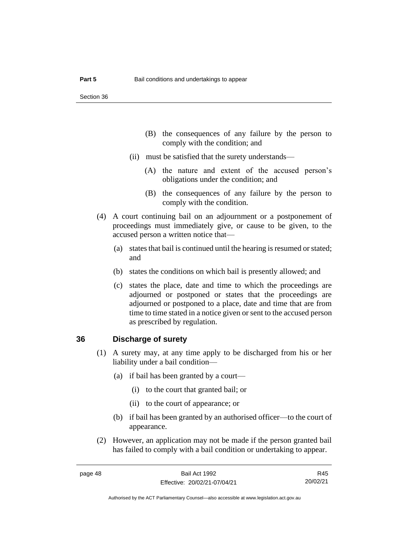- (B) the consequences of any failure by the person to comply with the condition; and
- (ii) must be satisfied that the surety understands—
	- (A) the nature and extent of the accused person's obligations under the condition; and
	- (B) the consequences of any failure by the person to comply with the condition.
- (4) A court continuing bail on an adjournment or a postponement of proceedings must immediately give, or cause to be given, to the accused person a written notice that—
	- (a) states that bail is continued until the hearing is resumed or stated; and
	- (b) states the conditions on which bail is presently allowed; and
	- (c) states the place, date and time to which the proceedings are adjourned or postponed or states that the proceedings are adjourned or postponed to a place, date and time that are from time to time stated in a notice given or sent to the accused person as prescribed by regulation.

### **36 Discharge of surety**

- (1) A surety may, at any time apply to be discharged from his or her liability under a bail condition—
	- (a) if bail has been granted by a court—
		- (i) to the court that granted bail; or
		- (ii) to the court of appearance; or
	- (b) if bail has been granted by an authorised officer—to the court of appearance.
- (2) However, an application may not be made if the person granted bail has failed to comply with a bail condition or undertaking to appear.

R45 20/02/21

Authorised by the ACT Parliamentary Counsel—also accessible at www.legislation.act.gov.au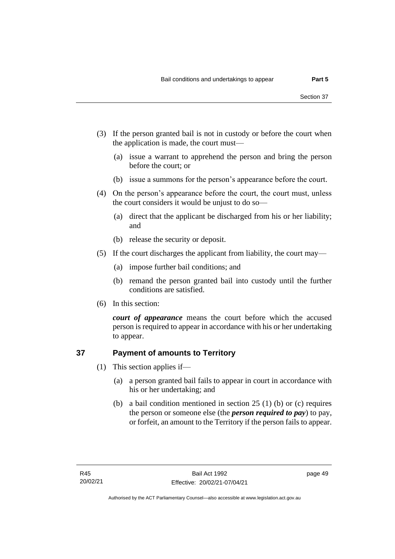- (3) If the person granted bail is not in custody or before the court when the application is made, the court must—
	- (a) issue a warrant to apprehend the person and bring the person before the court; or
	- (b) issue a summons for the person's appearance before the court.
- (4) On the person's appearance before the court, the court must, unless the court considers it would be unjust to do so—
	- (a) direct that the applicant be discharged from his or her liability; and
	- (b) release the security or deposit.
- (5) If the court discharges the applicant from liability, the court may—
	- (a) impose further bail conditions; and
	- (b) remand the person granted bail into custody until the further conditions are satisfied.
- (6) In this section:

*court of appearance* means the court before which the accused person is required to appear in accordance with his or her undertaking to appear.

### **37 Payment of amounts to Territory**

- (1) This section applies if—
	- (a) a person granted bail fails to appear in court in accordance with his or her undertaking; and
	- (b) a bail condition mentioned in section 25 (1) (b) or (c) requires the person or someone else (the *person required to pay*) to pay, or forfeit, an amount to the Territory if the person fails to appear.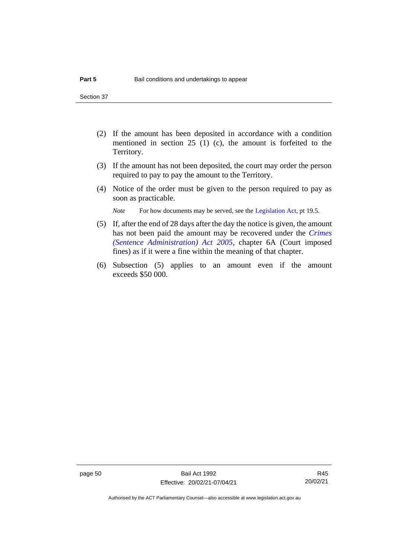- (2) If the amount has been deposited in accordance with a condition mentioned in section 25 (1) (c), the amount is forfeited to the Territory.
- (3) If the amount has not been deposited, the court may order the person required to pay to pay the amount to the Territory.
- (4) Notice of the order must be given to the person required to pay as soon as practicable.

*Note* For how documents may be served, see th[e Legislation Act,](http://www.legislation.act.gov.au/a/2001-14) pt 19.5.

- (5) If, after the end of 28 days after the day the notice is given, the amount has not been paid the amount may be recovered under the *[Crimes](http://www.legislation.act.gov.au/a/2005-59)  [\(Sentence Administration\) Act 2005](http://www.legislation.act.gov.au/a/2005-59)*, chapter 6A (Court imposed fines) as if it were a fine within the meaning of that chapter.
- (6) Subsection (5) applies to an amount even if the amount exceeds \$50 000.

page 50 Bail Act 1992 Effective: 20/02/21-07/04/21

R45 20/02/21

Authorised by the ACT Parliamentary Counsel—also accessible at www.legislation.act.gov.au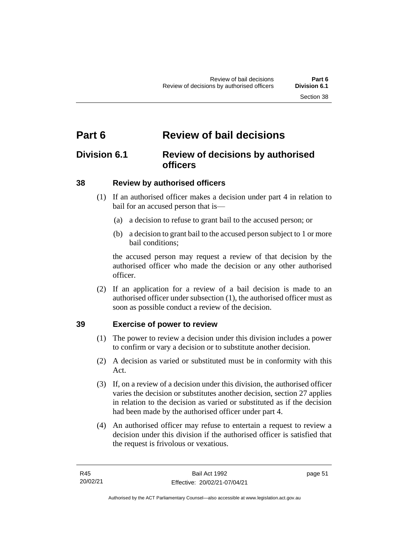# **Part 6 Review of bail decisions**

## **Division 6.1 Review of decisions by authorised officers**

## **38 Review by authorised officers**

- (1) If an authorised officer makes a decision under part 4 in relation to bail for an accused person that is—
	- (a) a decision to refuse to grant bail to the accused person; or
	- (b) a decision to grant bail to the accused person subject to 1 or more bail conditions;

the accused person may request a review of that decision by the authorised officer who made the decision or any other authorised officer.

(2) If an application for a review of a bail decision is made to an authorised officer under subsection (1), the authorised officer must as soon as possible conduct a review of the decision.

## **39 Exercise of power to review**

- (1) The power to review a decision under this division includes a power to confirm or vary a decision or to substitute another decision.
- (2) A decision as varied or substituted must be in conformity with this Act.
- (3) If, on a review of a decision under this division, the authorised officer varies the decision or substitutes another decision, section 27 applies in relation to the decision as varied or substituted as if the decision had been made by the authorised officer under part 4.
- (4) An authorised officer may refuse to entertain a request to review a decision under this division if the authorised officer is satisfied that the request is frivolous or vexatious.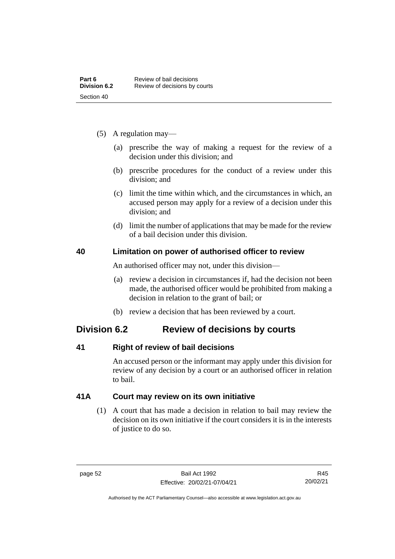- (5) A regulation may—
	- (a) prescribe the way of making a request for the review of a decision under this division; and
	- (b) prescribe procedures for the conduct of a review under this division; and
	- (c) limit the time within which, and the circumstances in which, an accused person may apply for a review of a decision under this division; and
	- (d) limit the number of applications that may be made for the review of a bail decision under this division.

### **40 Limitation on power of authorised officer to review**

An authorised officer may not, under this division—

- (a) review a decision in circumstances if, had the decision not been made, the authorised officer would be prohibited from making a decision in relation to the grant of bail; or
- (b) review a decision that has been reviewed by a court.

## **Division 6.2 Review of decisions by courts**

## **41 Right of review of bail decisions**

An accused person or the informant may apply under this division for review of any decision by a court or an authorised officer in relation to bail.

## **41A Court may review on its own initiative**

(1) A court that has made a decision in relation to bail may review the decision on its own initiative if the court considers it is in the interests of justice to do so.

Authorised by the ACT Parliamentary Counsel—also accessible at www.legislation.act.gov.au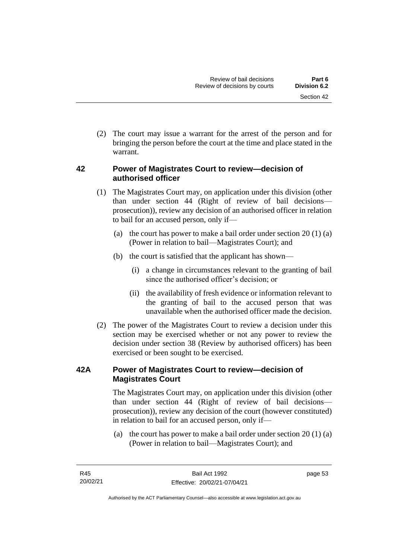(2) The court may issue a warrant for the arrest of the person and for bringing the person before the court at the time and place stated in the warrant.

## **42 Power of Magistrates Court to review—decision of authorised officer**

- (1) The Magistrates Court may, on application under this division (other than under section 44 (Right of review of bail decisions prosecution)), review any decision of an authorised officer in relation to bail for an accused person, only if—
	- (a) the court has power to make a bail order under section  $20(1)(a)$ (Power in relation to bail—Magistrates Court); and
	- (b) the court is satisfied that the applicant has shown—
		- (i) a change in circumstances relevant to the granting of bail since the authorised officer's decision; or
		- (ii) the availability of fresh evidence or information relevant to the granting of bail to the accused person that was unavailable when the authorised officer made the decision.
- (2) The power of the Magistrates Court to review a decision under this section may be exercised whether or not any power to review the decision under section 38 (Review by authorised officers) has been exercised or been sought to be exercised.

## **42A Power of Magistrates Court to review—decision of Magistrates Court**

The Magistrates Court may, on application under this division (other than under section 44 (Right of review of bail decisions prosecution)), review any decision of the court (however constituted) in relation to bail for an accused person, only if—

(a) the court has power to make a bail order under section 20 (1) (a) (Power in relation to bail—Magistrates Court); and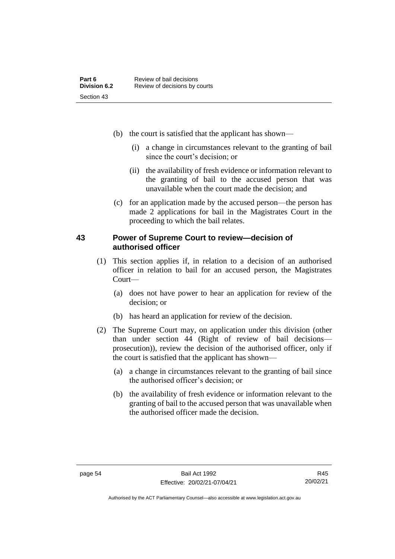- (b) the court is satisfied that the applicant has shown—
	- (i) a change in circumstances relevant to the granting of bail since the court's decision; or
	- (ii) the availability of fresh evidence or information relevant to the granting of bail to the accused person that was unavailable when the court made the decision; and
- (c) for an application made by the accused person—the person has made 2 applications for bail in the Magistrates Court in the proceeding to which the bail relates.

### **43 Power of Supreme Court to review—decision of authorised officer**

- (1) This section applies if, in relation to a decision of an authorised officer in relation to bail for an accused person, the Magistrates Court—
	- (a) does not have power to hear an application for review of the decision; or
	- (b) has heard an application for review of the decision.
- (2) The Supreme Court may, on application under this division (other than under section 44 (Right of review of bail decisions prosecution)), review the decision of the authorised officer, only if the court is satisfied that the applicant has shown—
	- (a) a change in circumstances relevant to the granting of bail since the authorised officer's decision; or
	- (b) the availability of fresh evidence or information relevant to the granting of bail to the accused person that was unavailable when the authorised officer made the decision.

Authorised by the ACT Parliamentary Counsel—also accessible at www.legislation.act.gov.au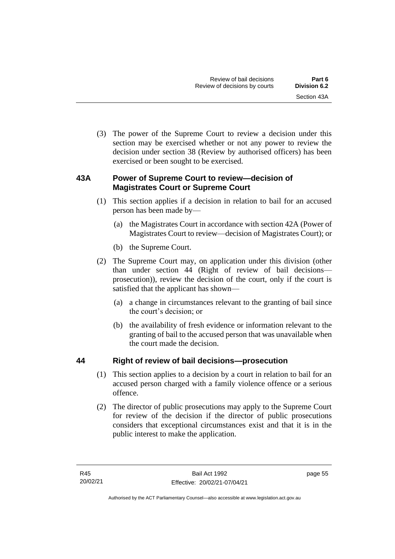(3) The power of the Supreme Court to review a decision under this section may be exercised whether or not any power to review the decision under section 38 (Review by authorised officers) has been exercised or been sought to be exercised.

## **43A Power of Supreme Court to review—decision of Magistrates Court or Supreme Court**

- (1) This section applies if a decision in relation to bail for an accused person has been made by—
	- (a) the Magistrates Court in accordance with section 42A (Power of Magistrates Court to review—decision of Magistrates Court); or
	- (b) the Supreme Court.
- (2) The Supreme Court may, on application under this division (other than under section 44 (Right of review of bail decisions prosecution)), review the decision of the court, only if the court is satisfied that the applicant has shown—
	- (a) a change in circumstances relevant to the granting of bail since the court's decision; or
	- (b) the availability of fresh evidence or information relevant to the granting of bail to the accused person that was unavailable when the court made the decision.

## **44 Right of review of bail decisions—prosecution**

- (1) This section applies to a decision by a court in relation to bail for an accused person charged with a family violence offence or a serious offence.
- (2) The director of public prosecutions may apply to the Supreme Court for review of the decision if the director of public prosecutions considers that exceptional circumstances exist and that it is in the public interest to make the application.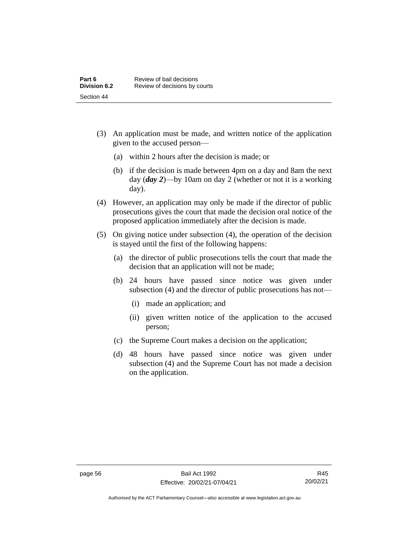- (3) An application must be made, and written notice of the application given to the accused person—
	- (a) within 2 hours after the decision is made; or
	- (b) if the decision is made between 4pm on a day and 8am the next day (*day 2*)—by 10am on day 2 (whether or not it is a working day).
- (4) However, an application may only be made if the director of public prosecutions gives the court that made the decision oral notice of the proposed application immediately after the decision is made.
- (5) On giving notice under subsection (4), the operation of the decision is stayed until the first of the following happens:
	- (a) the director of public prosecutions tells the court that made the decision that an application will not be made;
	- (b) 24 hours have passed since notice was given under subsection (4) and the director of public prosecutions has not—
		- (i) made an application; and
		- (ii) given written notice of the application to the accused person;
	- (c) the Supreme Court makes a decision on the application;
	- (d) 48 hours have passed since notice was given under subsection (4) and the Supreme Court has not made a decision on the application.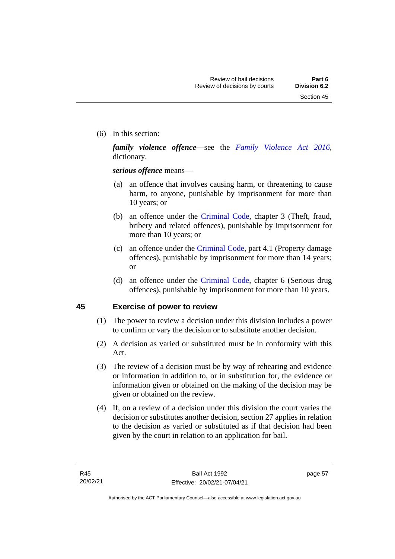(6) In this section:

*family violence offence*—see the *[Family Violence Act 2016](http://www.legislation.act.gov.au/a/2016-42)*, dictionary.

*serious offence* means—

- (a) an offence that involves causing harm, or threatening to cause harm, to anyone, punishable by imprisonment for more than 10 years; or
- (b) an offence under the [Criminal Code,](http://www.legislation.act.gov.au/a/2002-51) chapter 3 (Theft, fraud, bribery and related offences), punishable by imprisonment for more than 10 years; or
- (c) an offence under the [Criminal Code,](http://www.legislation.act.gov.au/a/2002-51) part 4.1 (Property damage offences), punishable by imprisonment for more than 14 years; or
- (d) an offence under the [Criminal Code,](http://www.legislation.act.gov.au/a/2002-51) chapter 6 (Serious drug offences), punishable by imprisonment for more than 10 years.

### **45 Exercise of power to review**

- (1) The power to review a decision under this division includes a power to confirm or vary the decision or to substitute another decision.
- (2) A decision as varied or substituted must be in conformity with this Act.
- (3) The review of a decision must be by way of rehearing and evidence or information in addition to, or in substitution for, the evidence or information given or obtained on the making of the decision may be given or obtained on the review.
- (4) If, on a review of a decision under this division the court varies the decision or substitutes another decision, section 27 applies in relation to the decision as varied or substituted as if that decision had been given by the court in relation to an application for bail.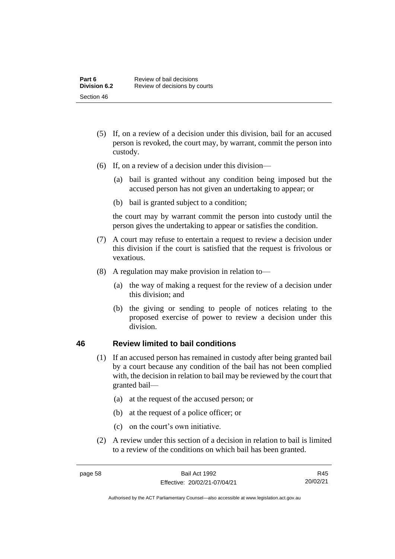- (5) If, on a review of a decision under this division, bail for an accused person is revoked, the court may, by warrant, commit the person into custody.
- (6) If, on a review of a decision under this division—
	- (a) bail is granted without any condition being imposed but the accused person has not given an undertaking to appear; or
	- (b) bail is granted subject to a condition;

the court may by warrant commit the person into custody until the person gives the undertaking to appear or satisfies the condition.

- (7) A court may refuse to entertain a request to review a decision under this division if the court is satisfied that the request is frivolous or vexatious.
- (8) A regulation may make provision in relation to—
	- (a) the way of making a request for the review of a decision under this division; and
	- (b) the giving or sending to people of notices relating to the proposed exercise of power to review a decision under this division.

### **46 Review limited to bail conditions**

- (1) If an accused person has remained in custody after being granted bail by a court because any condition of the bail has not been complied with, the decision in relation to bail may be reviewed by the court that granted bail—
	- (a) at the request of the accused person; or
	- (b) at the request of a police officer; or
	- (c) on the court's own initiative.
- (2) A review under this section of a decision in relation to bail is limited to a review of the conditions on which bail has been granted.

R45 20/02/21

Authorised by the ACT Parliamentary Counsel—also accessible at www.legislation.act.gov.au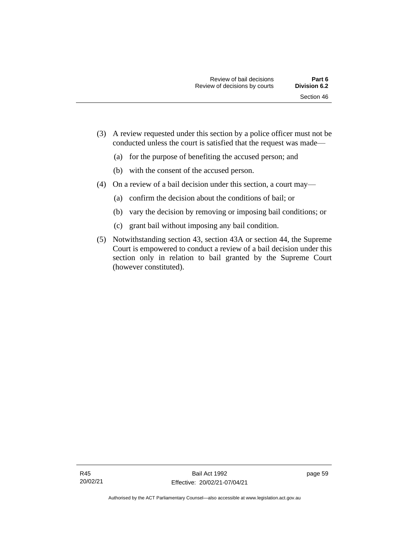- (3) A review requested under this section by a police officer must not be conducted unless the court is satisfied that the request was made—
	- (a) for the purpose of benefiting the accused person; and
	- (b) with the consent of the accused person.
- (4) On a review of a bail decision under this section, a court may—
	- (a) confirm the decision about the conditions of bail; or
	- (b) vary the decision by removing or imposing bail conditions; or
	- (c) grant bail without imposing any bail condition.
- (5) Notwithstanding section 43, section 43A or section 44, the Supreme Court is empowered to conduct a review of a bail decision under this section only in relation to bail granted by the Supreme Court (however constituted).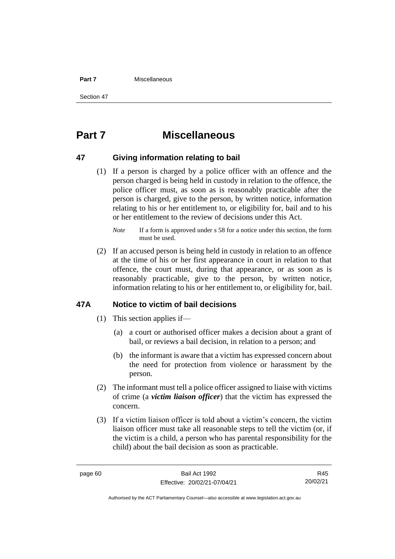#### **Part 7** Miscellaneous

Section 47

# **Part 7 Miscellaneous**

### **47 Giving information relating to bail**

(1) If a person is charged by a police officer with an offence and the person charged is being held in custody in relation to the offence, the police officer must, as soon as is reasonably practicable after the person is charged, give to the person, by written notice, information relating to his or her entitlement to, or eligibility for, bail and to his or her entitlement to the review of decisions under this Act.

(2) If an accused person is being held in custody in relation to an offence at the time of his or her first appearance in court in relation to that offence, the court must, during that appearance, or as soon as is reasonably practicable, give to the person, by written notice, information relating to his or her entitlement to, or eligibility for, bail.

### **47A Notice to victim of bail decisions**

- (1) This section applies if—
	- (a) a court or authorised officer makes a decision about a grant of bail, or reviews a bail decision, in relation to a person; and
	- (b) the informant is aware that a victim has expressed concern about the need for protection from violence or harassment by the person.
- (2) The informant must tell a police officer assigned to liaise with victims of crime (a *victim liaison officer*) that the victim has expressed the concern.
- (3) If a victim liaison officer is told about a victim's concern, the victim liaison officer must take all reasonable steps to tell the victim (or, if the victim is a child, a person who has parental responsibility for the child) about the bail decision as soon as practicable.

R45 20/02/21

*Note* If a form is approved under s 58 for a notice under this section, the form must be used.

Authorised by the ACT Parliamentary Counsel—also accessible at www.legislation.act.gov.au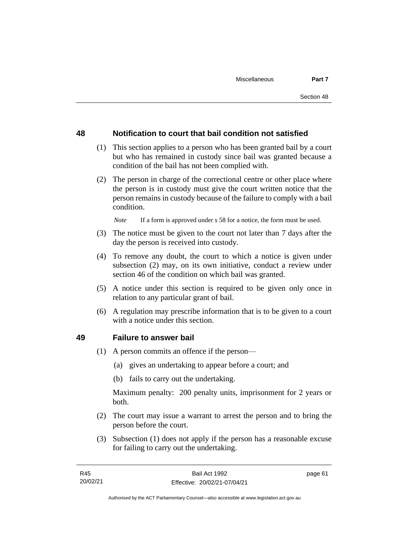### **48 Notification to court that bail condition not satisfied**

- (1) This section applies to a person who has been granted bail by a court but who has remained in custody since bail was granted because a condition of the bail has not been complied with.
- (2) The person in charge of the correctional centre or other place where the person is in custody must give the court written notice that the person remains in custody because of the failure to comply with a bail condition.

*Note* If a form is approved under s 58 for a notice, the form must be used.

- (3) The notice must be given to the court not later than 7 days after the day the person is received into custody.
- (4) To remove any doubt, the court to which a notice is given under subsection (2) may, on its own initiative, conduct a review under section 46 of the condition on which bail was granted.
- (5) A notice under this section is required to be given only once in relation to any particular grant of bail.
- (6) A regulation may prescribe information that is to be given to a court with a notice under this section.

### **49 Failure to answer bail**

- (1) A person commits an offence if the person—
	- (a) gives an undertaking to appear before a court; and
	- (b) fails to carry out the undertaking.

Maximum penalty: 200 penalty units, imprisonment for 2 years or both.

- (2) The court may issue a warrant to arrest the person and to bring the person before the court.
- (3) Subsection (1) does not apply if the person has a reasonable excuse for failing to carry out the undertaking.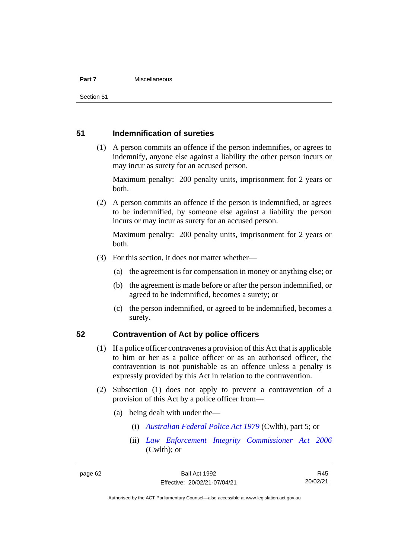#### **Part 7** Miscellaneous

Section 51

### **51 Indemnification of sureties**

(1) A person commits an offence if the person indemnifies, or agrees to indemnify, anyone else against a liability the other person incurs or may incur as surety for an accused person.

Maximum penalty: 200 penalty units, imprisonment for 2 years or both.

(2) A person commits an offence if the person is indemnified, or agrees to be indemnified, by someone else against a liability the person incurs or may incur as surety for an accused person.

Maximum penalty: 200 penalty units, imprisonment for 2 years or both.

- (3) For this section, it does not matter whether—
	- (a) the agreement is for compensation in money or anything else; or
	- (b) the agreement is made before or after the person indemnified, or agreed to be indemnified, becomes a surety; or
	- (c) the person indemnified, or agreed to be indemnified, becomes a surety.

### **52 Contravention of Act by police officers**

- (1) If a police officer contravenes a provision of this Act that is applicable to him or her as a police officer or as an authorised officer, the contravention is not punishable as an offence unless a penalty is expressly provided by this Act in relation to the contravention.
- (2) Subsection (1) does not apply to prevent a contravention of a provision of this Act by a police officer from—
	- (a) being dealt with under the—
		- (i) *[Australian Federal Police Act 1979](http://www.comlaw.gov.au/Series/C2004A02068)* (Cwlth), part 5; or
		- (ii) *[Law Enforcement Integrity Commissioner Act 2006](http://www.comlaw.gov.au/Series/C2006A00085)* (Cwlth); or

R45 20/02/21

Authorised by the ACT Parliamentary Counsel—also accessible at www.legislation.act.gov.au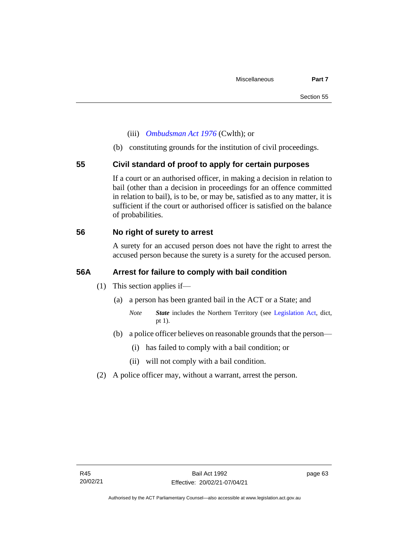- (iii) *[Ombudsman Act 1976](http://www.comlaw.gov.au/Series/C2004A01611)* (Cwlth); or
- (b) constituting grounds for the institution of civil proceedings.

### **55 Civil standard of proof to apply for certain purposes**

If a court or an authorised officer, in making a decision in relation to bail (other than a decision in proceedings for an offence committed in relation to bail), is to be, or may be, satisfied as to any matter, it is sufficient if the court or authorised officer is satisfied on the balance of probabilities.

### **56 No right of surety to arrest**

A surety for an accused person does not have the right to arrest the accused person because the surety is a surety for the accused person.

### **56A Arrest for failure to comply with bail condition**

- (1) This section applies if—
	- (a) a person has been granted bail in the ACT or a State; and
		- *Note State* includes the Northern Territory (see [Legislation Act,](http://www.legislation.act.gov.au/a/2001-14) dict, pt 1).
	- (b) a police officer believes on reasonable grounds that the person—
		- (i) has failed to comply with a bail condition; or
		- (ii) will not comply with a bail condition.
- (2) A police officer may, without a warrant, arrest the person.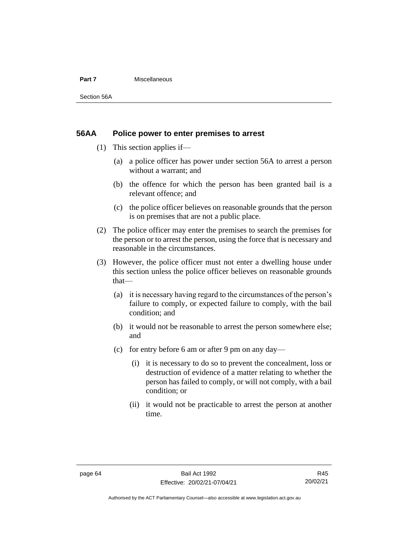#### **Part 7** Miscellaneous

Section 56A

### **56AA Police power to enter premises to arrest**

- (1) This section applies if—
	- (a) a police officer has power under section 56A to arrest a person without a warrant; and
	- (b) the offence for which the person has been granted bail is a relevant offence; and
	- (c) the police officer believes on reasonable grounds that the person is on premises that are not a public place.
- (2) The police officer may enter the premises to search the premises for the person or to arrest the person, using the force that is necessary and reasonable in the circumstances.
- (3) However, the police officer must not enter a dwelling house under this section unless the police officer believes on reasonable grounds that—
	- (a) it is necessary having regard to the circumstances of the person's failure to comply, or expected failure to comply, with the bail condition; and
	- (b) it would not be reasonable to arrest the person somewhere else; and
	- (c) for entry before 6 am or after 9 pm on any day—
		- (i) it is necessary to do so to prevent the concealment, loss or destruction of evidence of a matter relating to whether the person has failed to comply, or will not comply, with a bail condition; or
		- (ii) it would not be practicable to arrest the person at another time.

Authorised by the ACT Parliamentary Counsel—also accessible at www.legislation.act.gov.au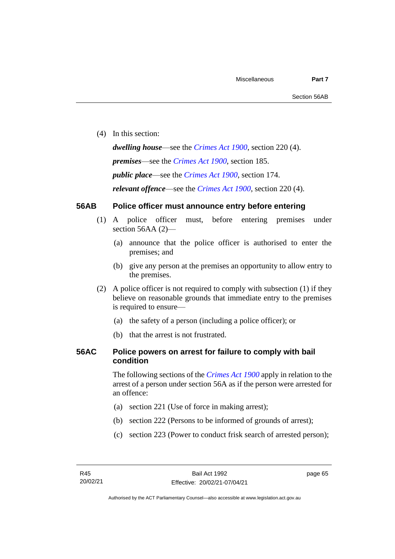(4) In this section:

*dwelling house*—see the *[Crimes Act](http://www.legislation.act.gov.au/a/1900-40) 1900*, section 220 (4). *premises*—see the *[Crimes Act](http://www.legislation.act.gov.au/a/1900-40) 1900*, section 185. *public place*—see the *[Crimes Act](http://www.legislation.act.gov.au/a/1900-40) 1900*, section 174. *relevant offence*—see the *[Crimes Act 1900](http://www.legislation.act.gov.au/a/1900-40)*, section 220 (4).

# **56AB Police officer must announce entry before entering**

- (1) A police officer must, before entering premises under section 56AA (2)-
	- (a) announce that the police officer is authorised to enter the premises; and
	- (b) give any person at the premises an opportunity to allow entry to the premises.
- (2) A police officer is not required to comply with subsection (1) if they believe on reasonable grounds that immediate entry to the premises is required to ensure—
	- (a) the safety of a person (including a police officer); or
	- (b) that the arrest is not frustrated.

# **56AC Police powers on arrest for failure to comply with bail condition**

The following sections of the *[Crimes Act](http://www.legislation.act.gov.au/a/1900-40) 1900* apply in relation to the arrest of a person under section 56A as if the person were arrested for an offence:

- (a) section 221 (Use of force in making arrest);
- (b) section 222 (Persons to be informed of grounds of arrest);
- (c) section 223 (Power to conduct frisk search of arrested person);

page 65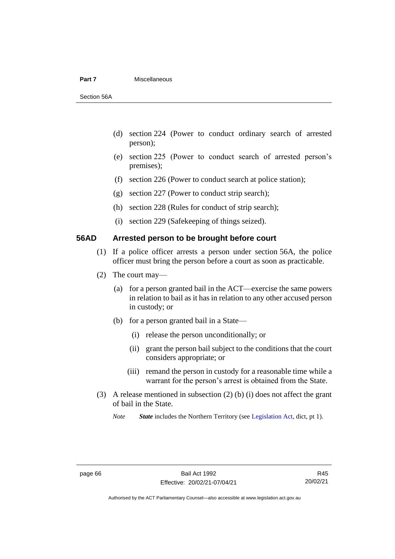#### **Part 7** Miscellaneous

Section 56A

- (d) section 224 (Power to conduct ordinary search of arrested person);
- (e) section 225 (Power to conduct search of arrested person's premises);
- (f) section 226 (Power to conduct search at police station);
- (g) section 227 (Power to conduct strip search);
- (h) section 228 (Rules for conduct of strip search);
- (i) section 229 (Safekeeping of things seized).

# **56AD Arrested person to be brought before court**

- (1) If a police officer arrests a person under section 56A, the police officer must bring the person before a court as soon as practicable.
- (2) The court may—
	- (a) for a person granted bail in the ACT—exercise the same powers in relation to bail as it has in relation to any other accused person in custody; or
	- (b) for a person granted bail in a State—
		- (i) release the person unconditionally; or
		- (ii) grant the person bail subject to the conditions that the court considers appropriate; or
		- (iii) remand the person in custody for a reasonable time while a warrant for the person's arrest is obtained from the State.
- (3) A release mentioned in subsection (2) (b) (i) does not affect the grant of bail in the State.

*Note State* includes the Northern Territory (see [Legislation Act,](http://www.legislation.act.gov.au/a/2001-14) dict, pt 1).

Authorised by the ACT Parliamentary Counsel—also accessible at www.legislation.act.gov.au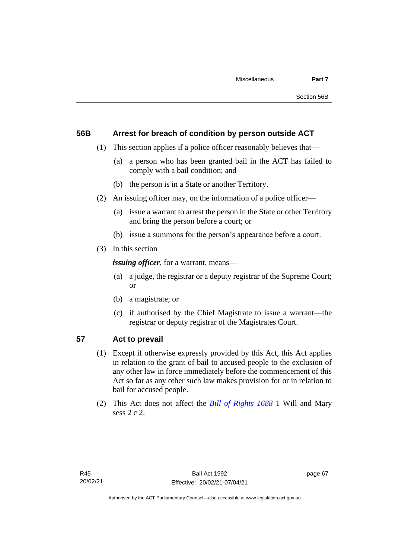# **56B Arrest for breach of condition by person outside ACT**

- (1) This section applies if a police officer reasonably believes that—
	- (a) a person who has been granted bail in the ACT has failed to comply with a bail condition; and
	- (b) the person is in a State or another Territory.
- (2) An issuing officer may, on the information of a police officer—
	- (a) issue a warrant to arrest the person in the State or other Territory and bring the person before a court; or
	- (b) issue a summons for the person's appearance before a court.
- (3) In this section

*issuing officer*, for a warrant, means—

- (a) a judge, the registrar or a deputy registrar of the Supreme Court; or
- (b) a magistrate; or
- (c) if authorised by the Chief Magistrate to issue a warrant—the registrar or deputy registrar of the Magistrates Court.

# **57 Act to prevail**

- (1) Except if otherwise expressly provided by this Act, this Act applies in relation to the grant of bail to accused people to the exclusion of any other law in force immediately before the commencement of this Act so far as any other such law makes provision for or in relation to bail for accused people.
- (2) This Act does not affect the *[Bill of Rights 1688](http://www.legislation.act.gov.au/a/db_1792/default.asp)* 1 Will and Mary sess 2 c 2.

page 67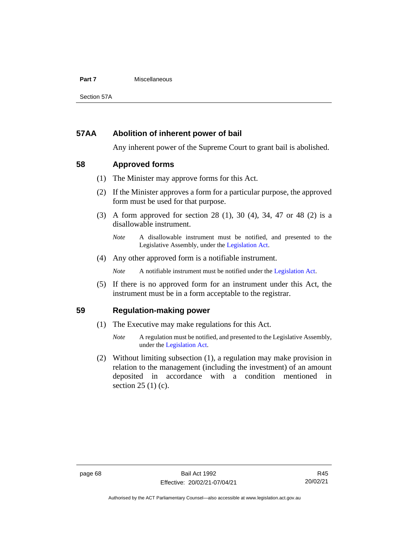#### **Part 7** Miscellaneous

Section 57A

# **57AA Abolition of inherent power of bail**

Any inherent power of the Supreme Court to grant bail is abolished.

# **58 Approved forms**

- (1) The Minister may approve forms for this Act.
- (2) If the Minister approves a form for a particular purpose, the approved form must be used for that purpose.
- (3) A form approved for section 28 (1), 30 (4), 34, 47 or 48 (2) is a disallowable instrument.

(4) Any other approved form is a notifiable instrument.

*Note* A notifiable instrument must be notified under the [Legislation Act.](http://www.legislation.act.gov.au/a/2001-14)

(5) If there is no approved form for an instrument under this Act, the instrument must be in a form acceptable to the registrar.

# **59 Regulation-making power**

- (1) The Executive may make regulations for this Act.
	- *Note* A regulation must be notified, and presented to the Legislative Assembly, under the [Legislation Act.](http://www.legislation.act.gov.au/a/2001-14)
- (2) Without limiting subsection (1), a regulation may make provision in relation to the management (including the investment) of an amount deposited in accordance with a condition mentioned in section 25 (1) (c).

*Note* A disallowable instrument must be notified, and presented to the Legislative Assembly, under the [Legislation Act.](http://www.legislation.act.gov.au/a/2001-14)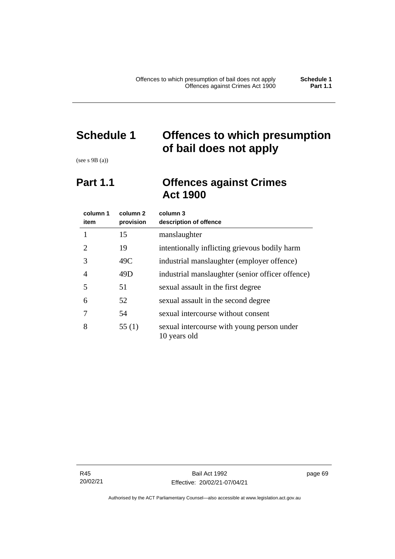# **Schedule 1 Offences to which presumption of bail does not apply**

(see s 9B (a))

# **Part 1.1 Offences against Crimes Act 1900**

| column 1<br>item | column 2<br>provision | column 3<br>description of offence                         |
|------------------|-----------------------|------------------------------------------------------------|
|                  | 15                    | manslaughter                                               |
| 2                | 19                    | intentionally inflicting grievous bodily harm              |
| 3                | 49C                   | industrial manslaughter (employer offence)                 |
| 4                | 49D                   | industrial manslaughter (senior officer offence)           |
| 5                | 51                    | sexual assault in the first degree                         |
| 6                | 52                    | sexual assault in the second degree                        |
|                  | 54                    | sexual intercourse without consent                         |
| 8                | 55(1)                 | sexual intercourse with young person under<br>10 years old |

R45 20/02/21 page 69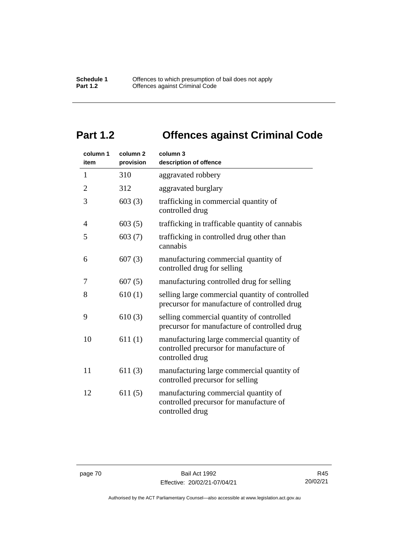# **Part 1.2 Offences against Criminal Code**

| column 1<br>item | column <sub>2</sub><br>provision | column 3<br>description of offence                                                                       |
|------------------|----------------------------------|----------------------------------------------------------------------------------------------------------|
| $\mathbf{1}$     | 310                              | aggravated robbery                                                                                       |
| $\overline{2}$   | 312                              | aggravated burglary                                                                                      |
| 3                | 603(3)                           | trafficking in commercial quantity of<br>controlled drug                                                 |
| 4                | 603(5)                           | trafficking in trafficable quantity of cannabis                                                          |
| 5                | 603(7)                           | trafficking in controlled drug other than<br>cannabis                                                    |
| 6                | 607(3)                           | manufacturing commercial quantity of<br>controlled drug for selling                                      |
| 7                | 607(5)                           | manufacturing controlled drug for selling                                                                |
| 8                | 610(1)                           | selling large commercial quantity of controlled<br>precursor for manufacture of controlled drug          |
| 9                | 610(3)                           | selling commercial quantity of controlled<br>precursor for manufacture of controlled drug                |
| 10               | 611(1)                           | manufacturing large commercial quantity of<br>controlled precursor for manufacture of<br>controlled drug |
| 11               | 611(3)                           | manufacturing large commercial quantity of<br>controlled precursor for selling                           |
| 12               | 611(5)                           | manufacturing commercial quantity of<br>controlled precursor for manufacture of<br>controlled drug       |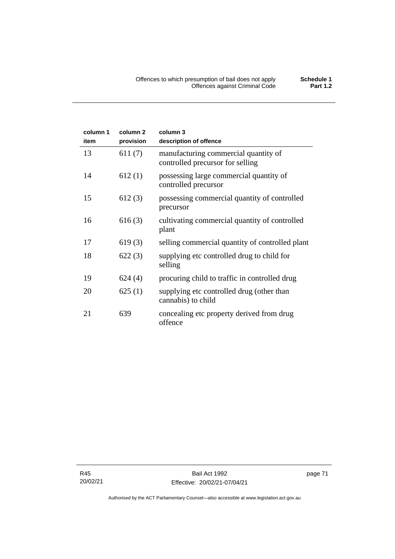| column 1 | column <sub>2</sub> | column 3                                                                 |
|----------|---------------------|--------------------------------------------------------------------------|
| item     | provision           | description of offence                                                   |
| 13       | 611(7)              | manufacturing commercial quantity of<br>controlled precursor for selling |
| 14       | 612(1)              | possessing large commercial quantity of<br>controlled precursor          |
| 15       | 612(3)              | possessing commercial quantity of controlled<br>precursor                |
| 16       | 616(3)              | cultivating commercial quantity of controlled<br>plant                   |
| 17       | 619(3)              | selling commercial quantity of controlled plant                          |
| 18       | 622(3)              | supplying etc controlled drug to child for<br>selling                    |
| 19       | 624(4)              | procuring child to traffic in controlled drug                            |
| 20       | 625(1)              | supplying etc controlled drug (other than<br>cannabis) to child          |
| 21       | 639                 | concealing etc property derived from drug<br>offence                     |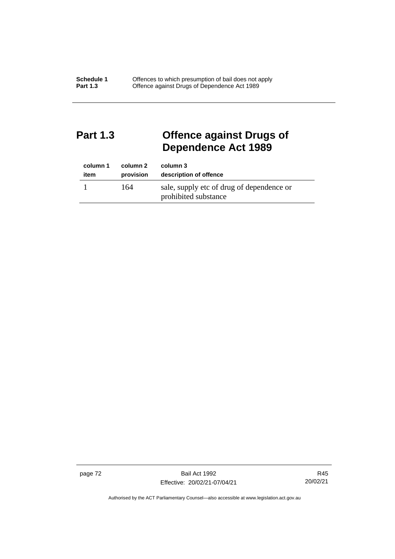# **Part 1.3 Offence against Drugs of Dependence Act 1989**

| column 1 | column 2  | column 3                                                          |
|----------|-----------|-------------------------------------------------------------------|
| item     | provision | description of offence                                            |
|          | 164       | sale, supply etc of drug of dependence or<br>prohibited substance |

page 72 Bail Act 1992 Effective: 20/02/21-07/04/21

R45 20/02/21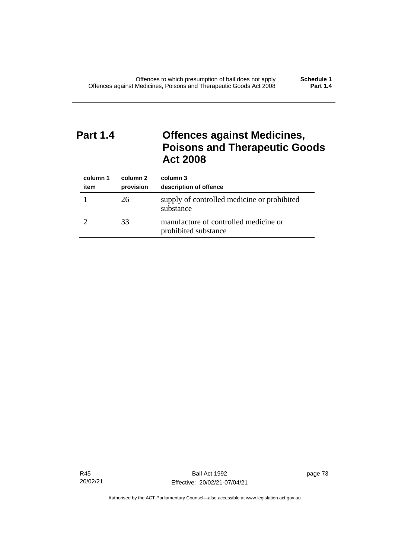# **Part 1.4 Offences against Medicines, Poisons and Therapeutic Goods Act 2008**

| column 1<br>item | column 2<br>provision | column 3<br>description of offence                            |
|------------------|-----------------------|---------------------------------------------------------------|
|                  | 26                    | supply of controlled medicine or prohibited<br>substance      |
|                  | 33                    | manufacture of controlled medicine or<br>prohibited substance |

R45 20/02/21

Bail Act 1992 Effective: 20/02/21-07/04/21 page 73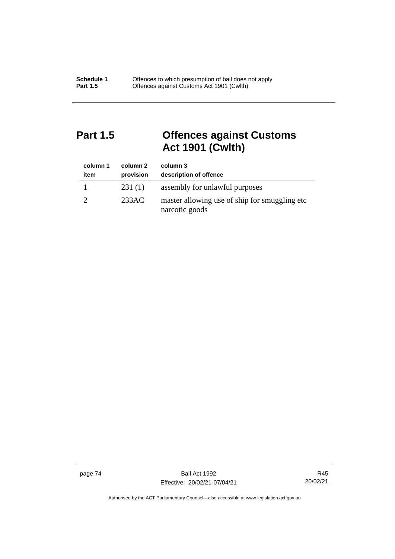# **Part 1.5 Offences against Customs Act 1901 (Cwlth)**

| column 1<br>item | column 2<br>provision | column 3<br>description of offence                               |
|------------------|-----------------------|------------------------------------------------------------------|
|                  | 231(1)                | assembly for unlawful purposes                                   |
|                  | 233AC                 | master allowing use of ship for smuggling etc.<br>narcotic goods |

page 74 Bail Act 1992 Effective: 20/02/21-07/04/21

R45 20/02/21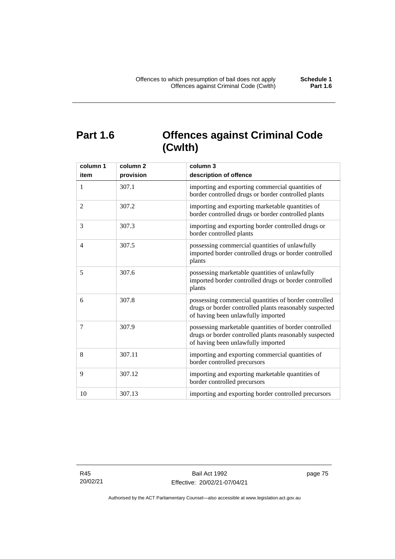# **Part 1.6 Offences against Criminal Code (Cwlth)**

| column 1<br>item | column <sub>2</sub><br>provision | column 3<br>description of offence                                                                                                                    |
|------------------|----------------------------------|-------------------------------------------------------------------------------------------------------------------------------------------------------|
| $\mathbf{1}$     | 307.1                            | importing and exporting commercial quantities of<br>border controlled drugs or border controlled plants                                               |
| 2                | 307.2                            | importing and exporting marketable quantities of<br>border controlled drugs or border controlled plants                                               |
| 3                | 307.3                            | importing and exporting border controlled drugs or<br>border controlled plants                                                                        |
| $\overline{4}$   | 307.5                            | possessing commercial quantities of unlawfully<br>imported border controlled drugs or border controlled<br>plants                                     |
| 5                | 307.6                            | possessing marketable quantities of unlawfully<br>imported border controlled drugs or border controlled<br>plants                                     |
| 6                | 307.8                            | possessing commercial quantities of border controlled<br>drugs or border controlled plants reasonably suspected<br>of having been unlawfully imported |
| 7                | 307.9                            | possessing marketable quantities of border controlled<br>drugs or border controlled plants reasonably suspected<br>of having been unlawfully imported |
| 8                | 307.11                           | importing and exporting commercial quantities of<br>border controlled precursors                                                                      |
| 9                | 307.12                           | importing and exporting marketable quantities of<br>border controlled precursors                                                                      |
| 10               | 307.13                           | importing and exporting border controlled precursors                                                                                                  |

R45 20/02/21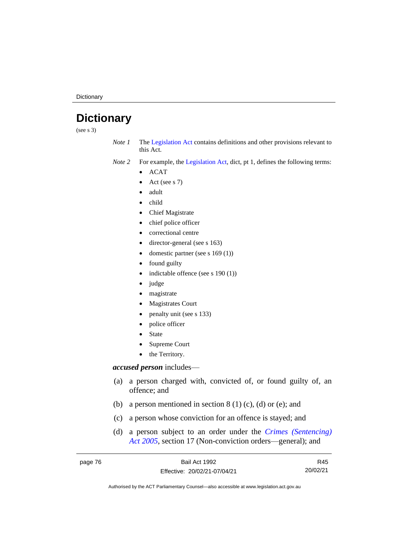**Dictionary** 

# **Dictionary**

(see s 3)

*Note 1* The [Legislation Act](http://www.legislation.act.gov.au/a/2001-14) contains definitions and other provisions relevant to this Act.

*Note 2* For example, the [Legislation Act,](http://www.legislation.act.gov.au/a/2001-14) dict, pt 1, defines the following terms:

- ACAT
- Act (see s 7)
- adult
- child
- Chief Magistrate
- chief police officer
- correctional centre
- director-general (see s 163)
- domestic partner (see s 169 (1))
- found guilty
- indictable offence (see s 190 (1))
- judge
- magistrate
- Magistrates Court
- penalty unit (see s 133)
- police officer
- **State**
- Supreme Court
- the Territory.

# *accused person* includes—

- (a) a person charged with, convicted of, or found guilty of, an offence; and
- (b) a person mentioned in section  $8(1)(c)$ , (d) or (e); and
- (c) a person whose conviction for an offence is stayed; and
- (d) a person subject to an order under the *[Crimes \(Sentencing\)](http://www.legislation.act.gov.au/a/2005-58)  Act [2005](http://www.legislation.act.gov.au/a/2005-58)*, section 17 (Non-conviction orders—general); and

| page 76 | Bail Act 1992                | R45      |
|---------|------------------------------|----------|
|         | Effective: 20/02/21-07/04/21 | 20/02/21 |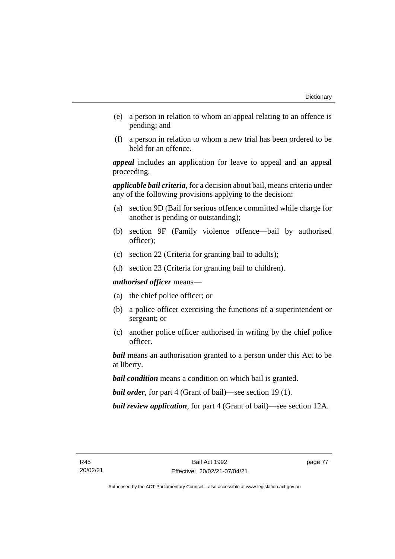- (e) a person in relation to whom an appeal relating to an offence is pending; and
- (f) a person in relation to whom a new trial has been ordered to be held for an offence.

*appeal* includes an application for leave to appeal and an appeal proceeding.

*applicable bail criteria*, for a decision about bail, means criteria under any of the following provisions applying to the decision:

- (a) section 9D (Bail for serious offence committed while charge for another is pending or outstanding);
- (b) section 9F (Family violence offence—bail by authorised officer);
- (c) section 22 (Criteria for granting bail to adults);
- (d) section 23 (Criteria for granting bail to children).

*authorised officer* means—

- (a) the chief police officer; or
- (b) a police officer exercising the functions of a superintendent or sergeant; or
- (c) another police officer authorised in writing by the chief police officer.

*bail* means an authorisation granted to a person under this Act to be at liberty.

*bail condition* means a condition on which bail is granted.

*bail order*, for part 4 (Grant of bail)—see section 19 (1).

*bail review application*, for part 4 (Grant of bail)—see section 12A.

page 77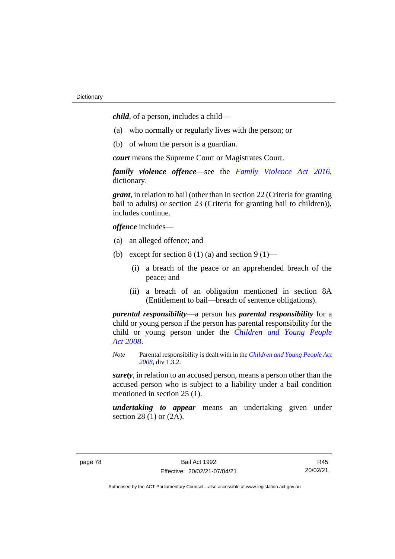*child*, of a person, includes a child—

- (a) who normally or regularly lives with the person; or
- (b) of whom the person is a guardian.

*court* means the Supreme Court or Magistrates Court.

*family violence offence*—see the *[Family Violence Act 2016](http://www.legislation.act.gov.au/a/2016-42)*, dictionary.

*grant*, in relation to bail (other than in section 22 (Criteria for granting bail to adults) or section 23 (Criteria for granting bail to children)), includes continue.

*offence* includes—

- (a) an alleged offence; and
- (b) except for section  $8(1)(a)$  and section  $9(1)$ 
	- (i) a breach of the peace or an apprehended breach of the peace; and
	- (ii) a breach of an obligation mentioned in section 8A (Entitlement to bail—breach of sentence obligations).

*parental responsibility*—a person has *parental responsibility* for a child or young person if the person has parental responsibility for the child or young person under the *[Children and Young People](http://www.legislation.act.gov.au/a/2008-19)  Act [2008](http://www.legislation.act.gov.au/a/2008-19)*.

*Note* Parental responsibility is dealt with in the *[Children and Young People Act](http://www.legislation.act.gov.au/a/2008-19)  [2008](http://www.legislation.act.gov.au/a/2008-19)*, div 1.3.2.

*surety*, in relation to an accused person, means a person other than the accused person who is subject to a liability under a bail condition mentioned in section 25 (1).

*undertaking to appear* means an undertaking given under section 28 (1) or (2A).

R45 20/02/21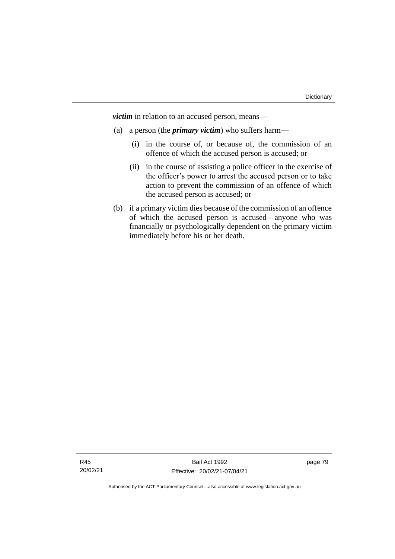*victim* in relation to an accused person, means—

- (a) a person (the *primary victim*) who suffers harm—
	- (i) in the course of, or because of, the commission of an offence of which the accused person is accused; or
	- (ii) in the course of assisting a police officer in the exercise of the officer's power to arrest the accused person or to take action to prevent the commission of an offence of which the accused person is accused; or
- (b) if a primary victim dies because of the commission of an offence of which the accused person is accused—anyone who was financially or psychologically dependent on the primary victim immediately before his or her death.

page 79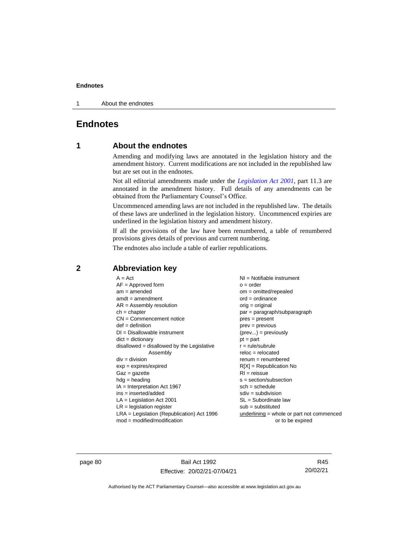1 About the endnotes

# **Endnotes**

# **1 About the endnotes**

Amending and modifying laws are annotated in the legislation history and the amendment history. Current modifications are not included in the republished law but are set out in the endnotes.

Not all editorial amendments made under the *[Legislation Act 2001](http://www.legislation.act.gov.au/a/2001-14)*, part 11.3 are annotated in the amendment history. Full details of any amendments can be obtained from the Parliamentary Counsel's Office.

Uncommenced amending laws are not included in the republished law. The details of these laws are underlined in the legislation history. Uncommenced expiries are underlined in the legislation history and amendment history.

If all the provisions of the law have been renumbered, a table of renumbered provisions gives details of previous and current numbering.

The endnotes also include a table of earlier republications.

| $A = Act$                                    | $NI =$ Notifiable instrument                |
|----------------------------------------------|---------------------------------------------|
|                                              |                                             |
| $AF =$ Approved form                         | $o = order$                                 |
| $am = amended$                               | $om = omitted/repealed$                     |
| $amdt = amendment$                           | $ord = ordinance$                           |
| $AR = Assembly resolution$                   | orig = original                             |
| $ch = chapter$                               | par = paragraph/subparagraph                |
| $CN =$ Commencement notice                   | $pres = present$                            |
| $def = definition$                           | $prev = previous$                           |
| $DI = Disallowable instrument$               | $(\text{prev}) = \text{previously}$         |
| $dict = dictionary$                          | $pt = part$                                 |
| $disallowed = disallowed by the Legislative$ | $r = rule/subrule$                          |
| Assembly                                     | $reloc = relocated$                         |
| $div = division$                             | $renum = renumbered$                        |
| $exp = expires/expired$                      | $R[X]$ = Republication No                   |
| $Gaz = gazette$                              | $RI = reissue$                              |
| $h dq =$ heading                             | $s = section/subsection$                    |
| $IA = Interpretation Act 1967$               | $sch = schedule$                            |
| ins = inserted/added                         | $sdiv = subdivision$                        |
| $LA =$ Legislation Act 2001                  | $SL = Subordinate$ law                      |
| $LR =$ legislation register                  | $sub =$ substituted                         |
| $LRA =$ Legislation (Republication) Act 1996 | $underlining = whole or part not commenced$ |
| $mod = modified/modification$                | or to be expired                            |
|                                              |                                             |

# **2 Abbreviation key**

page 80 Bail Act 1992 Effective: 20/02/21-07/04/21

R45 20/02/21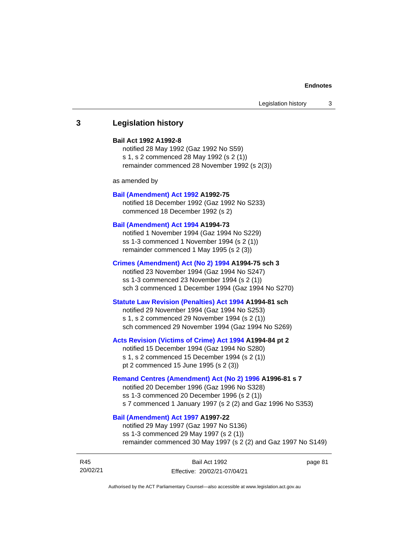# **3 Legislation history**

#### **Bail Act 1992 A1992-8**

notified 28 May 1992 (Gaz 1992 No S59) s 1, s 2 commenced 28 May 1992 (s 2 (1)) remainder commenced 28 November 1992 (s 2(3))

as amended by

#### **[Bail \(Amendment\) Act 1992](http://www.legislation.act.gov.au/a/1992-75) A1992-75**

notified 18 December 1992 (Gaz 1992 No S233) commenced 18 December 1992 (s 2)

#### **[Bail \(Amendment\) Act 1994](http://www.legislation.act.gov.au/a/1994-73) A1994-73**

notified 1 November 1994 (Gaz 1994 No S229) ss 1-3 commenced 1 November 1994 (s 2 (1)) remainder commenced 1 May 1995 (s 2 (3))

#### **[Crimes \(Amendment\) Act \(No 2\) 1994](http://www.legislation.act.gov.au/a/1994-75) A1994-75 sch 3**

notified 23 November 1994 (Gaz 1994 No S247) ss 1-3 commenced 23 November 1994 (s 2 (1)) sch 3 commenced 1 December 1994 (Gaz 1994 No S270)

### **[Statute Law Revision \(Penalties\) Act 1994](http://www.legislation.act.gov.au/a/1994-81) A1994-81 sch**

notified 29 November 1994 (Gaz 1994 No S253) s 1, s 2 commenced 29 November 1994 (s 2 (1)) sch commenced 29 November 1994 (Gaz 1994 No S269)

#### **[Acts Revision \(Victims of Crime\) Act 1994](http://www.legislation.act.gov.au/a/1994-84) A1994-84 pt 2**

notified 15 December 1994 (Gaz 1994 No S280) s 1, s 2 commenced 15 December 1994 (s 2 (1)) pt 2 commenced 15 June 1995 (s 2 (3))

#### **[Remand Centres \(Amendment\) Act \(No 2\) 1996](http://www.legislation.act.gov.au/a/1996-81) A1996-81 s 7**

notified 20 December 1996 (Gaz 1996 No S328) ss 1-3 commenced 20 December 1996 (s 2 (1)) s 7 commenced 1 January 1997 (s 2 (2) and Gaz 1996 No S353)

### **[Bail \(Amendment\) Act 1997](http://www.legislation.act.gov.au/a/1997-22) A1997-22**

notified 29 May 1997 (Gaz 1997 No S136) ss 1-3 commenced 29 May 1997 (s 2 (1)) remainder commenced 30 May 1997 (s 2 (2) and Gaz 1997 No S149)

| R45      | Bail Act 1992                | page 81 |
|----------|------------------------------|---------|
| 20/02/21 | Effective: 20/02/21-07/04/21 |         |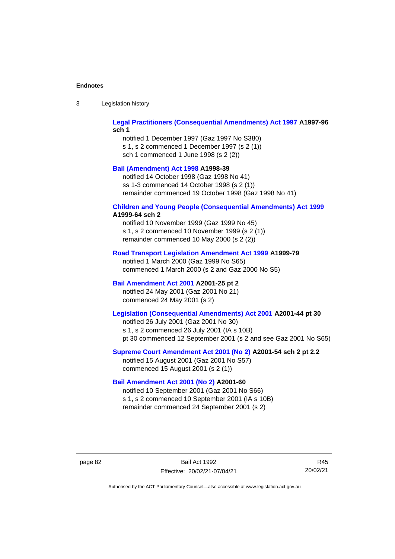| Legislation history<br>-3 |  |
|---------------------------|--|
|---------------------------|--|

### **[Legal Practitioners \(Consequential Amendments\) Act 1997](http://www.legislation.act.gov.au/a/1997-96) A1997-96 sch 1**

notified 1 December 1997 (Gaz 1997 No S380) s 1, s 2 commenced 1 December 1997 (s 2 (1)) sch 1 commenced 1 June 1998 (s 2 (2))

### **[Bail \(Amendment\) Act 1998](http://www.legislation.act.gov.au/a/1998-39) A1998-39**

notified 14 October 1998 (Gaz 1998 No 41) ss 1-3 commenced 14 October 1998 (s 2 (1)) remainder commenced 19 October 1998 (Gaz 1998 No 41)

# **[Children and Young People \(Consequential Amendments\) Act 1999](http://www.legislation.act.gov.au/a/1999-64)**

# **A1999-64 sch 2**

notified 10 November 1999 (Gaz 1999 No 45) s 1, s 2 commenced 10 November 1999 (s 2 (1)) remainder commenced 10 May 2000 (s 2 (2))

#### **[Road Transport Legislation Amendment Act 1999](http://www.legislation.act.gov.au/a/1999-79) A1999-79**

notified 1 March 2000 (Gaz 1999 No S65) commenced 1 March 2000 (s 2 and Gaz 2000 No S5)

### **[Bail Amendment Act 2001](http://www.legislation.act.gov.au/a/2001-25) A2001-25 pt 2**

notified 24 May 2001 (Gaz 2001 No 21) commenced 24 May 2001 (s 2)

# **[Legislation \(Consequential Amendments\) Act 2001](http://www.legislation.act.gov.au/a/2001-44) A2001-44 pt 30**

notified 26 July 2001 (Gaz 2001 No 30) s 1, s 2 commenced 26 July 2001 (IA s 10B) pt 30 commenced 12 September 2001 (s 2 and see Gaz 2001 No S65)

#### **[Supreme Court Amendment Act 2001 \(No 2\)](http://www.legislation.act.gov.au/a/2001-54) A2001-54 sch 2 pt 2.2**

notified 15 August 2001 (Gaz 2001 No S57) commenced 15 August 2001 (s 2 (1))

#### **[Bail Amendment Act 2001 \(No 2\)](http://www.legislation.act.gov.au/a/2001-60) A2001-60**

notified 10 September 2001 (Gaz 2001 No S66) s 1, s 2 commenced 10 September 2001 (IA s 10B) remainder commenced 24 September 2001 (s 2)

page 82 Bail Act 1992 Effective: 20/02/21-07/04/21

R45 20/02/21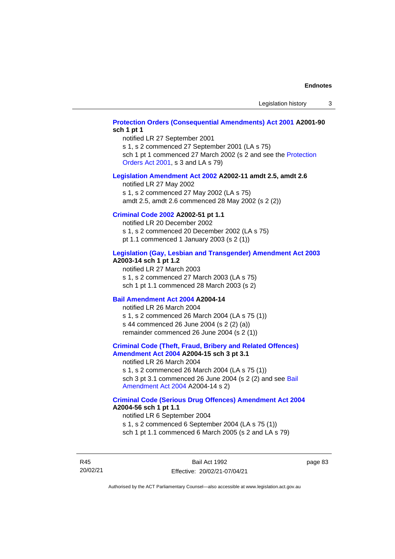### **[Protection Orders \(Consequential Amendments\) Act 2001](http://www.legislation.act.gov.au/a/2001-90) A2001-90 sch 1 pt 1**

notified LR 27 September 2001

s 1, s 2 commenced 27 September 2001 (LA s 75) sch 1 pt 1 commenced 27 March 2002 (s 2 and see the Protection

[Orders Act 2001,](http://www.legislation.act.gov.au/a/2001-89) s 3 and LA s 79)

#### **[Legislation Amendment Act 2002](http://www.legislation.act.gov.au/a/2002-11) A2002-11 amdt 2.5, amdt 2.6**

notified LR 27 May 2002 s 1, s 2 commenced 27 May 2002 (LA s 75) amdt 2.5, amdt 2.6 commenced 28 May 2002 (s 2 (2))

# **[Criminal Code 2002](http://www.legislation.act.gov.au/a/2002-51) A2002-51 pt 1.1**

notified LR 20 December 2002 s 1, s 2 commenced 20 December 2002 (LA s 75) pt 1.1 commenced 1 January 2003 (s 2 (1))

#### **[Legislation \(Gay, Lesbian and Transgender\) Amendment Act 2003](http://www.legislation.act.gov.au/a/2003-14) A2003-14 sch 1 pt 1.2**

notified LR 27 March 2003 s 1, s 2 commenced 27 March 2003 (LA s 75) sch 1 pt 1.1 commenced 28 March 2003 (s 2)

#### **[Bail Amendment Act 2004](http://www.legislation.act.gov.au/a/2004-14) A2004-14**

notified LR 26 March 2004 s 1, s 2 commenced 26 March 2004 (LA s 75 (1)) s 44 commenced 26 June 2004 (s 2 (2) (a)) remainder commenced 26 June 2004 (s 2 (1))

#### **[Criminal Code \(Theft, Fraud, Bribery and Related Offences\)](http://www.legislation.act.gov.au/a/2004-15)  [Amendment Act 2004](http://www.legislation.act.gov.au/a/2004-15) A2004-15 sch 3 pt 3.1**

notified LR 26 March 2004 s 1, s 2 commenced 26 March 2004 (LA s 75 (1)) sch 3 pt 3.1 commenced 26 June 2004 (s 2 (2) and see [Bail](http://www.legislation.act.gov.au/a/2004-14)  [Amendment Act 2004](http://www.legislation.act.gov.au/a/2004-14) A2004-14 s 2)

#### **[Criminal Code \(Serious Drug Offences\) Amendment Act 2004](http://www.legislation.act.gov.au/a/2004-56) A2004-56 sch 1 pt 1.1**

notified LR 6 September 2004 s 1, s 2 commenced 6 September 2004 (LA s 75 (1)) sch 1 pt 1.1 commenced 6 March 2005 (s 2 and LA s 79)

R45 20/02/21

Bail Act 1992 Effective: 20/02/21-07/04/21 page 83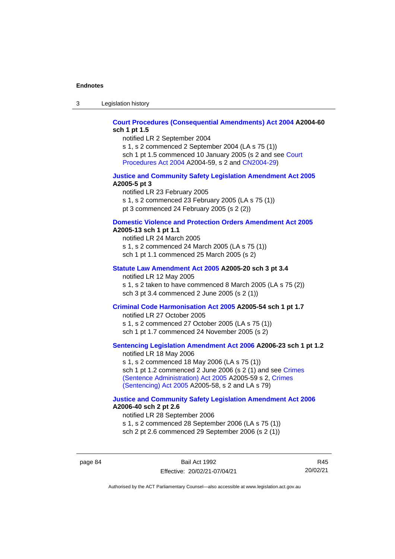3 Legislation history

### **[Court Procedures \(Consequential Amendments\) Act 2004](http://www.legislation.act.gov.au/a/2004-60) A2004-60 sch 1 pt 1.5**

notified LR 2 September 2004

s 1, s 2 commenced 2 September 2004 (LA s 75 (1)) sch 1 pt 1.5 commenced 10 January 2005 (s 2 and see [Court](http://www.legislation.act.gov.au/a/2004-59)  [Procedures Act](http://www.legislation.act.gov.au/a/2004-59) 2004 A2004-59, s 2 and [CN2004-29\)](http://www.legislation.act.gov.au/cn/2004-29/default.asp)

#### **[Justice and Community Safety Legislation Amendment Act 2005](http://www.legislation.act.gov.au/a/2005-5) A2005-5 pt 3**

notified LR 23 February 2005 s 1, s 2 commenced 23 February 2005 (LA s 75 (1)) pt 3 commenced 24 February 2005 (s 2 (2))

#### **[Domestic Violence and Protection Orders Amendment Act 2005](http://www.legislation.act.gov.au/a/2005-13) A2005-13 sch 1 pt 1.1**

notified LR 24 March 2005 s 1, s 2 commenced 24 March 2005 (LA s 75 (1)) sch 1 pt 1.1 commenced 25 March 2005 (s 2)

# **[Statute Law Amendment Act 2005](http://www.legislation.act.gov.au/a/2005-20) A2005-20 sch 3 pt 3.4**

notified LR 12 May 2005

s 1, s 2 taken to have commenced 8 March 2005 (LA s 75 (2)) sch 3 pt 3.4 commenced 2 June 2005 (s 2 (1))

### **[Criminal Code Harmonisation Act 2005](http://www.legislation.act.gov.au/a/2005-54) A2005-54 sch 1 pt 1.7**

notified LR 27 October 2005 s 1, s 2 commenced 27 October 2005 (LA s 75 (1)) sch 1 pt 1.7 commenced 24 November 2005 (s 2)

# **[Sentencing Legislation Amendment](http://www.legislation.act.gov.au/a/2006-23) Act 2006 A2006-23 sch 1 pt 1.2**

notified LR 18 May 2006 s 1, s 2 commenced 18 May 2006 (LA s 75 (1)) sch 1 pt 1.2 commenced 2 June 2006 (s 2 (1) and see [Crimes](http://www.legislation.act.gov.au/a/2005-59)  [\(Sentence Administration\) Act 2005](http://www.legislation.act.gov.au/a/2005-59) A2005-59 s 2, [Crimes](http://www.legislation.act.gov.au/a/2005-58)  [\(Sentencing\) Act 2005](http://www.legislation.act.gov.au/a/2005-58) A2005-58, s 2 and LA s 79)

#### **[Justice and Community Safety Legislation Amendment Act](http://www.legislation.act.gov.au/a/2006-40) 2006 A2006-40 sch 2 pt 2.6**

notified LR 28 September 2006 s 1, s 2 commenced 28 September 2006 (LA s 75 (1)) sch 2 pt 2.6 commenced 29 September 2006 (s 2 (1))

page 84 Bail Act 1992 Effective: 20/02/21-07/04/21

R45 20/02/21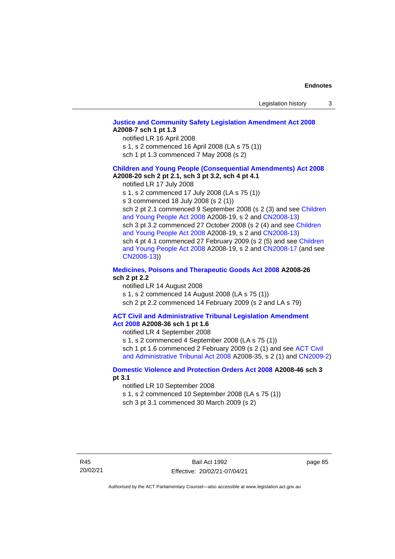# **[Justice and Community Safety Legislation Amendment Act 2008](http://www.legislation.act.gov.au/a/2008-7) A2008-7 sch 1 pt 1.3**

notified LR 16 April 2008

s 1, s 2 commenced 16 April 2008 (LA s 75 (1))

sch 1 pt 1.3 commenced 7 May 2008 (s 2)

#### **Children and [Young People \(Consequential Amendments\) Act 2008](http://www.legislation.act.gov.au/a/2008-20) A2008-20 sch 2 pt 2.1, sch 3 pt 3.2, sch 4 pt 4.1**

notified LR 17 July 2008

s 1, s 2 commenced 17 July 2008 (LA s 75 (1))

s 3 commenced 18 July 2008 (s 2 (1))

sch 2 pt 2.1 commenced 9 September 2008 (s 2 (3) and see Children [and Young People Act 2008](http://www.legislation.act.gov.au/a/2008-19) A2008-19, s 2 and [CN2008-13\)](http://www.legislation.act.gov.au/cn/2008-13/default.asp) sch 3 pt 3.2 commenced 27 October 2008 (s 2 (4) and see Children [and Young People Act 2008](http://www.legislation.act.gov.au/a/2008-19) A2008-19, s 2 and [CN2008-13\)](http://www.legislation.act.gov.au/cn/2008-13/default.asp) sch 4 pt 4.1 commenced 27 February 2009 (s 2 (5) and see [Children](http://www.legislation.act.gov.au/a/2008-19)  [and Young People Act 2008](http://www.legislation.act.gov.au/a/2008-19) A2008-19, s 2 and [CN2008-17 \(](http://www.legislation.act.gov.au/cn/2008-17/default.asp)and see [CN2008-13\)](http://www.legislation.act.gov.au/cn/2008-13/default.asp))

#### **[Medicines, Poisons and Therapeutic Goods Act](http://www.legislation.act.gov.au/a/2008-26#history) 2008 A2008-26 sch 2 pt 2.2**

notified LR 14 August 2008 s 1, s 2 commenced 14 August 2008 (LA s 75 (1)) sch 2 pt 2.2 commenced 14 February 2009 (s 2 and LA s 79)

#### **[ACT Civil and Administrative Tribunal Legislation Amendment](http://www.legislation.act.gov.au/a/2008-36)  Act [2008](http://www.legislation.act.gov.au/a/2008-36) A2008-36 sch 1 pt 1.6**

notified LR 4 September 2008

s 1, s 2 commenced 4 September 2008 (LA s 75 (1)) sch 1 pt 1.6 commenced 2 February 2009 (s 2 (1) and see [ACT Civil](http://www.legislation.act.gov.au/a/2008-35)  [and Administrative Tribunal Act 2008](http://www.legislation.act.gov.au/a/2008-35) A2008-35, s 2 (1) and [CN2009-2\)](http://www.legislation.act.gov.au/cn/2009-2/default.asp)

### **[Domestic Violence and Protection Orders Act 2008](http://www.legislation.act.gov.au/a/2008-46#history) A2008-46 sch 3 pt 3.1**

notified LR 10 September 2008

s 1, s 2 commenced 10 September 2008 (LA s 75 (1))

sch 3 pt 3.1 commenced 30 March 2009 (s 2)

page 85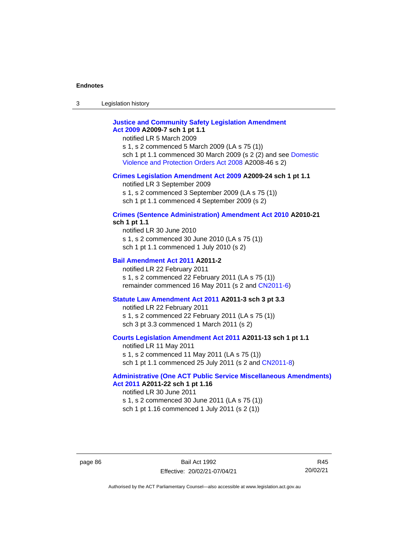3 Legislation history

# **[Justice and Community Safety Legislation Amendment](http://www.legislation.act.gov.au/a/2009-7)  Act [2009](http://www.legislation.act.gov.au/a/2009-7) A2009-7 sch 1 pt 1.1**

notified LR 5 March 2009

s 1, s 2 commenced 5 March 2009 (LA s 75 (1)) sch 1 pt 1.1 commenced 30 March 2009 (s 2 (2) and see [Domestic](http://www.legislation.act.gov.au/a/2008-46)  [Violence and Protection Orders Act 2008](http://www.legislation.act.gov.au/a/2008-46) A2008-46 s 2)

#### **[Crimes Legislation Amendment Act 2009](http://www.legislation.act.gov.au/a/2009-24) A2009-24 sch 1 pt 1.1**

notified LR 3 September 2009

s 1, s 2 commenced 3 September 2009 (LA s 75 (1))

sch 1 pt 1.1 commenced 4 September 2009 (s 2)

#### **[Crimes \(Sentence Administration\) Amendment Act 2010](http://www.legislation.act.gov.au/a/2010-21) A2010-21 sch 1 pt 1.1**

notified LR 30 June 2010 s 1, s 2 commenced 30 June 2010 (LA s 75 (1)) sch 1 pt 1.1 commenced 1 July 2010 (s 2)

#### **[Bail Amendment Act 2011](http://www.legislation.act.gov.au/a/2011-2) A2011-2**

notified LR 22 February 2011 s 1, s 2 commenced 22 February 2011 (LA s 75 (1)) remainder commenced 16 May 2011 (s 2 and [CN2011-6\)](http://www.legislation.act.gov.au/cn/2011-6/default.asp)

#### **[Statute Law Amendment Act 2011](http://www.legislation.act.gov.au/a/2011-3) A2011-3 sch 3 pt 3.3**

notified LR 22 February 2011 s 1, s 2 commenced 22 February 2011 (LA s 75 (1)) sch 3 pt 3.3 commenced 1 March 2011 (s 2)

#### **[Courts Legislation Amendment Act 2011](http://www.legislation.act.gov.au/a/2011-13) A2011-13 sch 1 pt 1.1**

notified LR 11 May 2011 s 1, s 2 commenced 11 May 2011 (LA s 75 (1)) sch 1 pt 1.1 commenced 25 July 2011 (s 2 and [CN2011-8\)](http://www.legislation.act.gov.au/cn/2011-8/default.asp)

### **[Administrative \(One ACT Public Service Miscellaneous Amendments\)](http://www.legislation.act.gov.au/a/2011-22)  Act [2011](http://www.legislation.act.gov.au/a/2011-22) A2011-22 sch 1 pt 1.16**

notified LR 30 June 2011 s 1, s 2 commenced 30 June 2011 (LA s 75 (1)) sch 1 pt 1.16 commenced 1 July 2011 (s 2 (1))

R45 20/02/21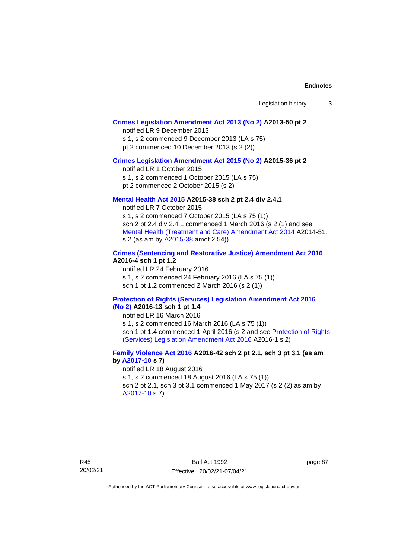# **[Crimes Legislation Amendment Act 2013 \(No 2\)](http://www.legislation.act.gov.au/a/2013-50) A2013-50 pt 2**

notified LR 9 December 2013

s 1, s 2 commenced 9 December 2013 (LA s 75)

pt 2 commenced 10 December 2013 (s 2 (2))

#### **[Crimes Legislation Amendment Act 2015 \(No 2\)](http://www.legislation.act.gov.au/a/2015-36) A2015-36 pt 2**

notified LR 1 October 2015

s 1, s 2 commenced 1 October 2015 (LA s 75)

pt 2 commenced 2 October 2015 (s 2)

### **[Mental Health Act 2015](http://www.legislation.act.gov.au/a/2015-38#history) A2015-38 sch 2 pt 2.4 div 2.4.1**

notified LR 7 October 2015 s 1, s 2 commenced 7 October 2015 (LA s 75 (1)) sch 2 pt 2.4 div 2.4.1 commenced 1 March 2016 (s 2 (1) and see [Mental Health \(Treatment and Care\) Amendment Act 2014](http://www.legislation.act.gov.au/a/2014-51/default.asp) A2014-51, s 2 (as am by [A2015-38](http://www.legislation.act.gov.au/a/2015-38) amdt 2.54))

### **[Crimes \(Sentencing and Restorative Justice\) Amendment Act 2016](http://www.legislation.act.gov.au/a/2016-4/default.asp) A2016-4 sch 1 pt 1.2**

notified LR 24 February 2016 s 1, s 2 commenced 24 February 2016 (LA s 75 (1)) sch 1 pt 1.2 commenced 2 March 2016 (s 2 (1))

#### **[Protection of Rights \(Services\) Legislation Amendment Act 2016](http://www.legislation.act.gov.au/a/2016-13)  [\(No](http://www.legislation.act.gov.au/a/2016-13) 2) A2016-13 sch 1 pt 1.4**

notified LR 16 March 2016

s 1, s 2 commenced 16 March 2016 (LA s 75 (1)) sch 1 pt 1.4 commenced 1 April 2016 (s 2 and see [Protection of Rights](http://www.legislation.act.gov.au/a/2016-1/default.asp)  [\(Services\) Legislation Amendment Act 2016](http://www.legislation.act.gov.au/a/2016-1/default.asp) A2016-1 s 2)

# **[Family Violence Act 2016](http://www.legislation.act.gov.au/a/2016-42#history) A2016-42 sch 2 pt 2.1, sch 3 pt 3.1 (as am by [A2017-10](http://www.legislation.act.gov.au/a/2017-10/default.asp) s 7)**

notified LR 18 August 2016 s 1, s 2 commenced 18 August 2016 (LA s 75 (1)) sch 2 pt 2.1, sch 3 pt 3.1 commenced 1 May 2017 (s 2 (2) as am by [A2017-10](http://www.legislation.act.gov.au/a/2017-10/default.asp) s 7)

page 87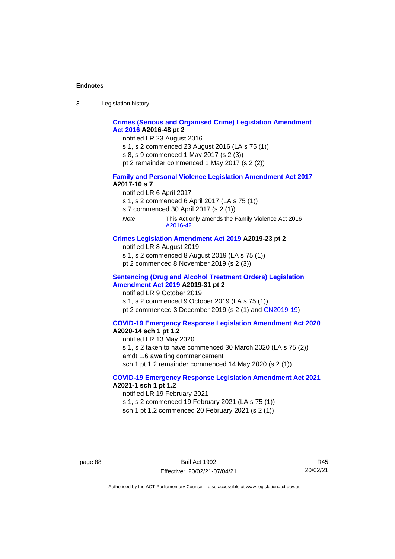3 Legislation history

# **[Crimes \(Serious and Organised Crime\) Legislation Amendment](http://www.legislation.act.gov.au/a/2016-48/default.asp)  Act [2016](http://www.legislation.act.gov.au/a/2016-48/default.asp) A2016-48 pt 2**

notified LR 23 August 2016

s 1, s 2 commenced 23 August 2016 (LA s 75 (1))

s 8, s 9 commenced 1 May 2017 (s 2 (3))

pt 2 remainder commenced 1 May 2017 (s 2 (2))

#### **[Family and Personal Violence Legislation Amendment Act 2017](http://www.legislation.act.gov.au/a/2017-10/default.asp) A2017-10 s 7**

notified LR 6 April 2017

s 1, s 2 commenced 6 April 2017 (LA s 75 (1))

s 7 commenced 30 April 2017 (s 2 (1))

*Note* This Act only amends the Family Violence Act 2016 [A2016-42.](http://www.legislation.act.gov.au/a/2016-42/default.asp)

### **[Crimes Legislation Amendment Act 2019](http://www.legislation.act.gov.au/a/2019-23) A2019-23 pt 2**

notified LR 8 August 2019

s 1, s 2 commenced 8 August 2019 (LA s 75 (1))

pt 2 commenced 8 November 2019 (s 2 (3))

#### **[Sentencing \(Drug and Alcohol Treatment Orders\) Legislation](http://www.legislation.act.gov.au/a/2019-31)  [Amendment Act 2019](http://www.legislation.act.gov.au/a/2019-31) A2019-31 pt 2**

notified LR 9 October 2019 s 1, s 2 commenced 9 October 2019 (LA s 75 (1)) pt 2 commenced 3 December 2019 (s 2 (1) and [CN2019-19\)](https://www.legislation.act.gov.au/cn/2019-19/)

#### **[COVID-19 Emergency Response Legislation Amendment Act 2020](http://www.legislation.act.gov.au/a/2020-14/)**

# **A2020-14 sch 1 pt 1.2**

notified LR 13 May 2020 s 1, s 2 taken to have commenced 30 March 2020 (LA s 75 (2)) amdt 1.6 awaiting commencement sch 1 pt 1.2 remainder commenced 14 May 2020 (s 2 (1))

# **[COVID-19 Emergency Response Legislation Amendment Act 2021](http://www.legislation.act.gov.au/a/2021-1/) A2021-1 sch 1 pt 1.2**

notified LR 19 February 2021

s 1, s 2 commenced 19 February 2021 (LA s 75 (1))

sch 1 pt 1.2 commenced 20 February 2021 (s 2 (1))

page 88 Bail Act 1992 Effective: 20/02/21-07/04/21

R45 20/02/21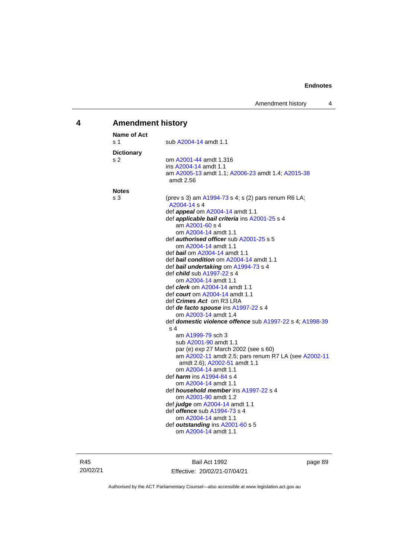# **4 Amendment history**

| <b>Name of Act</b>  |                                                                                                                                                                                                                                                                                                                                                                                                                                                                                                                                                                                                                                                                                                                       |
|---------------------|-----------------------------------------------------------------------------------------------------------------------------------------------------------------------------------------------------------------------------------------------------------------------------------------------------------------------------------------------------------------------------------------------------------------------------------------------------------------------------------------------------------------------------------------------------------------------------------------------------------------------------------------------------------------------------------------------------------------------|
| ร 1                 | sub A2004-14 amdt 1.1                                                                                                                                                                                                                                                                                                                                                                                                                                                                                                                                                                                                                                                                                                 |
| <b>Dictionary</b>   |                                                                                                                                                                                                                                                                                                                                                                                                                                                                                                                                                                                                                                                                                                                       |
| s 2                 | om A2001-44 amdt 1.316<br>ins A2004-14 amdt 1.1<br>am A2005-13 amdt 1.1; A2006-23 amdt 1.4; A2015-38<br>amdt 2.56                                                                                                                                                                                                                                                                                                                                                                                                                                                                                                                                                                                                     |
|                     |                                                                                                                                                                                                                                                                                                                                                                                                                                                                                                                                                                                                                                                                                                                       |
| <b>Notes</b><br>s 3 | (prev s 3) am A1994-73 s 4; s (2) pars renum R6 LA;<br>A2004-14 s 4<br>def <b>appeal</b> om A2004-14 amdt 1.1<br>def <b>applicable bail criteria</b> ins A2001-25 s 4<br>am A2001-60 s 4<br>om A2004-14 amdt 1.1<br>def <b>authorised officer</b> sub A2001-25 s 5<br>om A2004-14 amdt 1.1<br>def bail om A2004-14 amdt 1.1<br>def bail condition om A2004-14 amdt 1.1<br>def bail undertaking om A1994-73 s 4<br>def <i>child</i> sub A1997-22 s 4<br>om A2004-14 amdt 1.1<br>def <i>clerk</i> om A2004-14 amdt 1.1<br>def court om A2004-14 amdt 1.1<br>def <i>Crimes Act</i> om R3 LRA<br>def de facto spouse ins A1997-22 s 4<br>om A2003-14 amdt 1.4<br>def domestic violence offence sub A1997-22 s 4; A1998-39 |
|                     | s 4<br>am A1999-79 sch 3<br>sub A2001-90 amdt 1.1<br>par (e) exp 27 March 2002 (see s 60)<br>am A2002-11 amdt 2.5; pars renum R7 LA (see A2002-11<br>amdt 2.6); A2002-51 amdt 1.1<br>om A2004-14 amdt 1.1<br>def <i><b>harm</b></i> ins A1994-84 s 4<br>om A2004-14 amdt 1.1<br>def <i>household member</i> ins A1997-22 s 4<br>om A2001-90 amdt 1.2<br>def <i>judge</i> om A2004-14 amdt 1.1<br>def <i>offence</i> sub A1994-73 s 4<br>om A2004-14 amdt 1.1<br>def outstanding ins A2001-60 s 5<br>om A2004-14 amdt 1.1                                                                                                                                                                                              |

R45 20/02/21

Bail Act 1992 Effective: 20/02/21-07/04/21 page 89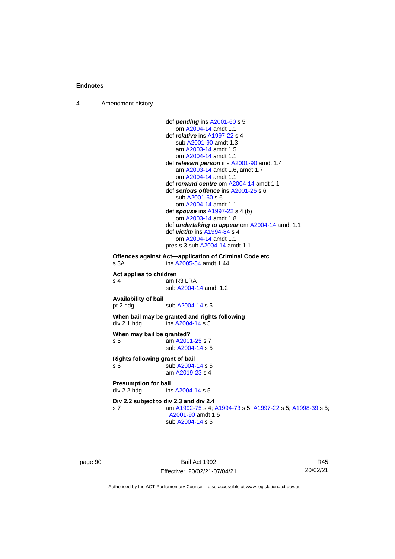4 Amendment history

```
def pending ins A2001-60 s 5
                    om A2004-14 amdt 1.1
                 def relative ins A1997-22 s 4
                    sub A2001-90 amdt 1.3
                    am A2003-14 amdt 1.5
                    om A2004-14 amdt 1.1
                 def relevant person ins A2001-90 amdt 1.4
                    am A2003-14 amdt 1.6, amdt 1.7
                    om A2004-14 amdt 1.1
                 def remand centre om A2004-14 amdt 1.1
                 def serious offence ins A2001-25 s 6
                    sub A2001-60 s 6
                    om A2004-14 amdt 1.1
                 def spouse ins A1997-22 s 4 (b)
                    om A2003-14 amdt 1.8
                 def undertaking to appear om A2004-14 amdt 1.1
                 def victim ins A1994-84 s 4
                    om A2004-14 amdt 1.1
                 pres s 3 sub A2004-14 amdt 1.1
Offences against Act—application of Criminal Code etc
s 3A  A2005-54 amdt 1.44
Act applies to children
s 4 am R3 LRA
                 sub A2004-14 amdt 1.2
Availability of bail
 A2004-14 s 5
When bail may be granted and rights following
div 2.1 hdg ins A2004-14 s 5When may bail be granted?
s 5 am A2001-25 s 7
                 sub A2004-14 s 5
Rights following grant of bail
s 6 sub A2004-14 s 5
                 am A2019-23 s 4
Presumption for bail<br>div 2.2 hdg ins
                  A2004-14 s 5
Div 2.2 subject to div 2.3 and div 2.4
s 7 am A1992-75 s 4; A1994-73 s 5; A1997-22 s 5; A1998-39 s 5; 
                  A2001-90 amdt 1.5
                 sub A2004-14 s 5
```
page 90 Bail Act 1992 Effective: 20/02/21-07/04/21

R45 20/02/21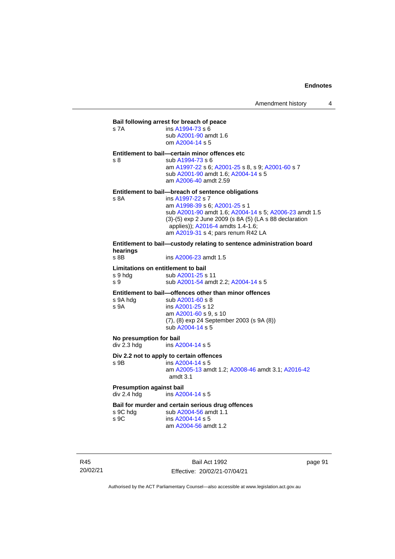| s 7A                                                 | Bail following arrest for breach of peace<br>ins A1994-73 s 6<br>sub A2001-90 amdt 1.6<br>om A2004-14 s 5                                                                                                                                                                                              |
|------------------------------------------------------|--------------------------------------------------------------------------------------------------------------------------------------------------------------------------------------------------------------------------------------------------------------------------------------------------------|
| s <sub>8</sub>                                       | Entitlement to bail-certain minor offences etc<br>sub A1994-73 s 6<br>am A1997-22 s 6; A2001-25 s 8, s 9; A2001-60 s 7<br>sub A2001-90 amdt 1.6; A2004-14 s 5<br>am A2006-40 amdt 2.59                                                                                                                 |
| s 8A                                                 | Entitlement to bail-breach of sentence obligations<br>ins A1997-22 s 7<br>am A1998-39 s 6; A2001-25 s 1<br>sub A2001-90 amdt 1.6; A2004-14 s 5; A2006-23 amdt 1.5<br>(3)-(5) exp 2 June 2009 (s 8A (5) (LA s 88 declaration<br>applies)); A2016-4 amdts 1.4-1.6;<br>am A2019-31 s 4; pars renum R42 LA |
| hearings<br>$s$ 8B                                   | Entitlement to bail—custody relating to sentence administration board<br>ins A2006-23 amdt 1.5                                                                                                                                                                                                         |
| Limitations on entitlement to bail<br>s 9 hdg<br>s 9 | sub A2001-25 s 11<br>sub A2001-54 amdt 2.2; A2004-14 s 5                                                                                                                                                                                                                                               |
| s 9A hdg<br>s 9A                                     | Entitlement to bail-offences other than minor offences<br>sub $A2001 - 60$ s 8<br>ins A2001-25 s 12                                                                                                                                                                                                    |

| s ya nag | SUD AZUUT-60 S 8                                                                       |
|----------|----------------------------------------------------------------------------------------|
| s 9A     | ins A2001-25 s 12                                                                      |
|          | am A2001-60 s 9. s 10<br>(7), (8) exp 24 September 2003 (s 9A (8))<br>sub A2004-14 s 5 |
|          |                                                                                        |

# **No presumption for bail**<br>div 2.3 hdg ins A2

ins [A2004-14](http://www.legislation.act.gov.au/a/2004-14) s 5

# **Div 2.2 not to apply to certain offences**

s 9B ins [A2004-14](http://www.legislation.act.gov.au/a/2004-14) s 5

#### am [A2005-13](http://www.legislation.act.gov.au/a/2005-13) amdt 1.2[; A2008-46](http://www.legislation.act.gov.au/a/2008-46) amdt 3.1; [A2016-42](http://www.legislation.act.gov.au/a/2016-42/default.asp) amdt 3.1

**Presumption against bail**<br>div 2.4 hdg ins A20 ins [A2004-14](http://www.legislation.act.gov.au/a/2004-14) s 5

# **Bail for murder and certain serious drug offences**<br>s 9C hdg sub A2004-56 amdt 1.1

s 9C hdg sub [A2004-56](http://www.legislation.act.gov.au/a/2004-56) amdt 1.1<br>s 9C ins A2004-14 s 5 ins [A2004-14](http://www.legislation.act.gov.au/a/2004-14) s 5 am [A2004-56](http://www.legislation.act.gov.au/a/2004-56) amdt 1.2

R45 20/02/21

Bail Act 1992 Effective: 20/02/21-07/04/21 page 91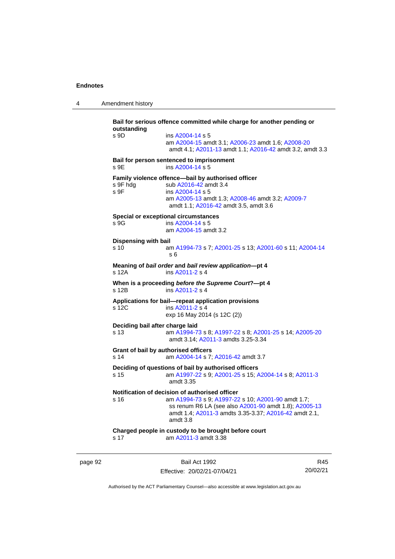4 Amendment history

**Bail for serious offence committed while charge for another pending or outstanding** s 9D ins [A2004-14](http://www.legislation.act.gov.au/a/2004-14) s 5 am [A2004-15](http://www.legislation.act.gov.au/a/2004-15) amdt 3.1[; A2006-23](http://www.legislation.act.gov.au/a/2006-23) amdt 1.6; [A2008-20](http://www.legislation.act.gov.au/a/2008-20) amdt 4.1; [A2011-13](http://www.legislation.act.gov.au/a/2011-13) amdt 1.1[; A2016-42](http://www.legislation.act.gov.au/a/2016-42/default.asp) amdt 3.2, amdt 3.3 **Bail for person sentenced to imprisonment** s 9E ins [A2004-14](http://www.legislation.act.gov.au/a/2004-14) s 5 **Family violence offence—bail by authorised officer**<br>s 9F hdg sub A2016-42 amdt 3.4 sub [A2016-42](http://www.legislation.act.gov.au/a/2016-42/default.asp) amdt 3.4 s 9F ins [A2004-14](http://www.legislation.act.gov.au/a/2004-14) s 5 am [A2005-13](http://www.legislation.act.gov.au/a/2005-13) amdt 1.3[; A2008-46](http://www.legislation.act.gov.au/a/2008-46) amdt 3.2; [A2009-7](http://www.legislation.act.gov.au/a/2009-7) amdt 1.1; [A2016-42](http://www.legislation.act.gov.au/a/2016-42/default.asp) amdt 3.5, amdt 3.6 **Special or exceptional circumstances** s 9G ins [A2004-14](http://www.legislation.act.gov.au/a/2004-14) s 5 am [A2004-15](http://www.legislation.act.gov.au/a/2004-15) amdt 3.2 **Dispensing with bail** s 10 am [A1994-73](http://www.legislation.act.gov.au/a/1994-73) s 7[; A2001-25](http://www.legislation.act.gov.au/a/2001-25) s 13; [A2001-60](http://www.legislation.act.gov.au/a/2001-60) s 11[; A2004-14](http://www.legislation.act.gov.au/a/2004-14) s 6 **Meaning of** *bail order* **and** *bail review application***—pt 4** ins [A2011-2](http://www.legislation.act.gov.au/a/2011-2) s 4 **When is a proceeding** *before the Supreme Court***?—pt 4** s 12B ins [A2011-2](http://www.legislation.act.gov.au/a/2011-2) s 4 **Applications for bail—repeat application provisions** ins [A2011-2](http://www.legislation.act.gov.au/a/2011-2) s 4 exp 16 May 2014 (s 12C (2)) **Deciding bail after charge laid** s 13 am [A1994-73](http://www.legislation.act.gov.au/a/1994-73) s 8[; A1997-22](http://www.legislation.act.gov.au/a/1997-22) s 8; [A2001-25](http://www.legislation.act.gov.au/a/2001-25) s 14[; A2005-20](http://www.legislation.act.gov.au/a/2005-20) amdt 3.14; [A2011-3](http://www.legislation.act.gov.au/a/2011-3) amdts 3.25-3.34 **Grant of bail by authorised officers** s 14 am [A2004-14](http://www.legislation.act.gov.au/a/2004-14) s 7[; A2016-42](http://www.legislation.act.gov.au/a/2016-42/default.asp) amdt 3.7 **Deciding of questions of bail by authorised officers** s 15 am [A1997-22](http://www.legislation.act.gov.au/a/1997-22) s 9[; A2001-25](http://www.legislation.act.gov.au/a/2001-25) s 15; [A2004-14](http://www.legislation.act.gov.au/a/2004-14) s 8[; A2011-3](http://www.legislation.act.gov.au/a/2011-3) amdt 3.35 **Notification of decision of authorised officer**<br>s 16 am A1994-73 s 9: A1997-22 am [A1994-73](http://www.legislation.act.gov.au/a/1994-73) s 9[; A1997-22](http://www.legislation.act.gov.au/a/1997-22) s 10; [A2001-90](http://www.legislation.act.gov.au/a/2001-90) amdt 1.7; ss renum R6 LA (see also [A2001-90](http://www.legislation.act.gov.au/a/2001-90) amdt 1.8)[; A2005-13](http://www.legislation.act.gov.au/a/2005-13) amdt 1.4; [A2011-3](http://www.legislation.act.gov.au/a/2011-3) amdts 3.35-3.37[; A2016-42](http://www.legislation.act.gov.au/a/2016-42/default.asp) amdt 2.1, amdt 3.8 **Charged people in custody to be brought before court** s 17 am [A2011-3](http://www.legislation.act.gov.au/a/2011-3) amdt 3.38

page 92 Bail Act 1992 Effective: 20/02/21-07/04/21

R45 20/02/21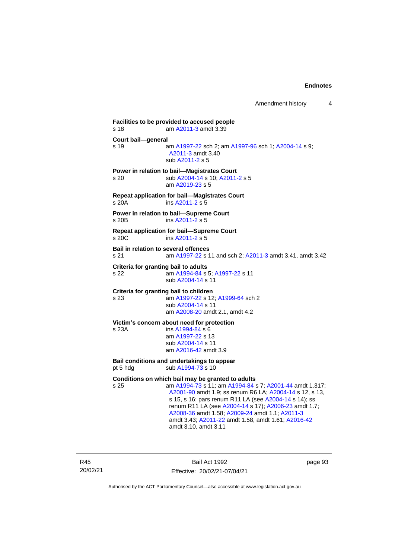**Facilities to be provided to accused people** s 18 am [A2011-3](http://www.legislation.act.gov.au/a/2011-3) amdt 3.39 **Court bail—general** s 19 **am [A1997-22](http://www.legislation.act.gov.au/a/1997-22) sch 2; am [A1997-96](http://www.legislation.act.gov.au/a/1997-96) sch 1; [A2004-14](http://www.legislation.act.gov.au/a/2004-14) s 9;** [A2011-3](http://www.legislation.act.gov.au/a/2011-3) amdt 3.40 sub [A2011-2](http://www.legislation.act.gov.au/a/2011-2) s 5 **Power in relation to bail—Magistrates Court** s 20 sub [A2004-14](http://www.legislation.act.gov.au/a/2004-14) s 10[; A2011-2](http://www.legislation.act.gov.au/a/2011-2) s 5 am [A2019-23](http://www.legislation.act.gov.au/a/2019-23/default.asp) s 5 **Repeat application for bail—Magistrates Court** s 20A ins [A2011-2](http://www.legislation.act.gov.au/a/2011-2) s 5 **Power in relation to bail—Supreme Court** s 20B ins [A2011-2](http://www.legislation.act.gov.au/a/2011-2) s 5 **Repeat application for bail—Supreme Court** s 20C ins [A2011-2](http://www.legislation.act.gov.au/a/2011-2) s 5 **Bail in relation to several offences** s 21 am [A1997-22](http://www.legislation.act.gov.au/a/1997-22) s 11 and sch 2; [A2011-3](http://www.legislation.act.gov.au/a/2011-3) amdt 3.41, amdt 3.42 **Criteria for granting bail to adults** s 22 am [A1994-84](http://www.legislation.act.gov.au/a/1994-84) s 5[; A1997-22](http://www.legislation.act.gov.au/a/1997-22) s 11 sub [A2004-14](http://www.legislation.act.gov.au/a/2004-14) s 11 **Criteria for granting bail to children** s 23 am [A1997-22](http://www.legislation.act.gov.au/a/1997-22) s 12[; A1999-64](http://www.legislation.act.gov.au/a/1999-64) sch 2 sub [A2004-14](http://www.legislation.act.gov.au/a/2004-14) s 11 am [A2008-20](http://www.legislation.act.gov.au/a/2008-20) amdt 2.1, amdt 4.2 **Victim's concern about need for protection** s 23A ins [A1994-84](http://www.legislation.act.gov.au/a/1994-84) s 6 am [A1997-22](http://www.legislation.act.gov.au/a/1997-22) s 13 sub [A2004-14](http://www.legislation.act.gov.au/a/2004-14) s 11 am [A2016-42](http://www.legislation.act.gov.au/a/2016-42/default.asp) amdt 3.9 **Bail conditions and undertakings to appear** pt 5 hdg sub  $A1994-73$  s 10 **Conditions on which bail may be granted to adults** s 25 am [A1994-73](http://www.legislation.act.gov.au/a/1994-73) s 11; a[m A1994-84](http://www.legislation.act.gov.au/a/1994-84) s 7; [A2001-44](http://www.legislation.act.gov.au/a/2001-44) amdt 1.317; [A2001-90](http://www.legislation.act.gov.au/a/2001-90) amdt 1.9; ss renum R6 LA; [A2004-14](http://www.legislation.act.gov.au/a/2004-14) s 12, s 13, s 15, s 16; pars renum R11 LA (see [A2004-14](http://www.legislation.act.gov.au/a/2004-14) s 14); ss renum R11 LA (see [A2004-14](http://www.legislation.act.gov.au/a/2004-14) s 17); [A2006-23](http://www.legislation.act.gov.au/a/2006-23) amdt 1.7; [A2008-36](http://www.legislation.act.gov.au/a/2008-36) amdt 1.58[; A2009-24](http://www.legislation.act.gov.au/a/2009-24) amdt 1.1; [A2011-3](http://www.legislation.act.gov.au/a/2011-3) amdt 3.43; [A2011-22](http://www.legislation.act.gov.au/a/2011-22) amdt 1.58, amdt 1.61[; A2016-42](http://www.legislation.act.gov.au/a/2016-42/default.asp)

amdt 3.10, amdt 3.11

R45 20/02/21

Bail Act 1992 Effective: 20/02/21-07/04/21 page 93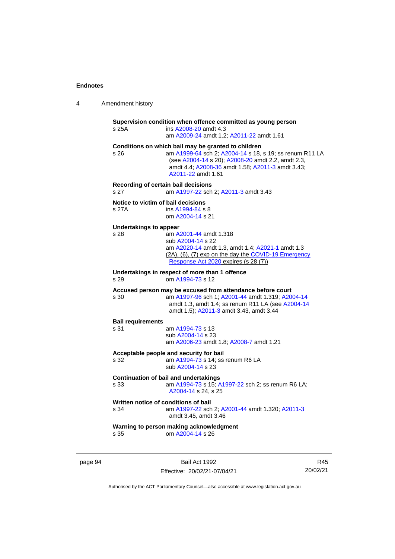| 4 | Amendment history |
|---|-------------------|
|---|-------------------|

**Supervision condition when offence committed as young person** s 25A ins [A2008-20](http://www.legislation.act.gov.au/a/2008-20) amdt 4.3 am [A2009-24](http://www.legislation.act.gov.au/a/2009-24) amdt 1.2[; A2011-22](http://www.legislation.act.gov.au/a/2011-22) amdt 1.61 **Conditions on which bail may be granted to children** s 26 am [A1999-64](http://www.legislation.act.gov.au/a/1999-64) sch 2; [A2004-14](http://www.legislation.act.gov.au/a/2004-14) s 18, s 19; ss renum R11 LA (see [A2004-14](http://www.legislation.act.gov.au/a/2004-14) s 20)[; A2008-20](http://www.legislation.act.gov.au/a/2008-20) amdt 2.2, amdt 2.3, amdt 4.4; [A2008-36](http://www.legislation.act.gov.au/a/2008-36) amdt 1.58[; A2011-3](http://www.legislation.act.gov.au/a/2011-3) amdt 3.43; [A2011-22](http://www.legislation.act.gov.au/a/2011-22) amdt 1.61 **Recording of certain bail decisions** s 27 am [A1997-22](http://www.legislation.act.gov.au/a/1997-22) sch 2; [A2011-3](http://www.legislation.act.gov.au/a/2011-3) amdt 3.43 **Notice to victim of bail decisions** s 27A ins [A1994-84](http://www.legislation.act.gov.au/a/1994-84) s 8 om [A2004-14](http://www.legislation.act.gov.au/a/2004-14) s 21 **Undertakings to appear** s 28 **am [A2001-44](http://www.legislation.act.gov.au/a/2001-44) amdt 1.318** sub [A2004-14](http://www.legislation.act.gov.au/a/2004-14) s 22 am [A2020-14](http://www.legislation.act.gov.au/a/2020-14/) amdt 1.3, amdt 1.4[; A2021-1](http://www.legislation.act.gov.au/a/2021-1/) amdt 1.3 (2A), (6), (7) exp on the day the [COVID-19 Emergency](http://www.legislation.act.gov.au/a/2020-11)  [Response Act 2020](http://www.legislation.act.gov.au/a/2020-11) expires (s 28 (7)) **Undertakings in respect of more than 1 offence** s 29 om [A1994-73](http://www.legislation.act.gov.au/a/1994-73) s 12 **Accused person may be excused from attendance before court** s 30 am [A1997-96](http://www.legislation.act.gov.au/a/1997-96) sch 1; [A2001-44](http://www.legislation.act.gov.au/a/2001-44) amdt 1.319[; A2004-14](http://www.legislation.act.gov.au/a/2004-14) amdt 1.3, amdt 1.4; ss renum R11 LA (see [A2004-14](http://www.legislation.act.gov.au/a/2004-14) amdt 1.5); [A2011-3](http://www.legislation.act.gov.au/a/2011-3) amdt 3.43, amdt 3.44 **Bail requirements** s 31 am [A1994-73](http://www.legislation.act.gov.au/a/1994-73) s 13 sub [A2004-14](http://www.legislation.act.gov.au/a/2004-14) s 23 am [A2006-23](http://www.legislation.act.gov.au/a/2006-23) amdt 1.8[; A2008-7](http://www.legislation.act.gov.au/a/2008-7) amdt 1.21 **Acceptable people and security for bail** am  $A1994-73$  s 14; ss renum R6 LA sub [A2004-14](http://www.legislation.act.gov.au/a/2004-14) s 23 **Continuation of bail and undertakings** s 33 am [A1994-73](http://www.legislation.act.gov.au/a/1994-73) s 15[; A1997-22](http://www.legislation.act.gov.au/a/1997-22) sch 2; ss renum R6 LA; [A2004-14](http://www.legislation.act.gov.au/a/2004-14) s 24, s 25 **Written notice of conditions of bail** s 34 am [A1997-22](http://www.legislation.act.gov.au/a/1997-22) sch 2; [A2001-44](http://www.legislation.act.gov.au/a/2001-44) amdt 1.320[; A2011-3](http://www.legislation.act.gov.au/a/2011-3) amdt 3.45, amdt 3.46 **Warning to person making acknowledgment** s 35 om [A2004-14](http://www.legislation.act.gov.au/a/2004-14) s 26

page 94 Bail Act 1992 Effective: 20/02/21-07/04/21

R45 20/02/21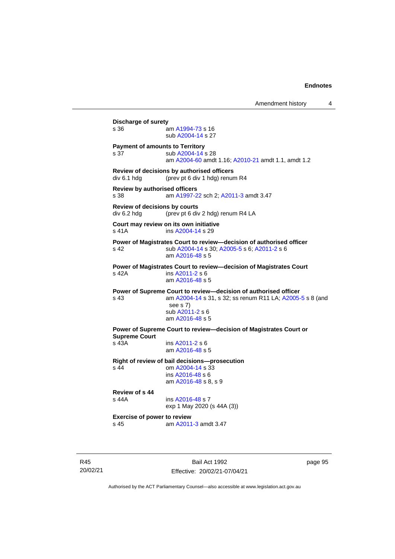Amendment history 4 **Discharge of surety** s 36 am [A1994-73](http://www.legislation.act.gov.au/a/1994-73) s 16 sub [A2004-14](http://www.legislation.act.gov.au/a/2004-14) s 27 **Payment of amounts to Territory** s 37 sub [A2004-14](http://www.legislation.act.gov.au/a/2004-14) s 28 am [A2004-60](http://www.legislation.act.gov.au/a/2004-60) amdt 1.16[; A2010-21](http://www.legislation.act.gov.au/a/2010-21) amdt 1.1, amdt 1.2 **Review of decisions by authorised officers** div 6.1 hdg (prev pt 6 div 1 hdg) renum R4 **Review by authorised officers** s 38 am [A1997-22](http://www.legislation.act.gov.au/a/1997-22) sch 2; [A2011-3](http://www.legislation.act.gov.au/a/2011-3) amdt 3.47 **Review of decisions by courts** div 6.2 hdg (prev pt 6 div 2 hdg) renum R4 LA **Court may review on its own initiative** s 41A ins [A2004-14](http://www.legislation.act.gov.au/a/2004-14) s 29 **Power of Magistrates Court to review—decision of authorised officer** s 42 sub [A2004-14](http://www.legislation.act.gov.au/a/2004-14) s 30[; A2005-5](http://www.legislation.act.gov.au/a/2005-5) s 6; [A2011-2](http://www.legislation.act.gov.au/a/2011-2) s 6 am [A2016-48](http://www.legislation.act.gov.au/a/2016-48/default.asp) s 5 **Power of Magistrates Court to review—decision of Magistrates Court** s 42A ins [A2011-2](http://www.legislation.act.gov.au/a/2011-2) s 6 am [A2016-48](http://www.legislation.act.gov.au/a/2016-48/default.asp) s 5 **Power of Supreme Court to review—decision of authorised officer** s 43 am [A2004-14](http://www.legislation.act.gov.au/a/2004-14) s 31, s 32; ss renum R11 LA; [A2005-5](http://www.legislation.act.gov.au/a/2005-5) s 8 (and see s 7) sub [A2011-2](http://www.legislation.act.gov.au/a/2011-2) s 6 am [A2016-48](http://www.legislation.act.gov.au/a/2016-48/default.asp) s 5 **Power of Supreme Court to review—decision of Magistrates Court or Supreme Court** s 43A ins [A2011-2](http://www.legislation.act.gov.au/a/2011-2) s 6 am [A2016-48](http://www.legislation.act.gov.au/a/2016-48/default.asp) s 5 **Right of review of bail decisions—prosecution** om  $A2004 - 14$  s  $33$ ins [A2016-48](http://www.legislation.act.gov.au/a/2016-48/default.asp) s 6 am [A2016-48](http://www.legislation.act.gov.au/a/2016-48/default.asp) s 8, s 9 **Review of s 44** ins [A2016-48](http://www.legislation.act.gov.au/a/2016-48/default.asp) s 7 exp 1 May 2020 (s 44A (3)) **Exercise of power to review** s 45 am [A2011-3](http://www.legislation.act.gov.au/a/2011-3) amdt 3.47

R45 20/02/21

Bail Act 1992 Effective: 20/02/21-07/04/21 page 95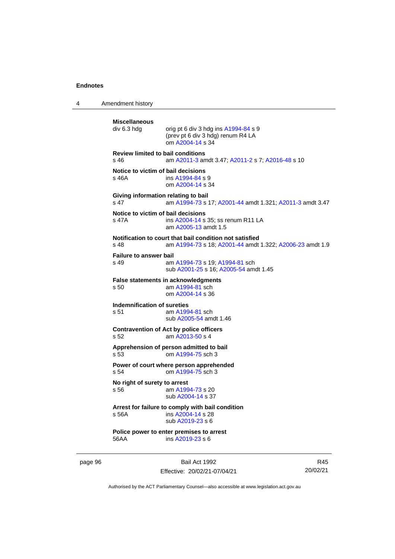4 Amendment history

```
Miscellaneous
                 orig pt 6 div 3 hdg ins A1994-84 s 9
                 (prev pt 6 div 3 hdg) renum R4 LA
                 om A2004-14 s 34
Review limited to bail conditions
s 46 am A2011-3 amdt 3.47; A2011-2 s 7; A2016-48 s 10
Notice to victim of bail decisions
s 46A  A1994-84 s 9
                om A2004-14 s 34
Giving information relating to bail
s 47 am A1994-73 s 17; A2001-44 amdt 1.321; A2011-3 amdt 3.47
Notice to victim of bail decisions
s 47A ins A2004-14 s 35; ss renum R11 LA
                 am A2005-13 amdt 1.5
Notification to court that bail condition not satisfied
s 48 am A1994-73 s 18; A2001-44 amdt 1.322; A2006-23 amdt 1.9
Failure to answer bail
s 49 am A1994-73 s 19; A1994-81 sch
                sub A2001-25 s 16; A2005-54 amdt 1.45
False statements in acknowledgments<br>s 50 am A1994-81 sch
                 am A1994-81 sch
                 om A2004-14 s 36
Indemnification of sureties
s 51 am A1994-81 sch
                sub A2005-54 amdt 1.46
Contravention of Act by police officers
s 52 am A2013-50 s 4
Apprehension of person admitted to bail
s 53 om A1994-75 sch 3
Power of court where person apprehended
s 54 om A1994-75 sch 3
No right of surety to arrest<br>s 56 am A199
                  A1994-73 s 20
                 sub A2004-14 s 37
Arrest for failure to comply with bail condition
s 56A ins A2004-14 s 28
                 sub A2019-23 s 6
Police power to enter premises to arrest
56AA ins A2019-23 s 6
```
page 96 Bail Act 1992 Effective: 20/02/21-07/04/21

R45 20/02/21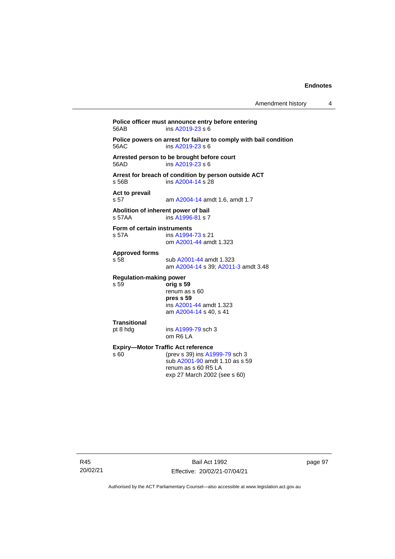**Police officer must announce entry before entering**<br>56AB **ins A2019-23** s 6  $ins$  [A2019-23](http://www.legislation.act.gov.au/a/2019-23/default.asp) s 6 **Police powers on arrest for failure to comply with bail condition** 56AC ins [A2019-23](http://www.legislation.act.gov.au/a/2019-23/default.asp) s 6 **Arrested person to be brought before court**  $ins$  [A2019-23](http://www.legislation.act.gov.au/a/2019-23/default.asp) s 6 **Arrest for breach of condition by person outside ACT** s 56B ins [A2004-14](http://www.legislation.act.gov.au/a/2004-14) s 28 **Act to prevail** s 57 am [A2004-14](http://www.legislation.act.gov.au/a/2004-14) amdt 1.6, amdt 1.7 **Abolition of inherent power of bail** s 57AA ins [A1996-81](http://www.legislation.act.gov.au/a/1996-81) s 7 **Form of certain instruments**<br>s 57A **ins A1994** ins [A1994-73](http://www.legislation.act.gov.au/a/1994-73) s 21 om [A2001-44](http://www.legislation.act.gov.au/a/2001-44) amdt 1.323 **Approved forms** s 58 sub [A2001-44](http://www.legislation.act.gov.au/a/2001-44) amdt 1.323 am [A2004-14](http://www.legislation.act.gov.au/a/2004-14) s 39[; A2011-3](http://www.legislation.act.gov.au/a/2011-3) amdt 3.48 **Regulation-making power** s 59 **orig s 59** renum as s 60 **pres s 59** ins [A2001-44](http://www.legislation.act.gov.au/a/2001-44) amdt 1.323 am [A2004-14](http://www.legislation.act.gov.au/a/2004-14) s 40, s 41 **Transitional** pt 8 hdg ins [A1999-79](http://www.legislation.act.gov.au/a/1999-79) sch 3 om R6 LA **Expiry—Motor Traffic Act reference**<br>s 60 (prev s 39) ins A19 (prev s 39) in[s A1999-79](http://www.legislation.act.gov.au/a/1999-79) sch 3 sub [A2001-90](http://www.legislation.act.gov.au/a/2001-90) amdt 1.10 as s 59 renum as s 60 R5 LA exp 27 March 2002 (see s 60)

page 97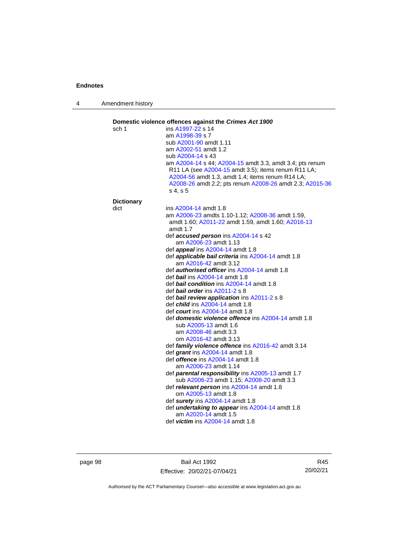4 Amendment history

| sch 1             | ins A1997-22 s 14                                                                                                                                                                                                                           |
|-------------------|---------------------------------------------------------------------------------------------------------------------------------------------------------------------------------------------------------------------------------------------|
|                   | am A1998-39 s 7                                                                                                                                                                                                                             |
|                   | sub A2001-90 amdt 1.11                                                                                                                                                                                                                      |
|                   | am A2002-51 amdt 1.2                                                                                                                                                                                                                        |
|                   | sub A2004-14 s 43                                                                                                                                                                                                                           |
|                   | am A2004-14 s 44; A2004-15 amdt 3.3, amdt 3.4; pts renum<br>R11 LA (see A2004-15 amdt 3.5); items renum R11 LA;<br>A2004-56 amdt 1.3, amdt 1.4; items renum R14 LA;<br>A2008-26 amdt 2.2; pts renum A2008-26 amdt 2.3; A2015-36<br>s 4, s 5 |
| <b>Dictionary</b> |                                                                                                                                                                                                                                             |
| dict              | ins A2004-14 amdt 1.8                                                                                                                                                                                                                       |
|                   | am A2006-23 amdts 1.10-1.12; A2008-36 amdt 1.59,                                                                                                                                                                                            |
|                   | amdt 1.60; A2011-22 amdt 1.59, amdt 1.60; A2016-13                                                                                                                                                                                          |
|                   | amdt 1.7                                                                                                                                                                                                                                    |
|                   | def accused person ins A2004-14 s 42                                                                                                                                                                                                        |
|                   | am A2006-23 amdt 1.13                                                                                                                                                                                                                       |
|                   | def <i>appeal</i> ins A2004-14 amdt 1.8<br>def applicable bail criteria ins A2004-14 amdt 1.8                                                                                                                                               |
|                   | am A2016-42 amdt 3.12                                                                                                                                                                                                                       |
|                   | def <b>authorised officer</b> ins A2004-14 amdt 1.8                                                                                                                                                                                         |
|                   | def bail ins A2004-14 amdt 1.8                                                                                                                                                                                                              |
|                   | def <b>bail condition</b> ins A2004-14 amdt 1.8                                                                                                                                                                                             |
|                   | def <b><i>bail</i></b> order ins $A2011-2 s 8$                                                                                                                                                                                              |
|                   | def bail review application ins A2011-2 s 8                                                                                                                                                                                                 |
|                   | def <i>child</i> ins A2004-14 amdt 1.8                                                                                                                                                                                                      |
|                   | def court ins $A2004-14$ amdt 1.8                                                                                                                                                                                                           |
|                   | def <b>domestic violence offence</b> ins A2004-14 amdt 1.8                                                                                                                                                                                  |
|                   | sub A2005-13 amdt 1.6                                                                                                                                                                                                                       |
|                   | am A2008-46 amdt 3.3                                                                                                                                                                                                                        |
|                   | om A2016-42 amdt 3.13                                                                                                                                                                                                                       |
|                   | def family violence offence ins A2016-42 amdt 3.14                                                                                                                                                                                          |
|                   | def grant ins A2004-14 amdt 1.8                                                                                                                                                                                                             |
|                   | def <i>offence</i> ins A2004-14 amdt 1.8                                                                                                                                                                                                    |
|                   | am A2006-23 amdt 1.14                                                                                                                                                                                                                       |
|                   | def parental responsibility ins A2005-13 amdt 1.7<br>sub A2006-23 amdt 1.15; A2008-20 amdt 3.3                                                                                                                                              |
|                   | def relevant person ins A2004-14 amdt 1.8                                                                                                                                                                                                   |
|                   | om A2005-13 amdt 1.8                                                                                                                                                                                                                        |
|                   | def surety ins A2004-14 amdt 1.8                                                                                                                                                                                                            |
|                   | def <i>undertaking to appear</i> ins A2004-14 amdt 1.8                                                                                                                                                                                      |
|                   | am A2020-14 amdt 1.5                                                                                                                                                                                                                        |
|                   | def <i>victim</i> ins $A2004-14$ amdt 1.8                                                                                                                                                                                                   |

page 98 Bail Act 1992 Effective: 20/02/21-07/04/21

R45 20/02/21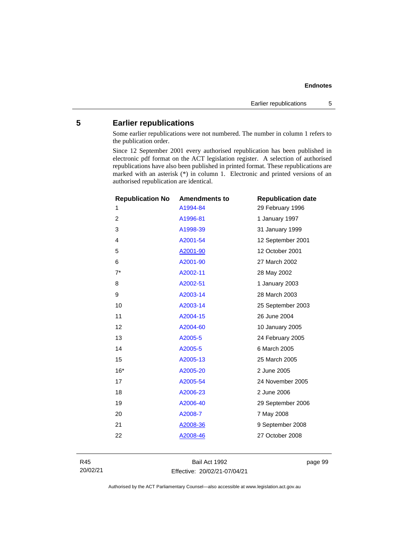# **5 Earlier republications**

Some earlier republications were not numbered. The number in column 1 refers to the publication order.

Since 12 September 2001 every authorised republication has been published in electronic pdf format on the ACT legislation register. A selection of authorised republications have also been published in printed format. These republications are marked with an asterisk (\*) in column 1. Electronic and printed versions of an authorised republication are identical.

| <b>Republication No</b> | <b>Amendments to</b> | <b>Republication date</b> |
|-------------------------|----------------------|---------------------------|
| 1                       | A1994-84             | 29 February 1996          |
| $\overline{c}$          | A1996-81             | 1 January 1997            |
| 3                       | A1998-39             | 31 January 1999           |
| 4                       | A2001-54             | 12 September 2001         |
| 5                       | A2001-90             | 12 October 2001           |
| 6                       | A2001-90             | 27 March 2002             |
| $7^*$                   | A2002-11             | 28 May 2002               |
| 8                       | A2002-51             | 1 January 2003            |
| 9                       | A2003-14             | 28 March 2003             |
| 10                      | A2003-14             | 25 September 2003         |
| 11                      | A2004-15             | 26 June 2004              |
| 12                      | A2004-60             | 10 January 2005           |
| 13                      | A2005-5              | 24 February 2005          |
| 14                      | A2005-5              | 6 March 2005              |
| 15                      | A2005-13             | 25 March 2005             |
| $16*$                   | A2005-20             | 2 June 2005               |
| 17                      | A2005-54             | 24 November 2005          |
| 18                      | A2006-23             | 2 June 2006               |
| 19                      | A2006-40             | 29 September 2006         |
| 20                      | A2008-7              | 7 May 2008                |
| 21                      | A2008-36             | 9 September 2008          |
| 22                      | A2008-46             | 27 October 2008           |
|                         |                      |                           |

R45 20/02/21

Bail Act 1992 Effective: 20/02/21-07/04/21 page 99